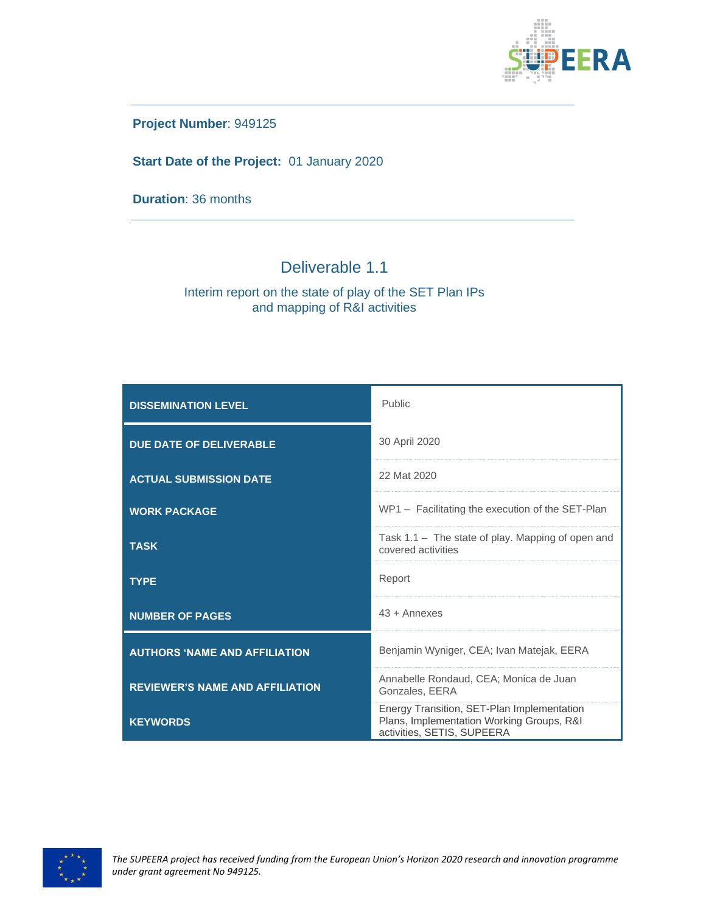

**Project Number**: 949125

**Start Date of the Project:** 01 January 2020

**Duration**: 36 months

# Deliverable 1.1

#### Interim report on the state of play of the SET Plan IPs and mapping of R&I activities

| <b>DISSEMINATION LEVEL</b>             | Public                                                                                                                |
|----------------------------------------|-----------------------------------------------------------------------------------------------------------------------|
| <b>DUE DATE OF DELIVERABLE</b>         | 30 April 2020                                                                                                         |
| <b>ACTUAL SUBMISSION DATE</b>          | 22 Mat 2020                                                                                                           |
| <b>WORK PACKAGE</b>                    | WP1 - Facilitating the execution of the SET-Plan                                                                      |
| <b>TASK</b>                            | Task 1.1 - The state of play. Mapping of open and<br>covered activities                                               |
| <b>TYPE</b>                            | Report                                                                                                                |
| <b>NUMBER OF PAGES</b>                 | $43 +$ Annexes                                                                                                        |
| <b>AUTHORS 'NAME AND AFFILIATION</b>   | Benjamin Wyniger, CEA; Ivan Matejak, EERA                                                                             |
| <b>REVIEWER'S NAME AND AFFILIATION</b> | Annabelle Rondaud, CEA; Monica de Juan<br>Gonzales, EERA                                                              |
| <b>KEYWORDS</b>                        | Energy Transition, SET-Plan Implementation<br>Plans, Implementation Working Groups, R&I<br>activities, SETIS, SUPEERA |

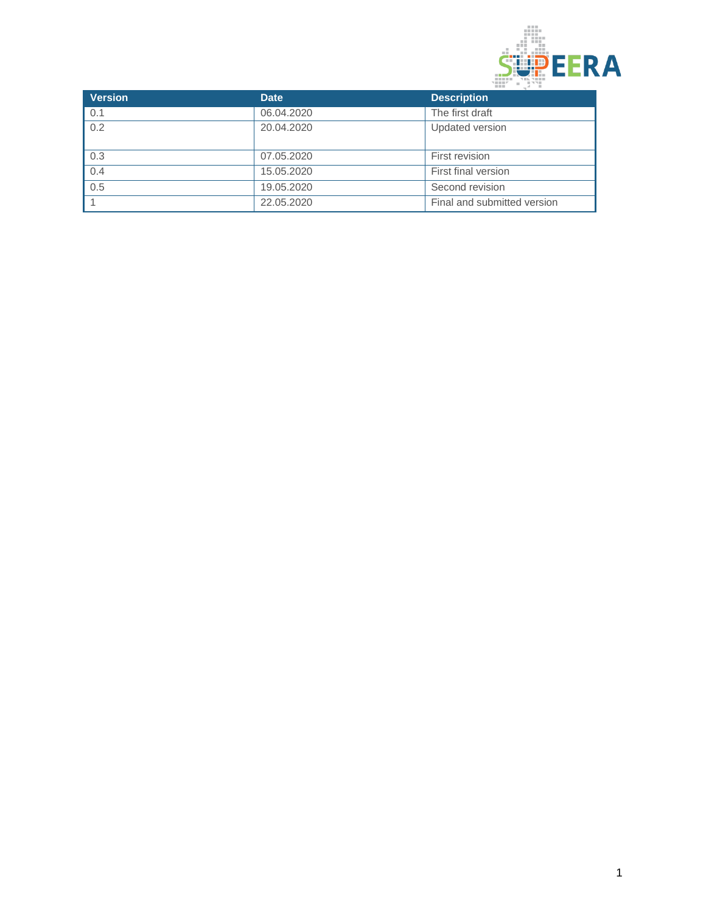

| <b>Version</b> | <b>Date</b> | <b>Description</b>          |
|----------------|-------------|-----------------------------|
| 0.1            | 06.04.2020  | The first draft             |
| 0.2            | 20.04.2020  | Updated version             |
| 0.3            | 07.05.2020  | First revision              |
| 0.4            | 15.05.2020  | First final version         |
| 0.5            | 19.05.2020  | Second revision             |
|                | 22.05.2020  | Final and submitted version |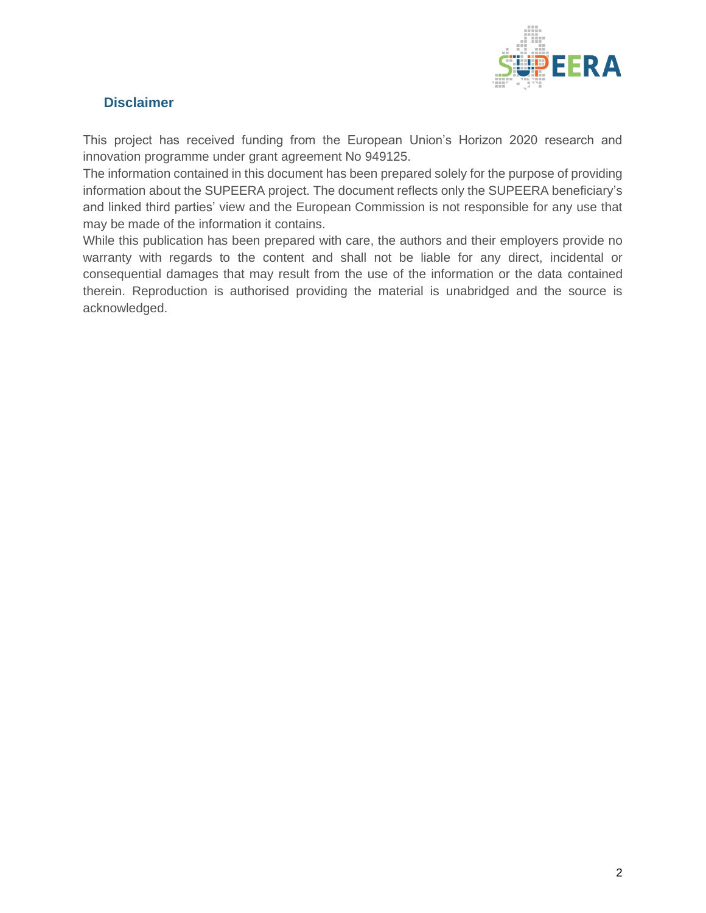

## <span id="page-2-0"></span>**Disclaimer**

This project has received funding from the European Union's Horizon 2020 research and innovation programme under grant agreement No 949125.

The information contained in this document has been prepared solely for the purpose of providing information about the SUPEERA project. The document reflects only the SUPEERA beneficiary's and linked third parties' view and the European Commission is not responsible for any use that may be made of the information it contains.

While this publication has been prepared with care, the authors and their employers provide no warranty with regards to the content and shall not be liable for any direct, incidental or consequential damages that may result from the use of the information or the data contained therein. Reproduction is authorised providing the material is unabridged and the source is acknowledged.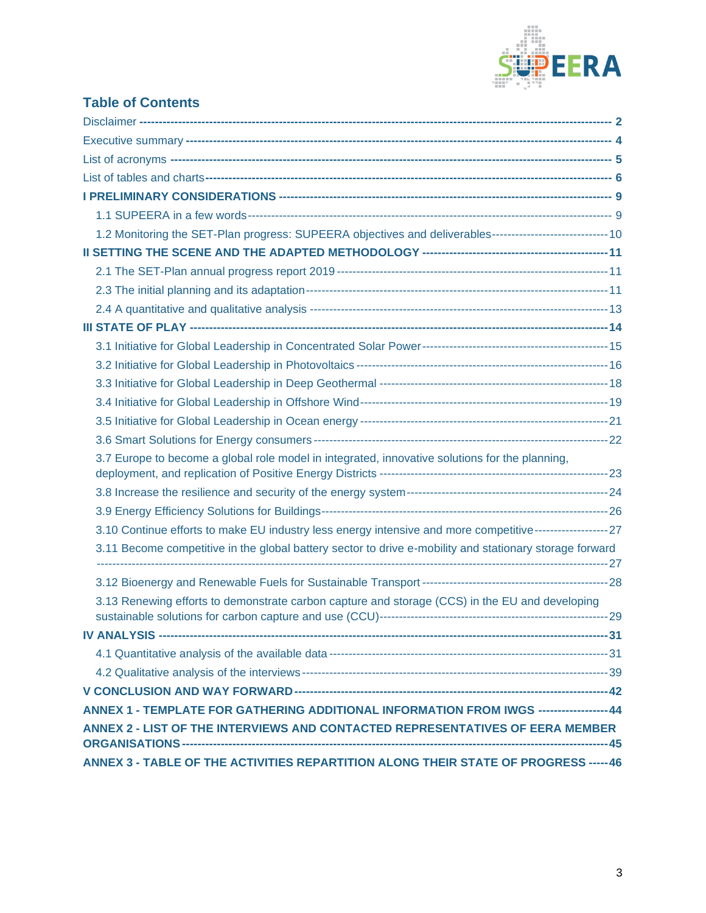

# **Table of Contents**

| 1.2 Monitoring the SET-Plan progress: SUPEERA objectives and deliverables-----------------------------------10  |  |
|-----------------------------------------------------------------------------------------------------------------|--|
|                                                                                                                 |  |
|                                                                                                                 |  |
|                                                                                                                 |  |
|                                                                                                                 |  |
|                                                                                                                 |  |
|                                                                                                                 |  |
|                                                                                                                 |  |
|                                                                                                                 |  |
|                                                                                                                 |  |
|                                                                                                                 |  |
|                                                                                                                 |  |
| 3.7 Europe to become a global role model in integrated, innovative solutions for the planning,                  |  |
|                                                                                                                 |  |
|                                                                                                                 |  |
| 3.10 Continue efforts to make EU industry less energy intensive and more competitive-------------------------27 |  |
| 3.11 Become competitive in the global battery sector to drive e-mobility and stationary storage forward         |  |
|                                                                                                                 |  |
| 3.13 Renewing efforts to demonstrate carbon capture and storage (CCS) in the EU and developing                  |  |
|                                                                                                                 |  |
|                                                                                                                 |  |
|                                                                                                                 |  |
|                                                                                                                 |  |
| ANNEX 1 - TEMPLATE FOR GATHERING ADDITIONAL INFORMATION FROM IWGS ------------------44                          |  |
| ANNEX 2 - LIST OF THE INTERVIEWS AND CONTACTED REPRESENTATIVES OF EERA MEMBER                                   |  |
| ANNEX 3 - TABLE OF THE ACTIVITIES REPARTITION ALONG THEIR STATE OF PROGRESS ----- 46                            |  |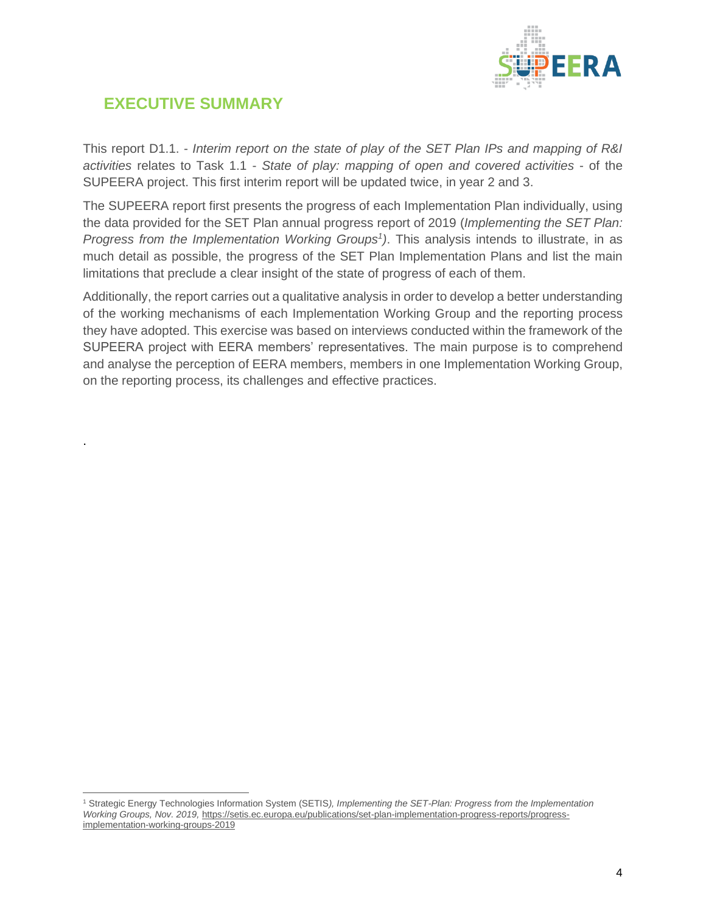

# <span id="page-4-0"></span>**EXECUTIVE SUMMARY**

.

This report D1.1. - *Interim report on the state of play of the SET Plan IPs and mapping of R&I activities* relates to Task 1.1 - *State of play: mapping of open and covered activities* - of the SUPEERA project. This first interim report will be updated twice, in year 2 and 3.

The SUPEERA report first presents the progress of each Implementation Plan individually, using the data provided for the SET Plan annual progress report of 2019 (*Implementing the SET Plan: Progress from the Implementation Working Groups<sup>1</sup> )*. This analysis intends to illustrate, in as much detail as possible, the progress of the SET Plan Implementation Plans and list the main limitations that preclude a clear insight of the state of progress of each of them.

Additionally, the report carries out a qualitative analysis in order to develop a better understanding of the working mechanisms of each Implementation Working Group and the reporting process they have adopted. This exercise was based on interviews conducted within the framework of the SUPEERA project with EERA members' representatives. The main purpose is to comprehend and analyse the perception of EERA members, members in one Implementation Working Group, on the reporting process, its challenges and effective practices.

<sup>1</sup> Strategic Energy Technologies Information System (SETIS*), Implementing the SET-Plan: Progress from the Implementation Working Groups, Nov. 2019,* [https://setis.ec.europa.eu/publications/set-plan-implementation-progress-reports/progress](https://setis.ec.europa.eu/publications/set-plan-implementation-progress-reports/progress-implementation-working-groups-2019)[implementation-working-groups-2019](https://setis.ec.europa.eu/publications/set-plan-implementation-progress-reports/progress-implementation-working-groups-2019)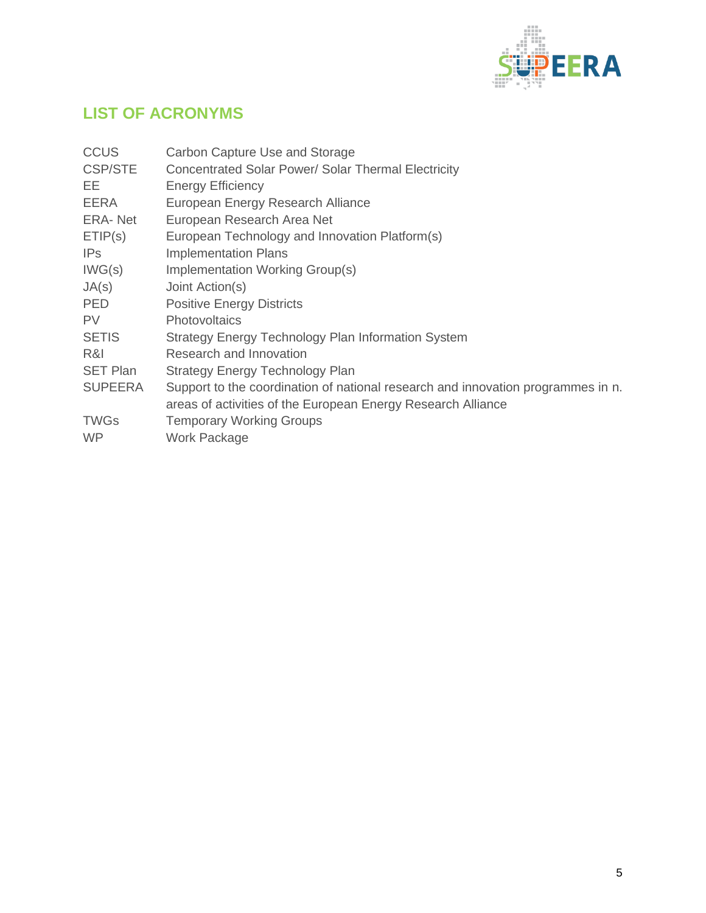

# <span id="page-5-0"></span>**LIST OF ACRONYMS**

| <b>CCUS</b>     | Carbon Capture Use and Storage                                                   |
|-----------------|----------------------------------------------------------------------------------|
| <b>CSP/STE</b>  | Concentrated Solar Power/ Solar Thermal Electricity                              |
| EЕ              | <b>Energy Efficiency</b>                                                         |
| EERA            | European Energy Research Alliance                                                |
| ERA-Net         | European Research Area Net                                                       |
| ETIP(s)         | European Technology and Innovation Platform(s)                                   |
| IP <sub>S</sub> | <b>Implementation Plans</b>                                                      |
| IWG(s)          | Implementation Working Group(s)                                                  |
| JA(s)           | Joint Action(s)                                                                  |
| <b>PED</b>      | <b>Positive Energy Districts</b>                                                 |
| <b>PV</b>       | <b>Photovoltaics</b>                                                             |
| <b>SETIS</b>    | Strategy Energy Technology Plan Information System                               |
| R&I             | Research and Innovation                                                          |
| <b>SET Plan</b> | <b>Strategy Energy Technology Plan</b>                                           |
| <b>SUPEERA</b>  | Support to the coordination of national research and innovation programmes in n. |
|                 | areas of activities of the European Energy Research Alliance                     |
| <b>TWGs</b>     | <b>Temporary Working Groups</b>                                                  |
| <b>WP</b>       | Work Package                                                                     |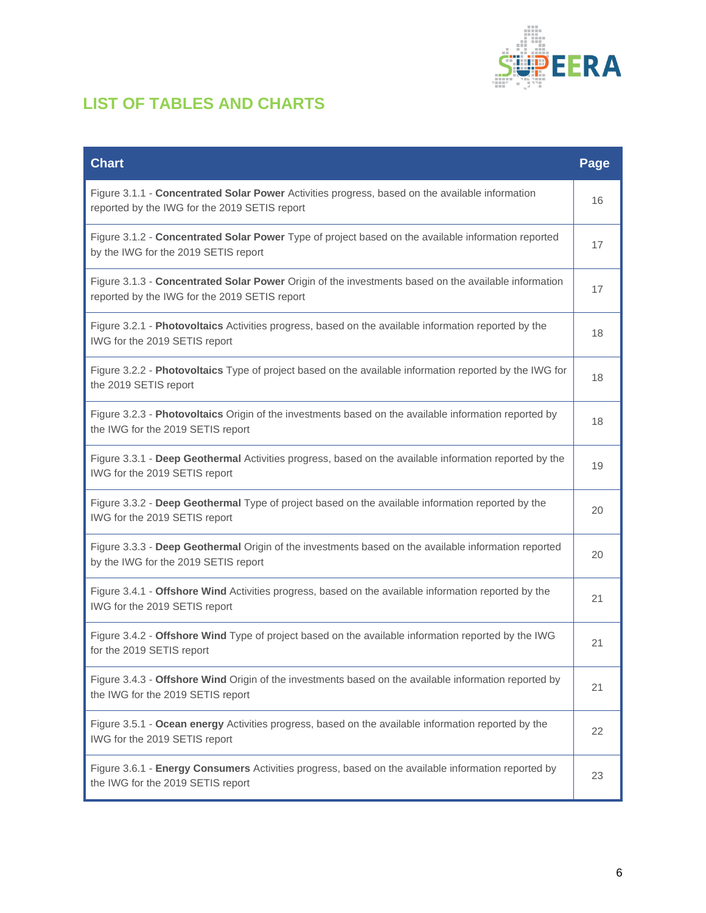

# <span id="page-6-0"></span>**LIST OF TABLES AND CHARTS**

| <b>Chart</b>                                                                                                                                          | Page |
|-------------------------------------------------------------------------------------------------------------------------------------------------------|------|
| Figure 3.1.1 - Concentrated Solar Power Activities progress, based on the available information<br>reported by the IWG for the 2019 SETIS report      | 16   |
| Figure 3.1.2 - Concentrated Solar Power Type of project based on the available information reported<br>by the IWG for the 2019 SETIS report           | 17   |
| Figure 3.1.3 - Concentrated Solar Power Origin of the investments based on the available information<br>reported by the IWG for the 2019 SETIS report | 17   |
| Figure 3.2.1 - Photovoltaics Activities progress, based on the available information reported by the<br>IWG for the 2019 SETIS report                 | 18   |
| Figure 3.2.2 - Photovoltaics Type of project based on the available information reported by the IWG for<br>the 2019 SETIS report                      | 18   |
| Figure 3.2.3 - Photovoltaics Origin of the investments based on the available information reported by<br>the IWG for the 2019 SETIS report            | 18   |
| Figure 3.3.1 - Deep Geothermal Activities progress, based on the available information reported by the<br>IWG for the 2019 SETIS report               | 19   |
| Figure 3.3.2 - Deep Geothermal Type of project based on the available information reported by the<br>IWG for the 2019 SETIS report                    | 20   |
| Figure 3.3.3 - Deep Geothermal Origin of the investments based on the available information reported<br>by the IWG for the 2019 SETIS report          | 20   |
| Figure 3.4.1 - Offshore Wind Activities progress, based on the available information reported by the<br>IWG for the 2019 SETIS report                 | 21   |
| Figure 3.4.2 - Offshore Wind Type of project based on the available information reported by the IWG<br>for the 2019 SETIS report                      | 21   |
| Figure 3.4.3 - Offshore Wind Origin of the investments based on the available information reported by<br>the IWG for the 2019 SETIS report            | 21   |
| Figure 3.5.1 - Ocean energy Activities progress, based on the available information reported by the<br>IWG for the 2019 SETIS report                  | 22   |
| Figure 3.6.1 - Energy Consumers Activities progress, based on the available information reported by<br>the IWG for the 2019 SETIS report              | 23   |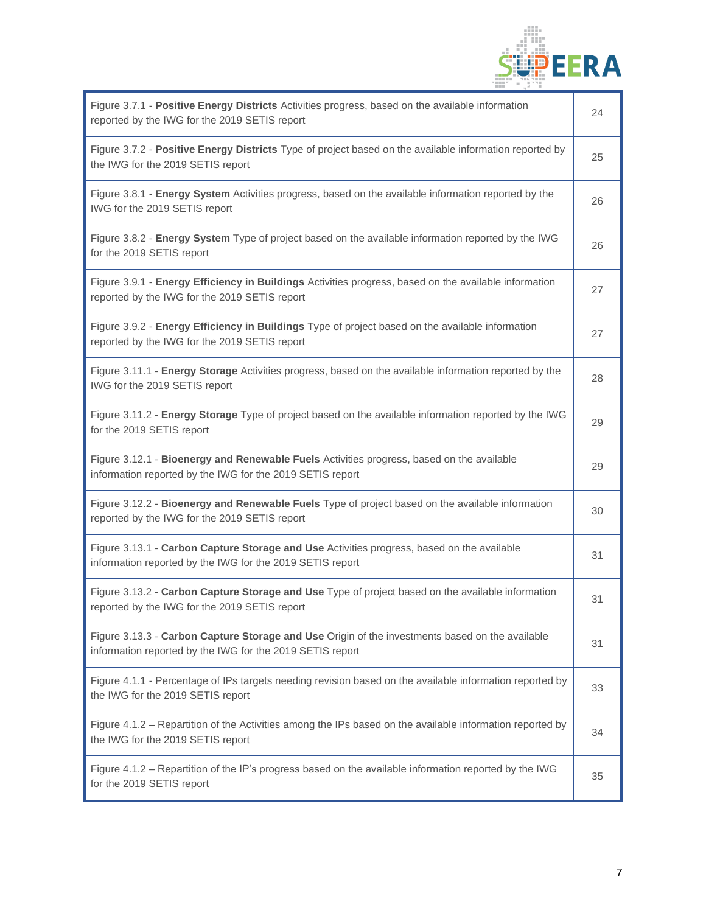

| Figure 3.7.1 - Positive Energy Districts Activities progress, based on the available information<br>reported by the IWG for the 2019 SETIS report            | 24 |
|--------------------------------------------------------------------------------------------------------------------------------------------------------------|----|
| Figure 3.7.2 - Positive Energy Districts Type of project based on the available information reported by<br>the IWG for the 2019 SETIS report                 | 25 |
| Figure 3.8.1 - Energy System Activities progress, based on the available information reported by the<br>IWG for the 2019 SETIS report                        | 26 |
| Figure 3.8.2 - Energy System Type of project based on the available information reported by the IWG<br>for the 2019 SETIS report                             | 26 |
| Figure 3.9.1 - Energy Efficiency in Buildings Activities progress, based on the available information<br>reported by the IWG for the 2019 SETIS report       | 27 |
| Figure 3.9.2 - Energy Efficiency in Buildings Type of project based on the available information<br>reported by the IWG for the 2019 SETIS report            | 27 |
| Figure 3.11.1 - Energy Storage Activities progress, based on the available information reported by the<br>IWG for the 2019 SETIS report                      | 28 |
| Figure 3.11.2 - Energy Storage Type of project based on the available information reported by the IWG<br>for the 2019 SETIS report                           | 29 |
| Figure 3.12.1 - Bioenergy and Renewable Fuels Activities progress, based on the available<br>information reported by the IWG for the 2019 SETIS report       | 29 |
| Figure 3.12.2 - Bioenergy and Renewable Fuels Type of project based on the available information<br>reported by the IWG for the 2019 SETIS report            | 30 |
| Figure 3.13.1 - Carbon Capture Storage and Use Activities progress, based on the available<br>information reported by the IWG for the 2019 SETIS report      | 31 |
| Figure 3.13.2 - Carbon Capture Storage and Use Type of project based on the available information<br>reported by the IWG for the 2019 SETIS report           | 31 |
| Figure 3.13.3 - Carbon Capture Storage and Use Origin of the investments based on the available<br>information reported by the IWG for the 2019 SETIS report | 31 |
| Figure 4.1.1 - Percentage of IPs targets needing revision based on the available information reported by<br>the IWG for the 2019 SETIS report                | 33 |
| Figure 4.1.2 - Repartition of the Activities among the IPs based on the available information reported by<br>the IWG for the 2019 SETIS report               | 34 |
| Figure 4.1.2 - Repartition of the IP's progress based on the available information reported by the IWG<br>for the 2019 SETIS report                          | 35 |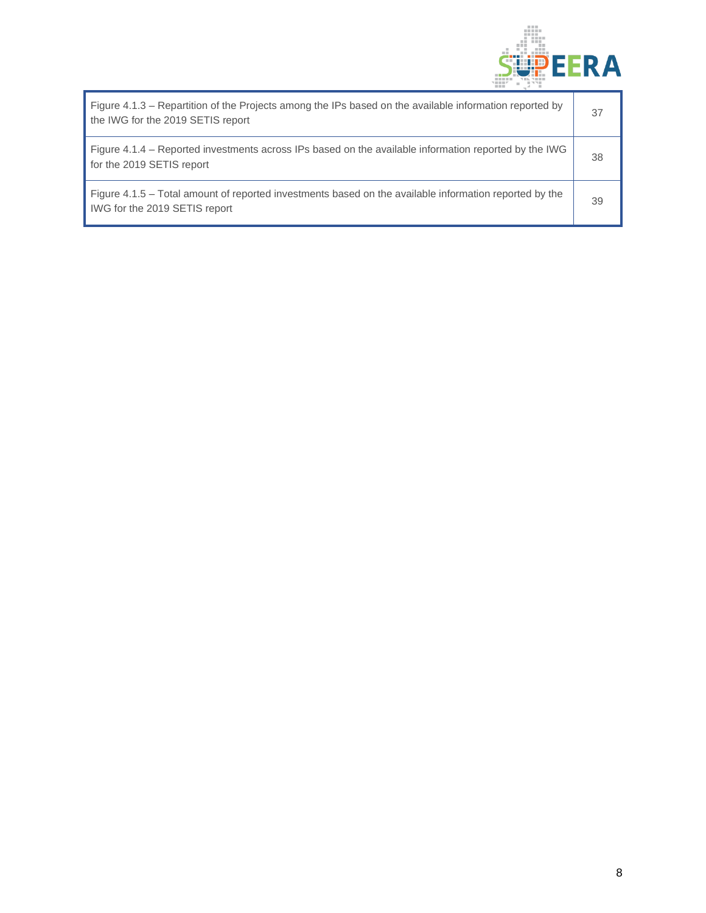

| Figure 4.1.3 – Repartition of the Projects among the IPs based on the available information reported by<br>the IWG for the 2019 SETIS report | 37 |
|----------------------------------------------------------------------------------------------------------------------------------------------|----|
| Figure 4.1.4 – Reported investments across IPs based on the available information reported by the IWG<br>for the 2019 SETIS report           | 38 |
| Figure 4.1.5 – Total amount of reported investments based on the available information reported by the<br>IWG for the 2019 SETIS report      | 39 |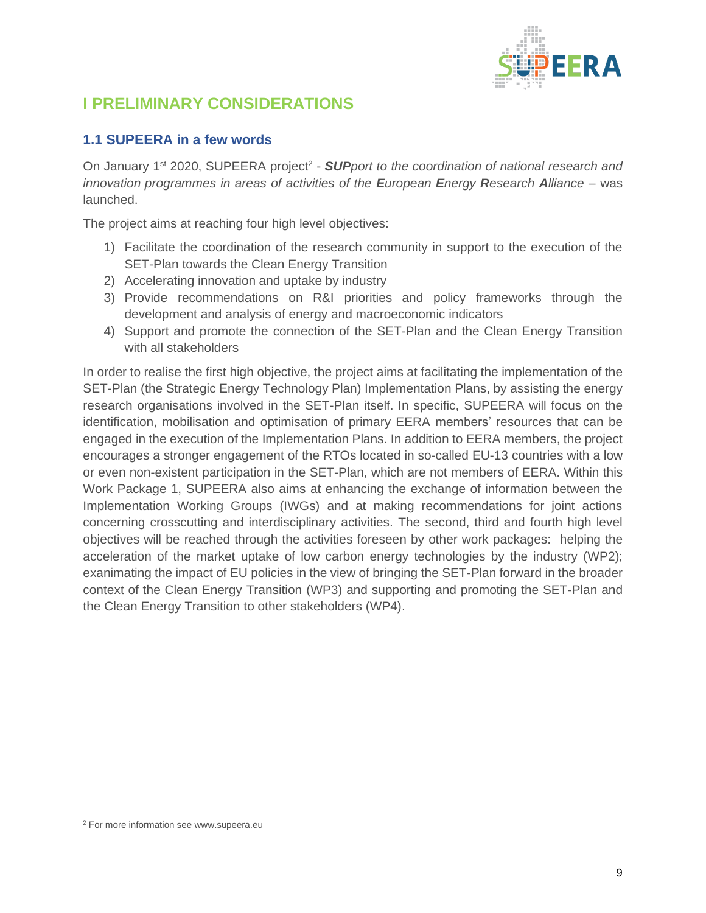

# <span id="page-9-0"></span>**I PRELIMINARY CONSIDERATIONS**

## <span id="page-9-1"></span>**1.1 SUPEERA in a few words**

On January 1<sup>st</sup> 2020, SUPEERA project<sup>2</sup> - **SUP**port to the coordination of national research and *innovation programmes in areas of activities of the European Energy Research Alliance* – was launched.

The project aims at reaching four high level objectives:

- 1) Facilitate the coordination of the research community in support to the execution of the SET-Plan towards the Clean Energy Transition
- 2) Accelerating innovation and uptake by industry
- 3) Provide recommendations on R&I priorities and policy frameworks through the development and analysis of energy and macroeconomic indicators
- 4) Support and promote the connection of the SET-Plan and the Clean Energy Transition with all stakeholders

In order to realise the first high objective, the project aims at facilitating the implementation of the SET-Plan (the Strategic Energy Technology Plan) Implementation Plans, by assisting the energy research organisations involved in the SET-Plan itself. In specific, SUPEERA will focus on the identification, mobilisation and optimisation of primary EERA members' resources that can be engaged in the execution of the Implementation Plans. In addition to EERA members, the project encourages a stronger engagement of the RTOs located in so-called EU-13 countries with a low or even non-existent participation in the SET-Plan, which are not members of EERA. Within this Work Package 1, SUPEERA also aims at enhancing the exchange of information between the Implementation Working Groups (IWGs) and at making recommendations for joint actions concerning crosscutting and interdisciplinary activities. The second, third and fourth high level objectives will be reached through the activities foreseen by other work packages: helping the acceleration of the market uptake of low carbon energy technologies by the industry (WP2); exanimating the impact of EU policies in the view of bringing the SET-Plan forward in the broader context of the Clean Energy Transition (WP3) and supporting and promoting the SET-Plan and the Clean Energy Transition to other stakeholders (WP4).

<sup>2</sup> For more information see www.supeera.eu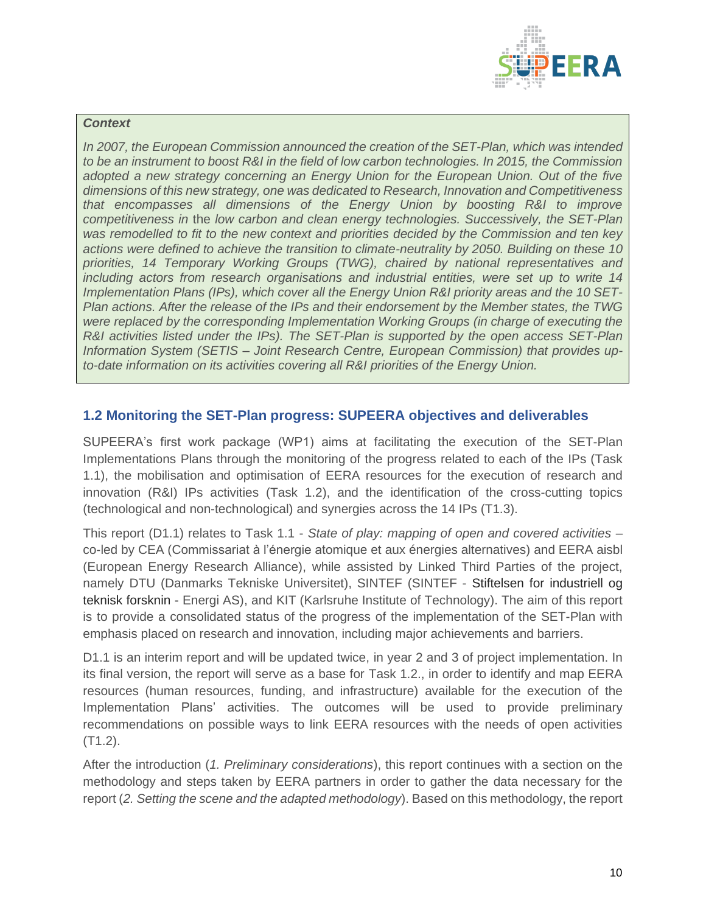

#### *Context*

*In 2007, the European Commission announced the creation of the SET-Plan, which was intended to be an instrument to boost R&I in the field of low carbon technologies. In 2015, the Commission adopted a new strategy concerning an Energy Union for the European Union. Out of the five dimensions of this new strategy, one was dedicated to Research, Innovation and Competitiveness that encompasses all dimensions of the Energy Union by boosting R&I to improve competitiveness in* the *low carbon and clean energy technologies. Successively, the SET-Plan was remodelled to fit to the new context and priorities decided by the Commission and ten key actions were defined to achieve the transition to climate-neutrality by 2050. Building on these 10 priorities, 14 Temporary Working Groups (TWG), chaired by national representatives and including actors from research organisations and industrial entities, were set up to write 14 Implementation Plans (IPs), which cover all the Energy Union R&I priority areas and the 10 SET-Plan actions. After the release of the IPs and their endorsement by the Member states, the TWG were replaced by the corresponding Implementation Working Groups (in charge of executing the R&I activities listed under the IPs). The SET-Plan is supported by the open access SET-Plan Information System (SETIS – Joint Research Centre, European Commission) that provides upto-date information on its activities covering all R&I priorities of the Energy Union.*

#### <span id="page-10-0"></span>**1.2 Monitoring the SET-Plan progress: SUPEERA objectives and deliverables**

SUPEERA's first work package (WP1) aims at facilitating the execution of the SET-Plan Implementations Plans through the monitoring of the progress related to each of the IPs (Task 1.1), the mobilisation and optimisation of EERA resources for the execution of research and innovation (R&I) IPs activities (Task 1.2), and the identification of the cross-cutting topics (technological and non-technological) and synergies across the 14 IPs (T1.3).

This report (D1.1) relates to Task 1.1 - *State of play: mapping of open and covered activities* – co-led by CEA (Commissariat à l'énergie atomique et aux énergies alternatives) and EERA aisbl (European Energy Research Alliance), while assisted by Linked Third Parties of the project, namely DTU (Danmarks Tekniske Universitet), SINTEF (SINTEF - Stiftelsen for industriell og teknisk forsknin - Energi AS), and KIT (Karlsruhe Institute of Technology). The aim of this report is to provide a consolidated status of the progress of the implementation of the SET-Plan with emphasis placed on research and innovation, including major achievements and barriers.

D1.1 is an interim report and will be updated twice, in year 2 and 3 of project implementation. In its final version, the report will serve as a base for Task 1.2., in order to identify and map EERA resources (human resources, funding, and infrastructure) available for the execution of the Implementation Plans' activities. The outcomes will be used to provide preliminary recommendations on possible ways to link EERA resources with the needs of open activities (T1.2).

After the introduction (*1. Preliminary considerations*), this report continues with a section on the methodology and steps taken by EERA partners in order to gather the data necessary for the report (*2. Setting the scene and the adapted methodology*). Based on this methodology, the report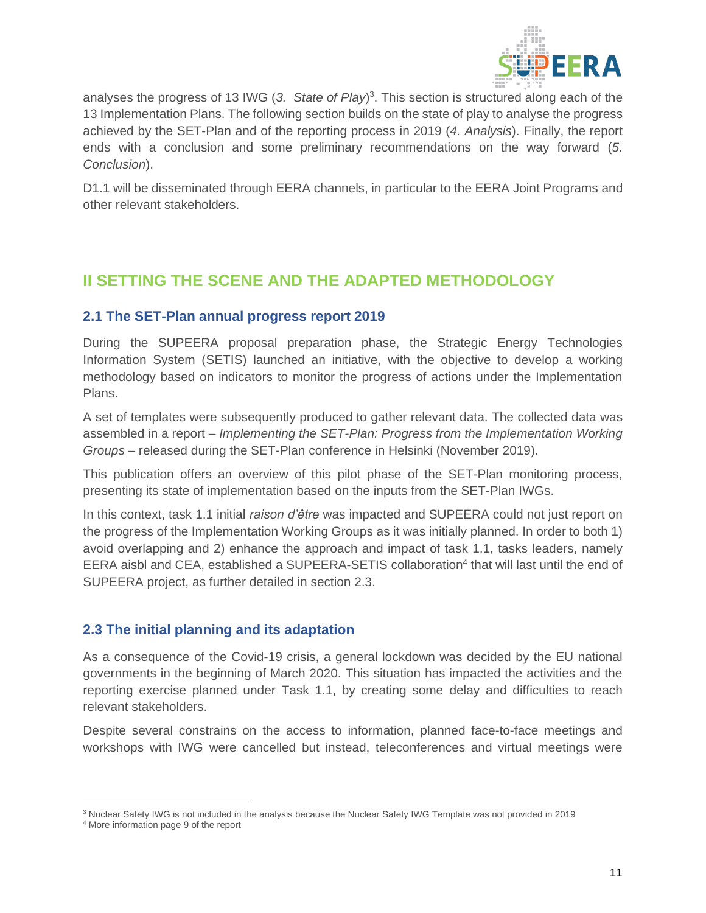

analyses the progress of 13 IWG (*3. State of Play*) 3 . This section is structured along each of the 13 Implementation Plans. The following section builds on the state of play to analyse the progress achieved by the SET-Plan and of the reporting process in 2019 (*4. Analysis*). Finally, the report ends with a conclusion and some preliminary recommendations on the way forward (*5. Conclusion*).

D1.1 will be disseminated through EERA channels, in particular to the EERA Joint Programs and other relevant stakeholders.

# <span id="page-11-0"></span>**II SETTING THE SCENE AND THE ADAPTED METHODOLOGY**

## <span id="page-11-1"></span>**2.1 The SET-Plan annual progress report 2019**

During the SUPEERA proposal preparation phase, the Strategic Energy Technologies Information System (SETIS) launched an initiative, with the objective to develop a working methodology based on indicators to monitor the progress of actions under the Implementation Plans.

A set of templates were subsequently produced to gather relevant data. The collected data was assembled in a report – *Implementing the SET-Plan: Progress from the Implementation Working Groups* – released during the SET-Plan conference in Helsinki (November 2019).

This publication offers an overview of this pilot phase of the SET-Plan monitoring process, presenting its state of implementation based on the inputs from the SET-Plan IWGs.

In this context, task 1.1 initial *raison d'être* was impacted and SUPEERA could not just report on the progress of the Implementation Working Groups as it was initially planned. In order to both 1) avoid overlapping and 2) enhance the approach and impact of task 1.1, tasks leaders, namely EERA aisbl and CEA, established a SUPEERA-SETIS collaboration<sup>4</sup> that will last until the end of SUPEERA project, as further detailed in section 2.3.

## <span id="page-11-2"></span>**2.3 The initial planning and its adaptation**

As a consequence of the Covid-19 crisis, a general lockdown was decided by the EU national governments in the beginning of March 2020. This situation has impacted the activities and the reporting exercise planned under Task 1.1, by creating some delay and difficulties to reach relevant stakeholders.

Despite several constrains on the access to information, planned face-to-face meetings and workshops with IWG were cancelled but instead, teleconferences and virtual meetings were

<sup>3</sup> Nuclear Safety IWG is not included in the analysis because the Nuclear Safety IWG Template was not provided in 2019

<sup>4</sup> More information page 9 of the report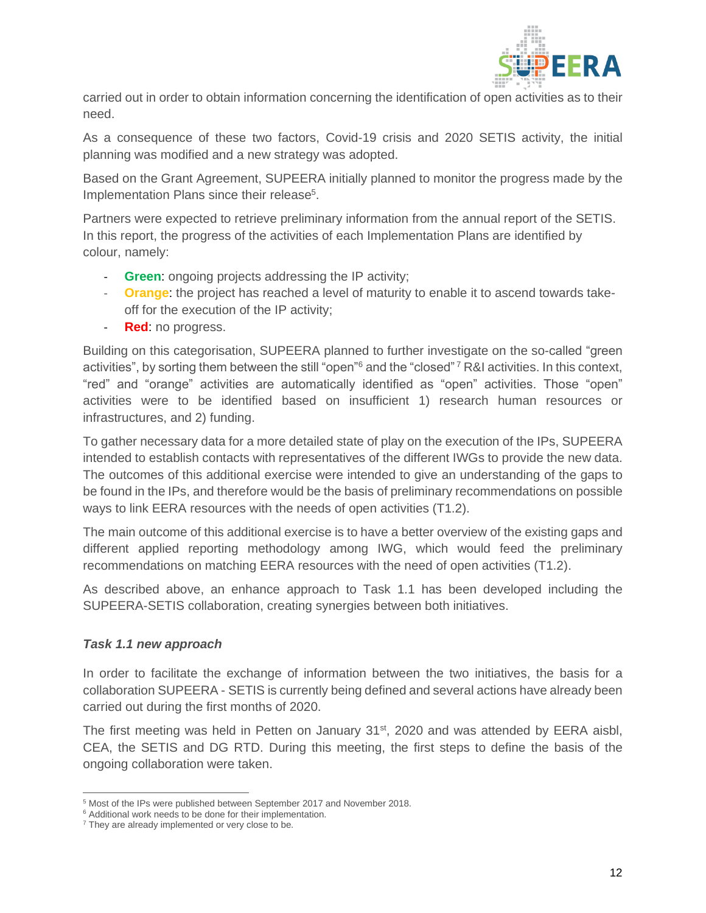

carried out in order to obtain information concerning the identification of open activities as to their need.

As a consequence of these two factors, Covid-19 crisis and 2020 SETIS activity, the initial planning was modified and a new strategy was adopted.

Based on the Grant Agreement, SUPEERA initially planned to monitor the progress made by the Implementation Plans since their release<sup>5</sup>.

Partners were expected to retrieve preliminary information from the annual report of the SETIS. In this report, the progress of the activities of each Implementation Plans are identified by colour, namely:

- **Green**: ongoing projects addressing the IP activity;
- **Orange**: the project has reached a level of maturity to enable it to ascend towards takeoff for the execution of the IP activity;
- **Red**: no progress.

Building on this categorisation, SUPEERA planned to further investigate on the so-called "green activities", by sorting them between the still "open"<sup>6</sup> and the "closed" <sup>7</sup> R&I activities. In this context, "red" and "orange" activities are automatically identified as "open" activities. Those "open" activities were to be identified based on insufficient 1) research human resources or infrastructures, and 2) funding.

To gather necessary data for a more detailed state of play on the execution of the IPs, SUPEERA intended to establish contacts with representatives of the different IWGs to provide the new data. The outcomes of this additional exercise were intended to give an understanding of the gaps to be found in the IPs, and therefore would be the basis of preliminary recommendations on possible ways to link EERA resources with the needs of open activities (T1.2).

The main outcome of this additional exercise is to have a better overview of the existing gaps and different applied reporting methodology among IWG, which would feed the preliminary recommendations on matching EERA resources with the need of open activities (T1.2).

As described above, an enhance approach to Task 1.1 has been developed including the SUPEERA-SETIS collaboration, creating synergies between both initiatives.

#### *Task 1.1 new approach*

In order to facilitate the exchange of information between the two initiatives, the basis for a collaboration SUPEERA - SETIS is currently being defined and several actions have already been carried out during the first months of 2020.

The first meeting was held in Petten on January 31<sup>st</sup>, 2020 and was attended by EERA aisbl, CEA, the SETIS and DG RTD. During this meeting, the first steps to define the basis of the ongoing collaboration were taken.

<sup>5</sup> Most of the IPs were published between September 2017 and November 2018.

<sup>&</sup>lt;sup>6</sup> Additional work needs to be done for their implementation.

<sup>&</sup>lt;sup>7</sup> They are already implemented or very close to be.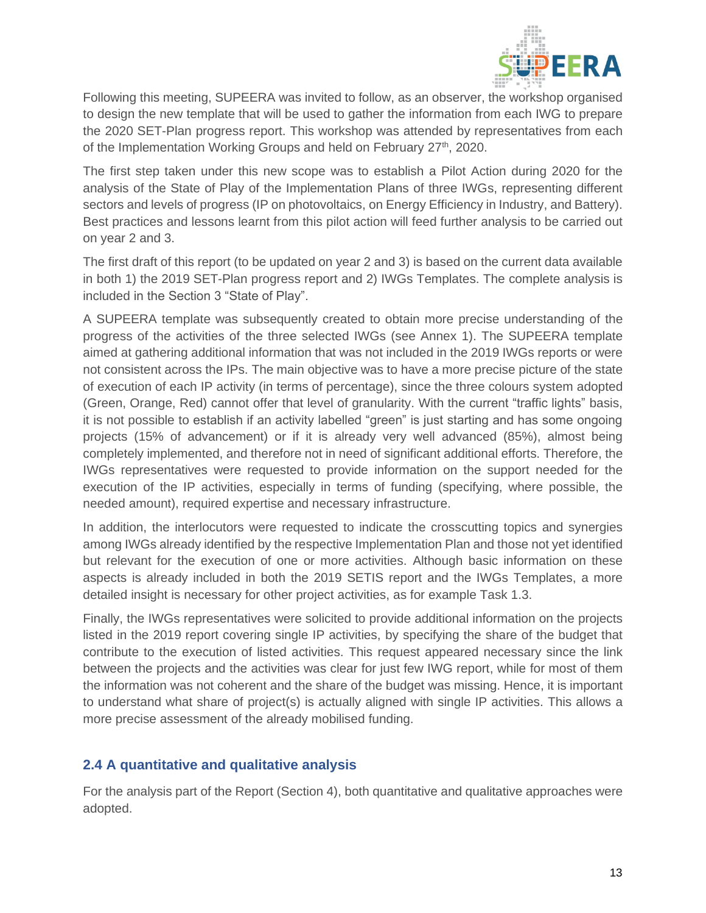

Following this meeting, SUPEERA was invited to follow, as an observer, the workshop organised to design the new template that will be used to gather the information from each IWG to prepare the 2020 SET-Plan progress report. This workshop was attended by representatives from each of the Implementation Working Groups and held on February 27<sup>th</sup>, 2020.

The first step taken under this new scope was to establish a Pilot Action during 2020 for the analysis of the State of Play of the Implementation Plans of three IWGs, representing different sectors and levels of progress (IP on photovoltaics, on Energy Efficiency in Industry, and Battery). Best practices and lessons learnt from this pilot action will feed further analysis to be carried out on year 2 and 3.

The first draft of this report (to be updated on year 2 and 3) is based on the current data available in both 1) the 2019 SET-Plan progress report and 2) IWGs Templates. The complete analysis is included in the Section 3 "State of Play".

A SUPEERA template was subsequently created to obtain more precise understanding of the progress of the activities of the three selected IWGs (see Annex 1). The SUPEERA template aimed at gathering additional information that was not included in the 2019 IWGs reports or were not consistent across the IPs. The main objective was to have a more precise picture of the state of execution of each IP activity (in terms of percentage), since the three colours system adopted (Green, Orange, Red) cannot offer that level of granularity. With the current "traffic lights" basis, it is not possible to establish if an activity labelled "green" is just starting and has some ongoing projects (15% of advancement) or if it is already very well advanced (85%), almost being completely implemented, and therefore not in need of significant additional efforts. Therefore, the IWGs representatives were requested to provide information on the support needed for the execution of the IP activities, especially in terms of funding (specifying, where possible, the needed amount), required expertise and necessary infrastructure.

In addition, the interlocutors were requested to indicate the crosscutting topics and synergies among IWGs already identified by the respective Implementation Plan and those not yet identified but relevant for the execution of one or more activities. Although basic information on these aspects is already included in both the 2019 SETIS report and the IWGs Templates, a more detailed insight is necessary for other project activities, as for example Task 1.3.

Finally, the IWGs representatives were solicited to provide additional information on the projects listed in the 2019 report covering single IP activities, by specifying the share of the budget that contribute to the execution of listed activities. This request appeared necessary since the link between the projects and the activities was clear for just few IWG report, while for most of them the information was not coherent and the share of the budget was missing. Hence, it is important to understand what share of project(s) is actually aligned with single IP activities. This allows a more precise assessment of the already mobilised funding.

## <span id="page-13-0"></span>**2.4 A quantitative and qualitative analysis**

For the analysis part of the Report (Section 4), both quantitative and qualitative approaches were adopted.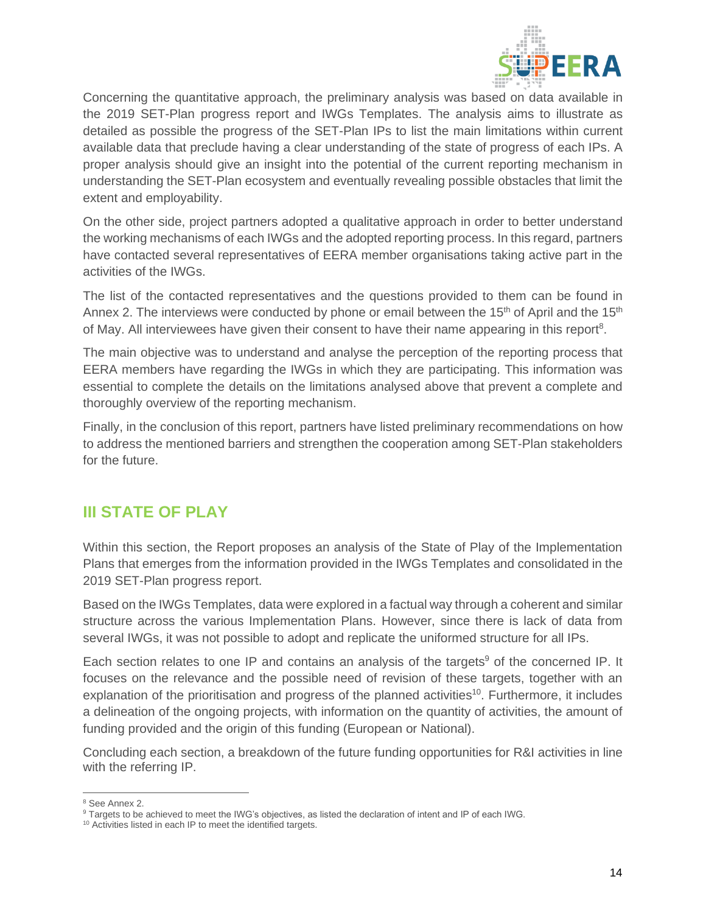

Concerning the quantitative approach, the preliminary analysis was based on data available in the 2019 SET-Plan progress report and IWGs Templates. The analysis aims to illustrate as detailed as possible the progress of the SET-Plan IPs to list the main limitations within current available data that preclude having a clear understanding of the state of progress of each IPs. A proper analysis should give an insight into the potential of the current reporting mechanism in understanding the SET-Plan ecosystem and eventually revealing possible obstacles that limit the extent and employability.

On the other side, project partners adopted a qualitative approach in order to better understand the working mechanisms of each IWGs and the adopted reporting process. In this regard, partners have contacted several representatives of EERA member organisations taking active part in the activities of the IWGs.

The list of the contacted representatives and the questions provided to them can be found in Annex 2. The interviews were conducted by phone or email between the 15<sup>th</sup> of April and the 15<sup>th</sup> of May. All interviewees have given their consent to have their name appearing in this report<sup>8</sup>.

The main objective was to understand and analyse the perception of the reporting process that EERA members have regarding the IWGs in which they are participating. This information was essential to complete the details on the limitations analysed above that prevent a complete and thoroughly overview of the reporting mechanism.

Finally, in the conclusion of this report, partners have listed preliminary recommendations on how to address the mentioned barriers and strengthen the cooperation among SET-Plan stakeholders for the future.

# <span id="page-14-0"></span>**III STATE OF PLAY**

Within this section, the Report proposes an analysis of the State of Play of the Implementation Plans that emerges from the information provided in the IWGs Templates and consolidated in the 2019 SET-Plan progress report.

Based on the IWGs Templates, data were explored in a factual way through a coherent and similar structure across the various Implementation Plans. However, since there is lack of data from several IWGs, it was not possible to adopt and replicate the uniformed structure for all IPs.

Each section relates to one IP and contains an analysis of the targets<sup>9</sup> of the concerned IP. It focuses on the relevance and the possible need of revision of these targets, together with an explanation of the prioritisation and progress of the planned activities<sup>10</sup>. Furthermore, it includes a delineation of the ongoing projects, with information on the quantity of activities, the amount of funding provided and the origin of this funding (European or National).

Concluding each section, a breakdown of the future funding opportunities for R&I activities in line with the referring IP.

<sup>&</sup>lt;sup>8</sup> See Annex 2.

<sup>&</sup>lt;sup>9</sup> Targets to be achieved to meet the IWG's objectives, as listed the declaration of intent and IP of each IWG.

<sup>&</sup>lt;sup>10</sup> Activities listed in each IP to meet the identified targets.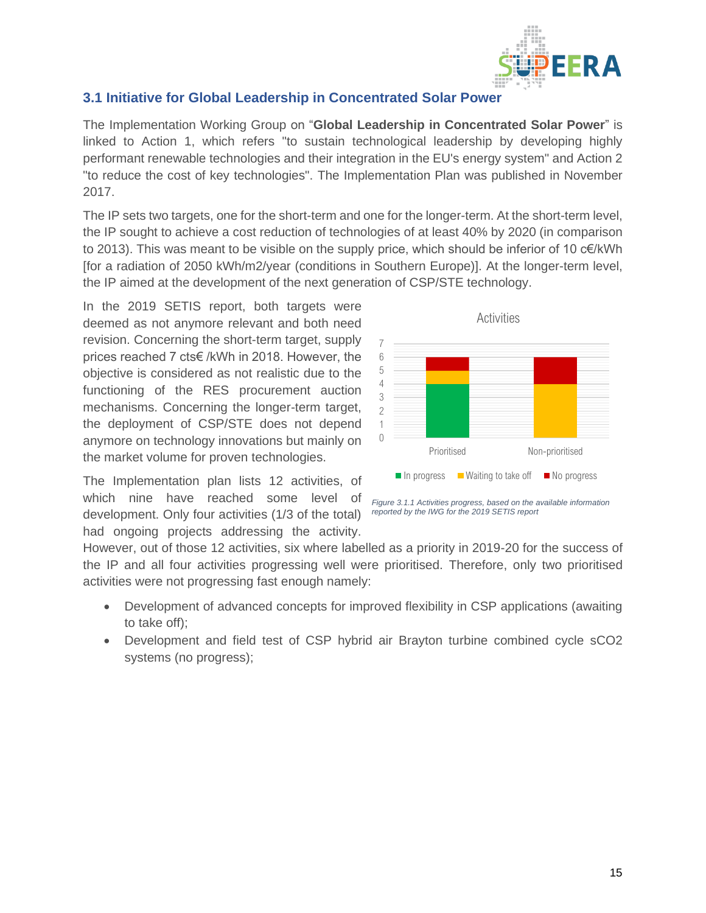

## <span id="page-15-0"></span>**3.1 Initiative for Global Leadership in Concentrated Solar Power**

The Implementation Working Group on "**Global Leadership in Concentrated Solar Power**" is linked to Action 1, which refers "to sustain technological leadership by developing highly performant renewable technologies and their integration in the EU's energy system" and Action 2 "to reduce the cost of key technologies". The Implementation Plan was published in November 2017.

The IP sets two targets, one for the short-term and one for the longer-term. At the short-term level, the IP sought to achieve a cost reduction of technologies of at least 40% by 2020 (in comparison to 2013). This was meant to be visible on the supply price, which should be inferior of 10 c€/kWh [for a radiation of 2050 kWh/m2/year (conditions in Southern Europe)]. At the longer-term level, the IP aimed at the development of the next generation of CSP/STE technology.

In the 2019 SETIS report, both targets were deemed as not anymore relevant and both need revision. Concerning the short-term target, supply prices reached 7 cts€ /kWh in 2018. However, the objective is considered as not realistic due to the functioning of the RES procurement auction mechanisms. Concerning the longer-term target, the deployment of CSP/STE does not depend anymore on technology innovations but mainly on the market volume for proven technologies.

The Implementation plan lists 12 activities, of which nine have reached some level of development. Only four activities (1/3 of the total) had ongoing projects addressing the activity.



*Figure 3.1.1 Activities progress, based on the available information reported by the IWG for the 2019 SETIS report*

However, out of those 12 activities, six where labelled as a priority in 2019-20 for the success of the IP and all four activities progressing well were prioritised. Therefore, only two prioritised activities were not progressing fast enough namely:

- Development of advanced concepts for improved flexibility in CSP applications (awaiting to take off);
- Development and field test of CSP hybrid air Brayton turbine combined cycle sCO2 systems (no progress);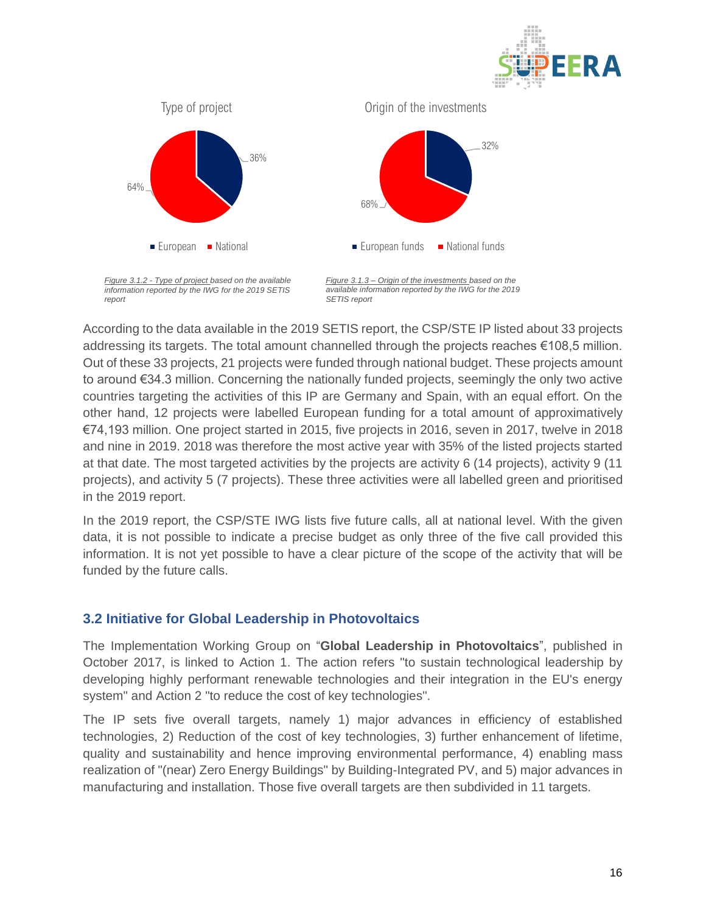



According to the data available in the 2019 SETIS report, the CSP/STE IP listed about 33 projects addressing its targets. The total amount channelled through the projects reaches €108,5 million. Out of these 33 projects, 21 projects were funded through national budget. These projects amount to around €34.3 million. Concerning the nationally funded projects, seemingly the only two active countries targeting the activities of this IP are Germany and Spain, with an equal effort. On the other hand, 12 projects were labelled European funding for a total amount of approximatively €74,193 million. One project started in 2015, five projects in 2016, seven in 2017, twelve in 2018 and nine in 2019. 2018 was therefore the most active year with 35% of the listed projects started at that date. The most targeted activities by the projects are activity 6 (14 projects), activity 9 (11 projects), and activity 5 (7 projects). These three activities were all labelled green and prioritised in the 2019 report.

In the 2019 report, the CSP/STE IWG lists five future calls, all at national level. With the given data, it is not possible to indicate a precise budget as only three of the five call provided this information. It is not yet possible to have a clear picture of the scope of the activity that will be funded by the future calls.

#### <span id="page-16-0"></span>**3.2 Initiative for Global Leadership in Photovoltaics**

The Implementation Working Group on "**Global Leadership in Photovoltaics**", published in October 2017, is linked to Action 1. The action refers "to sustain technological leadership by developing highly performant renewable technologies and their integration in the EU's energy system" and Action 2 "to reduce the cost of key technologies".

The IP sets five overall targets, namely 1) major advances in efficiency of established technologies, 2) Reduction of the cost of key technologies, 3) further enhancement of lifetime, quality and sustainability and hence improving environmental performance, 4) enabling mass realization of "(near) Zero Energy Buildings" by Building-Integrated PV, and 5) major advances in manufacturing and installation. Those five overall targets are then subdivided in 11 targets.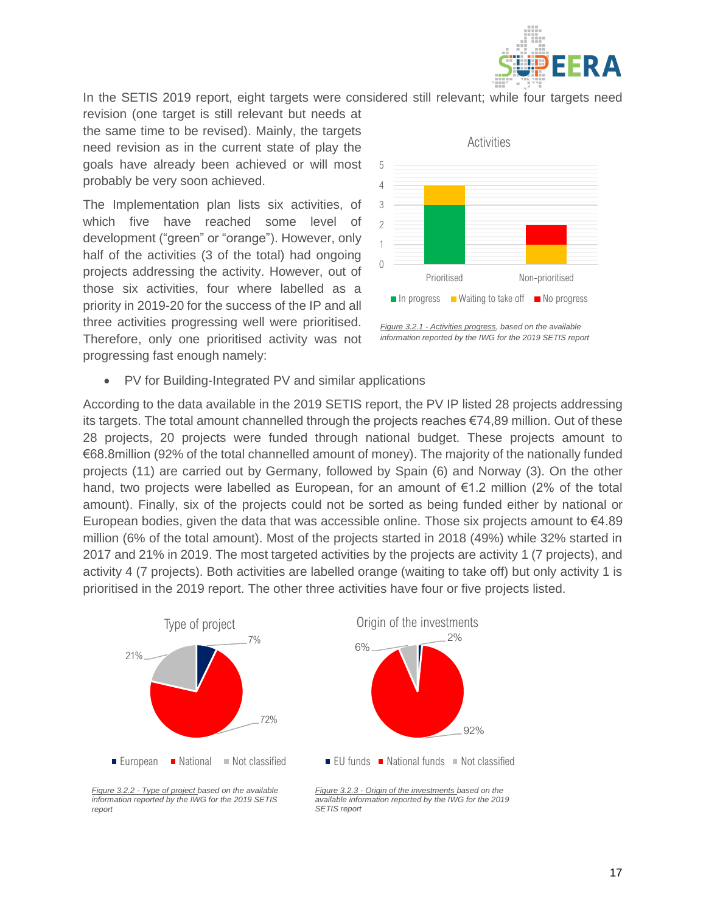

In the SETIS 2019 report, eight targets were considered still relevant; while four targets need

revision (one target is still relevant but needs at the same time to be revised). Mainly, the targets need revision as in the current state of play the goals have already been achieved or will most probably be very soon achieved.

The Implementation plan lists six activities, of which five have reached some level of development ("green" or "orange"). However, only half of the activities (3 of the total) had ongoing projects addressing the activity. However, out of those six activities, four where labelled as a priority in 2019-20 for the success of the IP and all three activities progressing well were prioritised. Therefore, only one prioritised activity was not progressing fast enough namely:



*Figure 3.2.1 - Activities progress, based on the available information reported by the IWG for the 2019 SETIS report*

PV for Building-Integrated PV and similar applications

According to the data available in the 2019 SETIS report, the PV IP listed 28 projects addressing its targets. The total amount channelled through the projects reaches €74,89 million. Out of these 28 projects, 20 projects were funded through national budget. These projects amount to €68.8million (92% of the total channelled amount of money). The majority of the nationally funded projects (11) are carried out by Germany, followed by Spain (6) and Norway (3). On the other hand, two projects were labelled as European, for an amount of €1.2 million (2% of the total amount). Finally, six of the projects could not be sorted as being funded either by national or European bodies, given the data that was accessible online. Those six projects amount to  $€4.89$ million (6% of the total amount). Most of the projects started in 2018 (49%) while 32% started in 2017 and 21% in 2019. The most targeted activities by the projects are activity 1 (7 projects), and activity 4 (7 projects). Both activities are labelled orange (waiting to take off) but only activity 1 is prioritised in the 2019 report. The other three activities have four or five projects listed.



*Figure 3.2.2 - Type of project based on the available information reported by the IWG for the 2019 SETIS report*

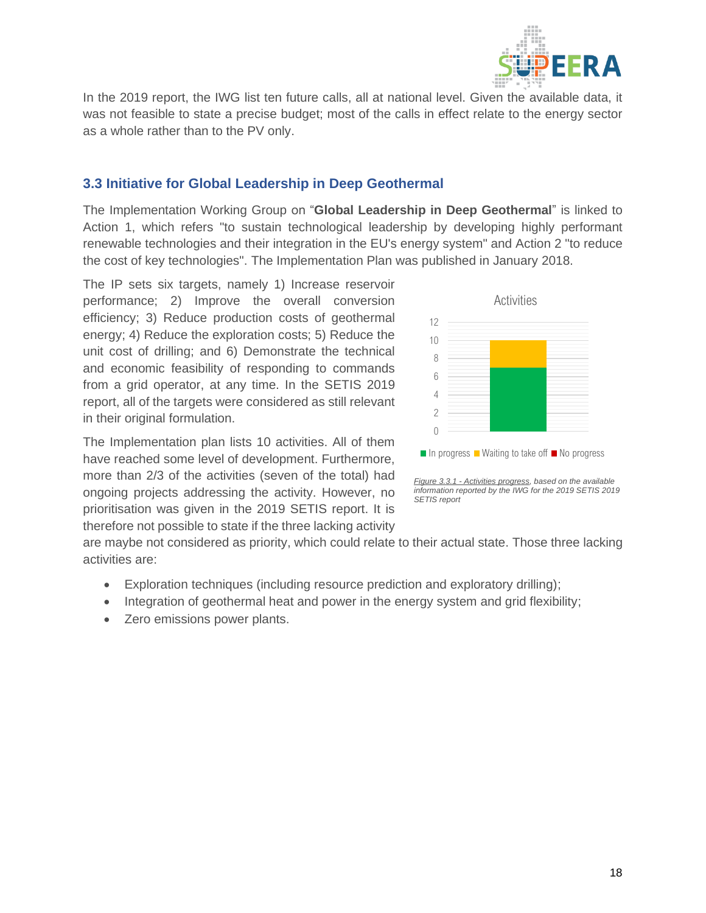

In the 2019 report, the IWG list ten future calls, all at national level. Given the available data, it was not feasible to state a precise budget; most of the calls in effect relate to the energy sector as a whole rather than to the PV only.

## <span id="page-18-0"></span>**3.3 Initiative for Global Leadership in Deep Geothermal**

The Implementation Working Group on "**Global Leadership in Deep Geothermal**" is linked to Action 1, which refers "to sustain technological leadership by developing highly performant renewable technologies and their integration in the EU's energy system" and Action 2 "to reduce the cost of key technologies". The Implementation Plan was published in January 2018.

The IP sets six targets, namely 1) Increase reservoir performance; 2) Improve the overall conversion efficiency; 3) Reduce production costs of geothermal energy; 4) Reduce the exploration costs; 5) Reduce the unit cost of drilling; and 6) Demonstrate the technical and economic feasibility of responding to commands from a grid operator, at any time. In the SETIS 2019 report, all of the targets were considered as still relevant in their original formulation.

The Implementation plan lists 10 activities. All of them have reached some level of development. Furthermore, more than 2/3 of the activities (seven of the total) had ongoing projects addressing the activity. However, no prioritisation was given in the 2019 SETIS report. It is therefore not possible to state if the three lacking activity





are maybe not considered as priority, which could relate to their actual state. Those three lacking activities are:

- Exploration techniques (including resource prediction and exploratory drilling);
- Integration of geothermal heat and power in the energy system and grid flexibility;
- Zero emissions power plants.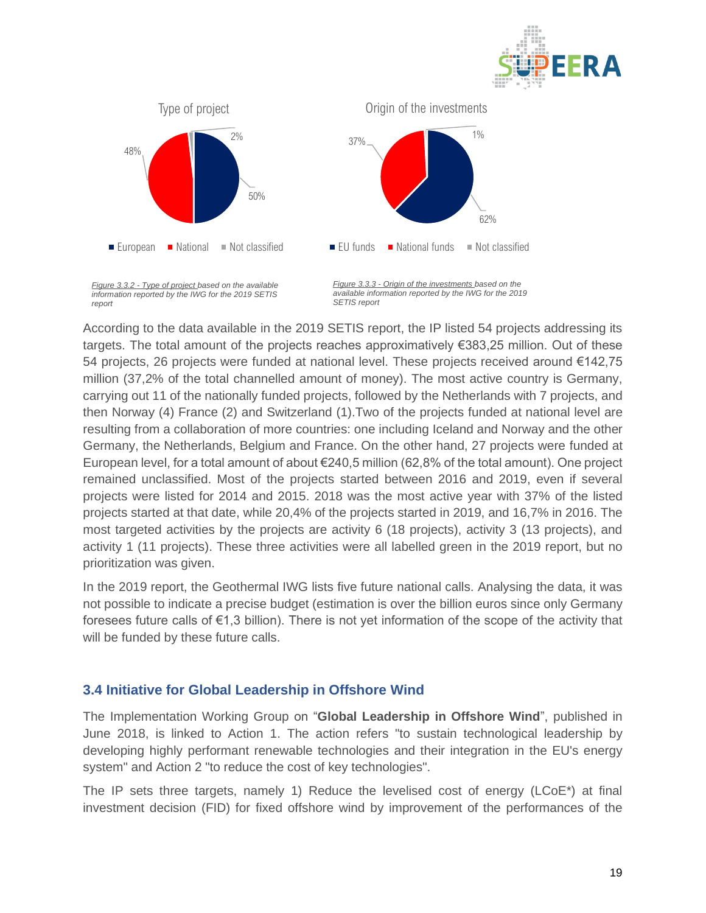



According to the data available in the 2019 SETIS report, the IP listed 54 projects addressing its targets. The total amount of the projects reaches approximatively €383,25 million. Out of these 54 projects, 26 projects were funded at national level. These projects received around €142,75 million (37,2% of the total channelled amount of money). The most active country is Germany, carrying out 11 of the nationally funded projects, followed by the Netherlands with 7 projects, and then Norway (4) France (2) and Switzerland (1).Two of the projects funded at national level are resulting from a collaboration of more countries: one including Iceland and Norway and the other Germany, the Netherlands, Belgium and France. On the other hand, 27 projects were funded at European level, for a total amount of about €240,5 million (62,8% of the total amount). One project remained unclassified. Most of the projects started between 2016 and 2019, even if several projects were listed for 2014 and 2015. 2018 was the most active year with 37% of the listed projects started at that date, while 20,4% of the projects started in 2019, and 16,7% in 2016. The most targeted activities by the projects are activity 6 (18 projects), activity 3 (13 projects), and activity 1 (11 projects). These three activities were all labelled green in the 2019 report, but no prioritization was given.

In the 2019 report, the Geothermal IWG lists five future national calls. Analysing the data, it was not possible to indicate a precise budget (estimation is over the billion euros since only Germany foresees future calls of €1,3 billion). There is not yet information of the scope of the activity that will be funded by these future calls.

#### <span id="page-19-0"></span>**3.4 Initiative for Global Leadership in Offshore Wind**

The Implementation Working Group on "**Global Leadership in Offshore Wind**", published in June 2018, is linked to Action 1. The action refers "to sustain technological leadership by developing highly performant renewable technologies and their integration in the EU's energy system" and Action 2 "to reduce the cost of key technologies".

The IP sets three targets, namely 1) Reduce the levelised cost of energy (LCoE\*) at final investment decision (FID) for fixed offshore wind by improvement of the performances of the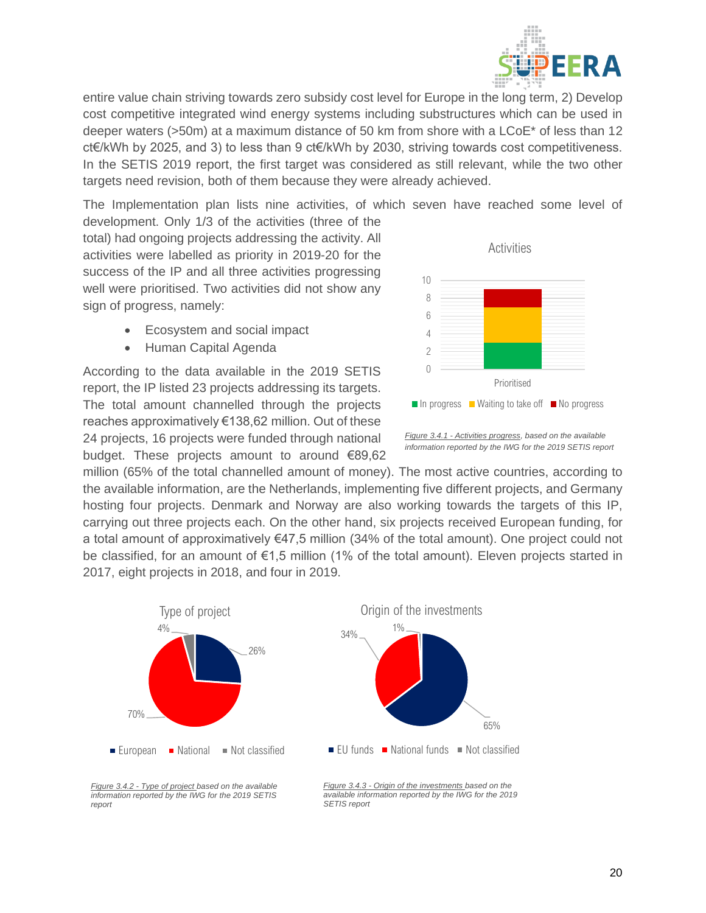

entire value chain striving towards zero subsidy cost level for Europe in the long term, 2) Develop cost competitive integrated wind energy systems including substructures which can be used in deeper waters (>50m) at a maximum distance of 50 km from shore with a LCoE\* of less than 12 ct€/kWh by 2025, and 3) to less than 9 ct€/kWh by 2030, striving towards cost competitiveness. In the SETIS 2019 report, the first target was considered as still relevant, while the two other targets need revision, both of them because they were already achieved.

The Implementation plan lists nine activities, of which seven have reached some level of development. Only 1/3 of the activities (three of the

total) had ongoing projects addressing the activity. All activities were labelled as priority in 2019-20 for the success of the IP and all three activities progressing well were prioritised. Two activities did not show any sign of progress, namely:

- Ecosystem and social impact
- Human Capital Agenda

According to the data available in the 2019 SETIS report, the IP listed 23 projects addressing its targets. The total amount channelled through the projects reaches approximatively €138,62 million. Out of these 24 projects, 16 projects were funded through national budget. These projects amount to around €89,62



*Figure 3.4.1 - Activities progress, based on the available information reported by the IWG for the 2019 SETIS report*

million (65% of the total channelled amount of money). The most active countries, according to the available information, are the Netherlands, implementing five different projects, and Germany hosting four projects. Denmark and Norway are also working towards the targets of this IP, carrying out three projects each. On the other hand, six projects received European funding, for a total amount of approximatively €47,5 million (34% of the total amount). One project could not be classified, for an amount of €1,5 million (1% of the total amount). Eleven projects started in 2017, eight projects in 2018, and four in 2019.



*Figure 3.4.2 - Type of project based on the available information reported by the IWG for the 2019 SETIS report*

*Figure 3.4.3 - Origin of the investments based on the available information reported by the IWG for the 2019 SETIS report*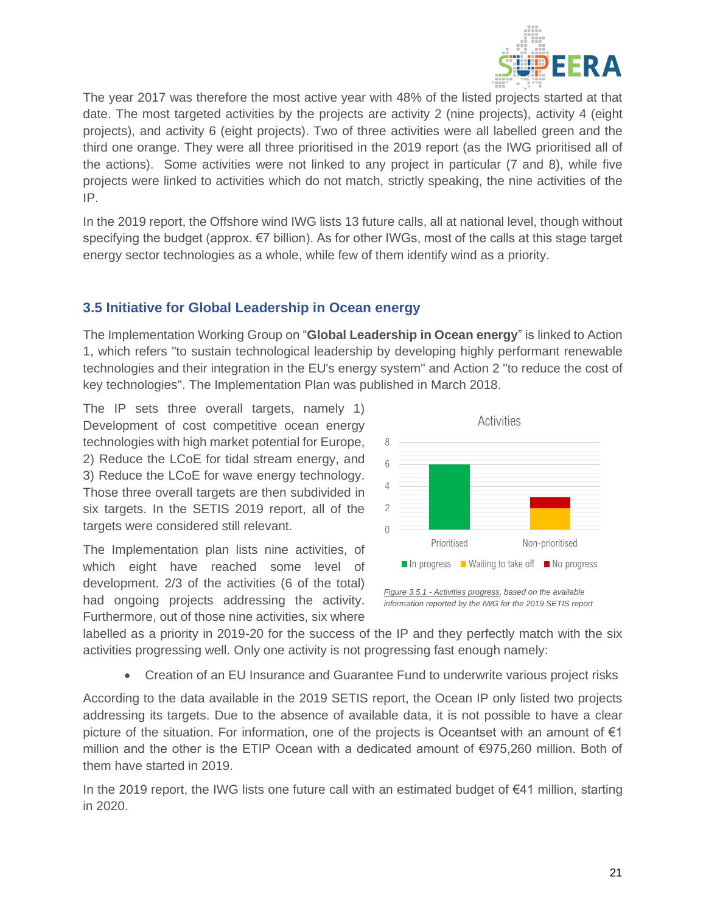

The year 2017 was therefore the most active year with 48% of the listed projects started at that date. The most targeted activities by the projects are activity 2 (nine projects), activity 4 (eight projects), and activity 6 (eight projects). Two of three activities were all labelled green and the third one orange. They were all three prioritised in the 2019 report (as the IWG prioritised all of the actions). Some activities were not linked to any project in particular (7 and 8), while five projects were linked to activities which do not match, strictly speaking, the nine activities of the IP.

In the 2019 report, the Offshore wind IWG lists 13 future calls, all at national level, though without specifying the budget (approx. €7 billion). As for other IWGs, most of the calls at this stage target energy sector technologies as a whole, while few of them identify wind as a priority.

### <span id="page-21-0"></span>**3.5 Initiative for Global Leadership in Ocean energy**

The Implementation Working Group on "**Global Leadership in Ocean energy**" is linked to Action 1, which refers "to sustain technological leadership by developing highly performant renewable technologies and their integration in the EU's energy system" and Action 2 "to reduce the cost of key technologies". The Implementation Plan was published in March 2018.

The IP sets three overall targets, namely 1) Development of cost competitive ocean energy technologies with high market potential for Europe, 2) Reduce the LCoE for tidal stream energy, and 3) Reduce the LCoE for wave energy technology. Those three overall targets are then subdivided in six targets. In the SETIS 2019 report, all of the targets were considered still relevant.

The Implementation plan lists nine activities, of which eight have reached some level of development. 2/3 of the activities (6 of the total) had ongoing projects addressing the activity. Furthermore, out of those nine activities, six where



*information reported by the IWG for the 2019 SETIS report*

labelled as a priority in 2019-20 for the success of the IP and they perfectly match with the six activities progressing well. Only one activity is not progressing fast enough namely:

• Creation of an EU Insurance and Guarantee Fund to underwrite various project risks

According to the data available in the 2019 SETIS report, the Ocean IP only listed two projects addressing its targets. Due to the absence of available data, it is not possible to have a clear picture of the situation. For information, one of the projects is Oceantset with an amount of  $\epsilon_1$ million and the other is the ETIP Ocean with a dedicated amount of €975,260 million. Both of them have started in 2019.

In the 2019 report, the IWG lists one future call with an estimated budget of €41 million, starting in 2020.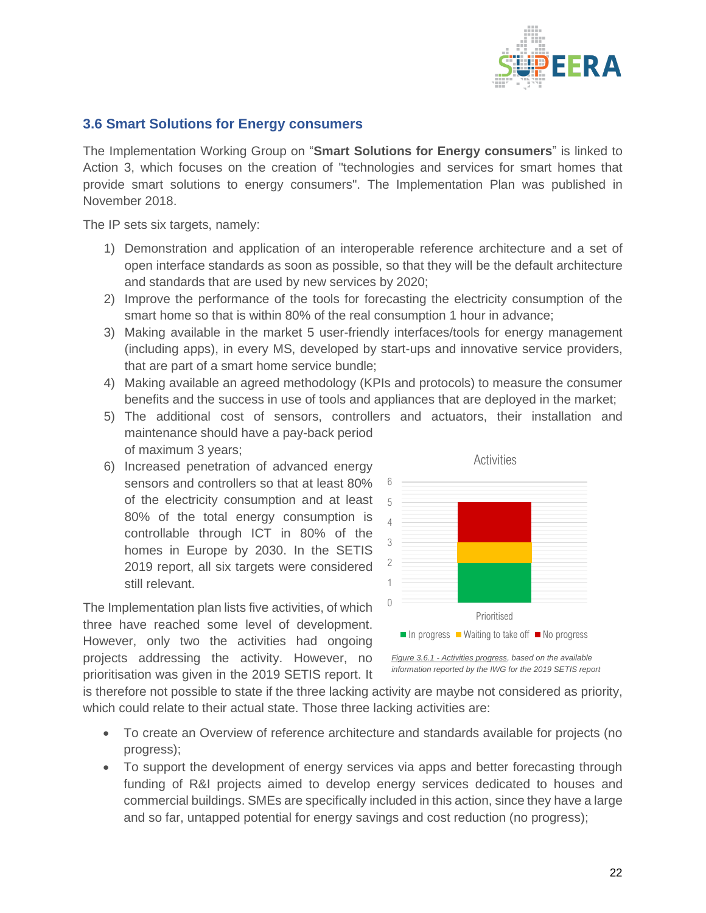

#### <span id="page-22-0"></span>**3.6 Smart Solutions for Energy consumers**

The Implementation Working Group on "**Smart Solutions for Energy consumers**" is linked to Action 3, which focuses on the creation of "technologies and services for smart homes that provide smart solutions to energy consumers". The Implementation Plan was published in November 2018.

The IP sets six targets, namely:

- 1) Demonstration and application of an interoperable reference architecture and a set of open interface standards as soon as possible, so that they will be the default architecture and standards that are used by new services by 2020;
- 2) Improve the performance of the tools for forecasting the electricity consumption of the smart home so that is within 80% of the real consumption 1 hour in advance;
- 3) Making available in the market 5 user-friendly interfaces/tools for energy management (including apps), in every MS, developed by start-ups and innovative service providers, that are part of a smart home service bundle;
- 4) Making available an agreed methodology (KPIs and protocols) to measure the consumer benefits and the success in use of tools and appliances that are deployed in the market;
- 5) The additional cost of sensors, controllers and actuators, their installation and maintenance should have a pay-back period of maximum 3 years;
- 6) Increased penetration of advanced energy sensors and controllers so that at least 80% of the electricity consumption and at least 80% of the total energy consumption is controllable through ICT in 80% of the homes in Europe by 2030. In the SETIS 2019 report, all six targets were considered still relevant.

The Implementation plan lists five activities, of which three have reached some level of development. However, only two the activities had ongoing projects addressing the activity. However, no prioritisation was given in the 2019 SETIS report. It



*Figure 3.6.1 - Activities progress, based on the available information reported by the IWG for the 2019 SETIS report*

is therefore not possible to state if the three lacking activity are maybe not considered as priority, which could relate to their actual state. Those three lacking activities are:

- To create an Overview of reference architecture and standards available for projects (no progress);
- To support the development of energy services via apps and better forecasting through funding of R&I projects aimed to develop energy services dedicated to houses and commercial buildings. SMEs are specifically included in this action, since they have a large and so far, untapped potential for energy savings and cost reduction (no progress);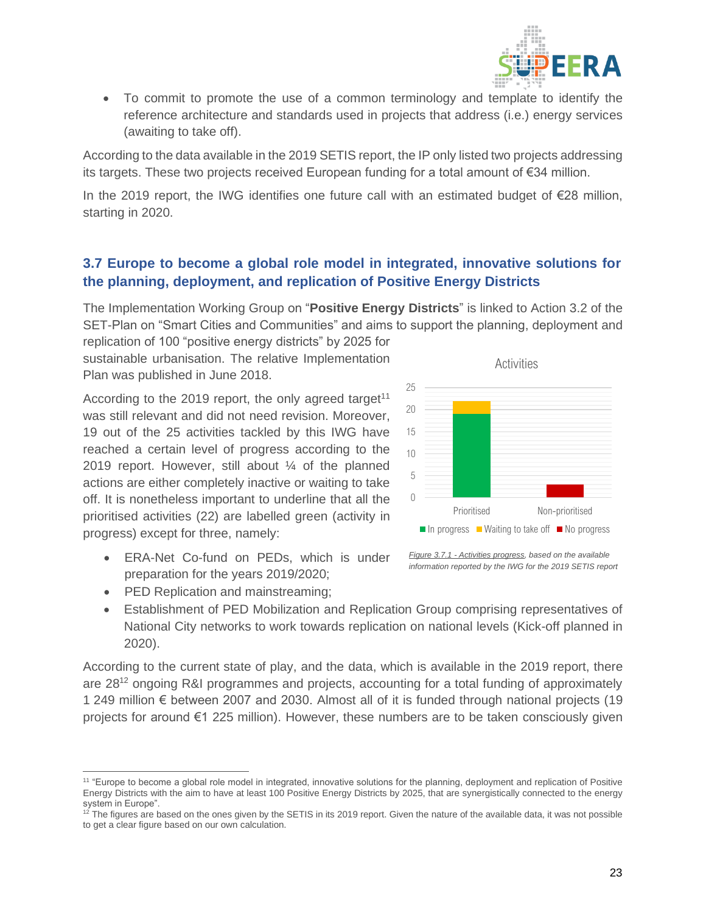

• To commit to promote the use of a common terminology and template to identify the reference architecture and standards used in projects that address (i.e.) energy services (awaiting to take off).

According to the data available in the 2019 SETIS report, the IP only listed two projects addressing its targets. These two projects received European funding for a total amount of €34 million.

In the 2019 report, the IWG identifies one future call with an estimated budget of €28 million, starting in 2020.

### <span id="page-23-0"></span>**3.7 Europe to become a global role model in integrated, innovative solutions for the planning, deployment, and replication of Positive Energy Districts**

The Implementation Working Group on "**Positive Energy Districts**" is linked to Action 3.2 of the SET-Plan on "Smart Cities and Communities" and aims to support the planning, deployment and

replication of 100 "positive energy districts" by 2025 for sustainable urbanisation. The relative Implementation Plan was published in June 2018.

According to the 2019 report, the only agreed target<sup>11</sup> was still relevant and did not need revision. Moreover, 19 out of the 25 activities tackled by this IWG have reached a certain level of progress according to the 2019 report. However, still about ¼ of the planned actions are either completely inactive or waiting to take off. It is nonetheless important to underline that all the prioritised activities (22) are labelled green (activity in progress) except for three, namely:

- ERA-Net Co-fund on PEDs, which is under preparation for the years 2019/2020;
- PED Replication and mainstreaming;



*Figure 3.7.1 - Activities progress, based on the available information reported by the IWG for the 2019 SETIS report*

• Establishment of PED Mobilization and Replication Group comprising representatives of National City networks to work towards replication on national levels (Kick-off planned in 2020).

According to the current state of play, and the data, which is available in the 2019 report, there are 28<sup>12</sup> ongoing R&I programmes and projects, accounting for a total funding of approximately 1 249 million € between 2007 and 2030. Almost all of it is funded through national projects (19 projects for around €1 225 million). However, these numbers are to be taken consciously given

<sup>&</sup>lt;sup>11</sup> "Europe to become a global role model in integrated, innovative solutions for the planning, deployment and replication of Positive Energy Districts with the aim to have at least 100 Positive Energy Districts by 2025, that are synergistically connected to the energy system in Europe".

<sup>&</sup>lt;sup>12</sup> The figures are based on the ones given by the SETIS in its 2019 report. Given the nature of the available data, it was not possible to get a clear figure based on our own calculation.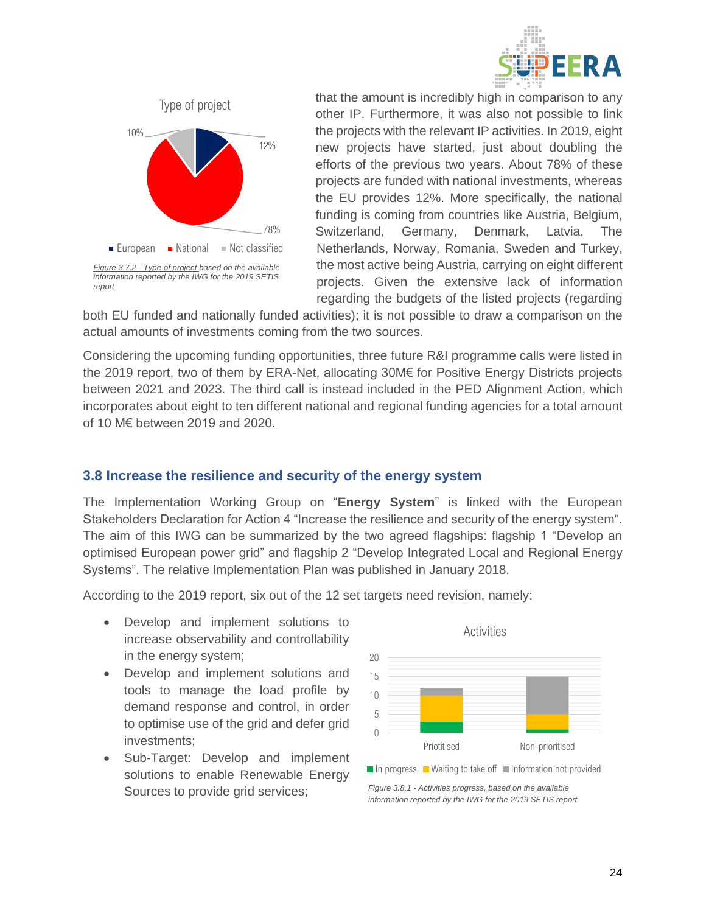



that the amount is incredibly high in comparison to any other IP. Furthermore, it was also not possible to link the projects with the relevant IP activities. In 2019, eight new projects have started, just about doubling the efforts of the previous two years. About 78% of these projects are funded with national investments, whereas the EU provides 12%. More specifically, the national funding is coming from countries like Austria, Belgium, Switzerland, Germany, Denmark, Latvia, The Netherlands, Norway, Romania, Sweden and Turkey, the most active being Austria, carrying on eight different projects. Given the extensive lack of information regarding the budgets of the listed projects (regarding

both EU funded and nationally funded activities); it is not possible to draw a comparison on the actual amounts of investments coming from the two sources.

Considering the upcoming funding opportunities, three future R&I programme calls were listed in the 2019 report, two of them by ERA-Net, allocating 30M€ for Positive Energy Districts projects between 2021 and 2023. The third call is instead included in the PED Alignment Action, which incorporates about eight to ten different national and regional funding agencies for a total amount of 10 M€ between 2019 and 2020.

#### <span id="page-24-0"></span>**3.8 Increase the resilience and security of the energy system**

The Implementation Working Group on "**Energy System**" is linked with the European Stakeholders Declaration for Action 4 "Increase the resilience and security of the energy system". The aim of this IWG can be summarized by the two agreed flagships: flagship 1 "Develop an optimised European power grid" and flagship 2 "Develop Integrated Local and Regional Energy Systems". The relative Implementation Plan was published in January 2018.

According to the 2019 report, six out of the 12 set targets need revision, namely:

- Develop and implement solutions to increase observability and controllability in the energy system;
- Develop and implement solutions and tools to manage the load profile by demand response and control, in order to optimise use of the grid and defer grid investments;
- Sub-Target: Develop and implement solutions to enable Renewable Energy Sources to provide grid services;



*Figure 3.8.1 - Activities progress, based on the available information reported by the IWG for the 2019 SETIS report*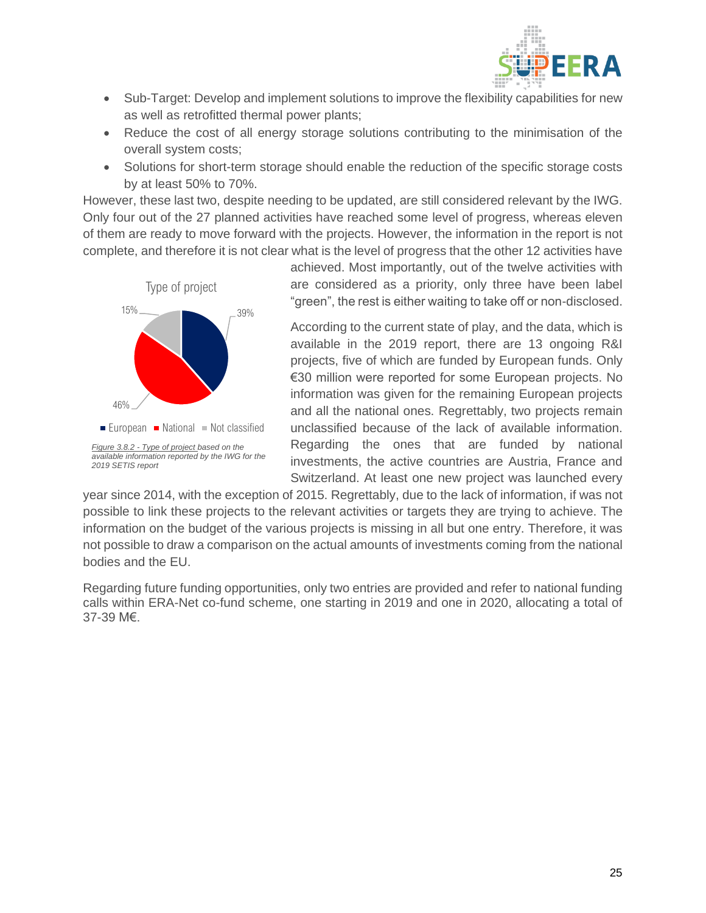

- Sub-Target: Develop and implement solutions to improve the flexibility capabilities for new as well as retrofitted thermal power plants;
- Reduce the cost of all energy storage solutions contributing to the minimisation of the overall system costs;
- Solutions for short-term storage should enable the reduction of the specific storage costs by at least 50% to 70%.

However, these last two, despite needing to be updated, are still considered relevant by the IWG. Only four out of the 27 planned activities have reached some level of progress, whereas eleven of them are ready to move forward with the projects. However, the information in the report is not complete, and therefore it is not clear what is the level of progress that the other 12 activities have



achieved. Most importantly, out of the twelve activities with are considered as a priority, only three have been label "green", the rest is either waiting to take off or non-disclosed.

According to the current state of play, and the data, which is available in the 2019 report, there are 13 ongoing R&I projects, five of which are funded by European funds. Only €30 million were reported for some European projects. No information was given for the remaining European projects and all the national ones. Regrettably, two projects remain unclassified because of the lack of available information. Regarding the ones that are funded by national investments, the active countries are Austria, France and Switzerland. At least one new project was launched every

year since 2014, with the exception of 2015. Regrettably, due to the lack of information, if was not possible to link these projects to the relevant activities or targets they are trying to achieve. The information on the budget of the various projects is missing in all but one entry. Therefore, it was not possible to draw a comparison on the actual amounts of investments coming from the national bodies and the EU.

Regarding future funding opportunities, only two entries are provided and refer to national funding calls within ERA-Net co-fund scheme, one starting in 2019 and one in 2020, allocating a total of 37-39 M€.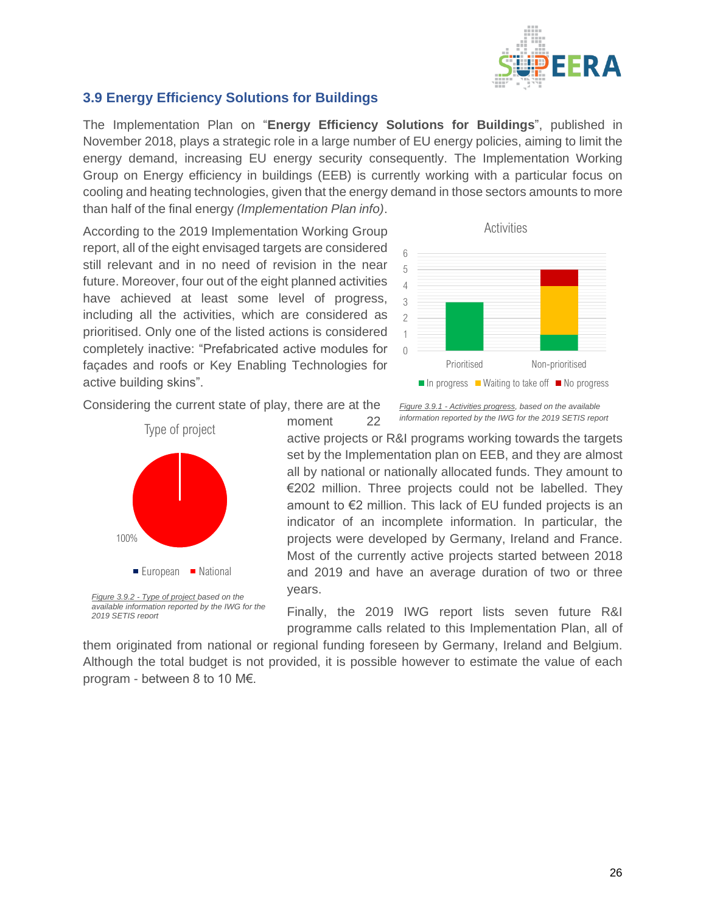

## <span id="page-26-0"></span>**3.9 Energy Efficiency Solutions for Buildings**

The Implementation Plan on "**Energy Efficiency Solutions for Buildings**", published in November 2018, plays a strategic role in a large number of EU energy policies, aiming to limit the energy demand, increasing EU energy security consequently. The Implementation Working Group on Energy efficiency in buildings (EEB) is currently working with a particular focus on cooling and heating technologies, given that the energy demand in those sectors amounts to more than half of the final energy *(Implementation Plan info)*.

According to the 2019 Implementation Working Group report, all of the eight envisaged targets are considered still relevant and in no need of revision in the near future. Moreover, four out of the eight planned activities have achieved at least some level of progress, including all the activities, which are considered as prioritised. Only one of the listed actions is considered completely inactive: "Prefabricated active modules for façades and roofs or Key Enabling Technologies for active building skins".



Considering the current state of play, there are at the



*2019 SETIS report*

*Figure 3.9.1 - Activities progress, based on the available information reported by the IWG for the 2019 SETIS report*

active projects or R&I programs working towards the targets set by the Implementation plan on EEB, and they are almost all by national or nationally allocated funds. They amount to €202 million. Three projects could not be labelled. They amount to €2 million. This lack of EU funded projects is an indicator of an incomplete information. In particular, the projects were developed by Germany, Ireland and France. Most of the currently active projects started between 2018 and 2019 and have an average duration of two or three years.

Finally, the 2019 IWG report lists seven future R&I programme calls related to this Implementation Plan, all of

them originated from national or regional funding foreseen by Germany, Ireland and Belgium. Although the total budget is not provided, it is possible however to estimate the value of each program - between 8 to 10 M€.

moment 22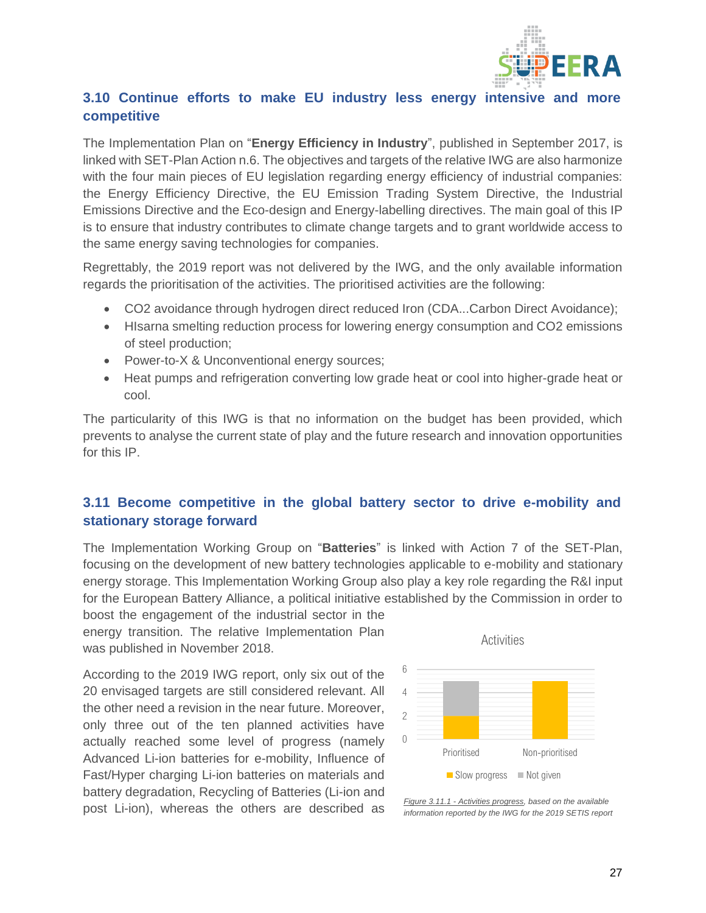

## <span id="page-27-0"></span>**3.10 Continue efforts to make EU industry less energy intensive and more competitive**

The Implementation Plan on "**Energy Efficiency in Industry**", published in September 2017, is linked with SET-Plan Action n.6. The objectives and targets of the relative IWG are also harmonize with the four main pieces of EU legislation regarding energy efficiency of industrial companies: the Energy Efficiency Directive, the EU Emission Trading System Directive, the Industrial Emissions Directive and the Eco-design and Energy-labelling directives. The main goal of this IP is to ensure that industry contributes to climate change targets and to grant worldwide access to the same energy saving technologies for companies.

Regrettably, the 2019 report was not delivered by the IWG, and the only available information regards the prioritisation of the activities. The prioritised activities are the following:

- CO2 avoidance through hydrogen direct reduced Iron (CDA...Carbon Direct Avoidance);
- HIsarna smelting reduction process for lowering energy consumption and CO2 emissions of steel production;
- Power-to-X & Unconventional energy sources;
- Heat pumps and refrigeration converting low grade heat or cool into higher-grade heat or cool.

The particularity of this IWG is that no information on the budget has been provided, which prevents to analyse the current state of play and the future research and innovation opportunities for this IP.

## <span id="page-27-1"></span>**3.11 Become competitive in the global battery sector to drive e-mobility and stationary storage forward**

The Implementation Working Group on "**Batteries**" is linked with Action 7 of the SET-Plan, focusing on the development of new battery technologies applicable to e-mobility and stationary energy storage. This Implementation Working Group also play a key role regarding the R&I input for the European Battery Alliance, a political initiative established by the Commission in order to

boost the engagement of the industrial sector in the energy transition. The relative Implementation Plan was published in November 2018.

According to the 2019 IWG report, only six out of the 20 envisaged targets are still considered relevant. All the other need a revision in the near future. Moreover, only three out of the ten planned activities have actually reached some level of progress (namely Advanced Li-ion batteries for e-mobility, Influence of Fast/Hyper charging Li-ion batteries on materials and battery degradation, Recycling of Batteries (Li-ion and post Li-ion), whereas the others are described as



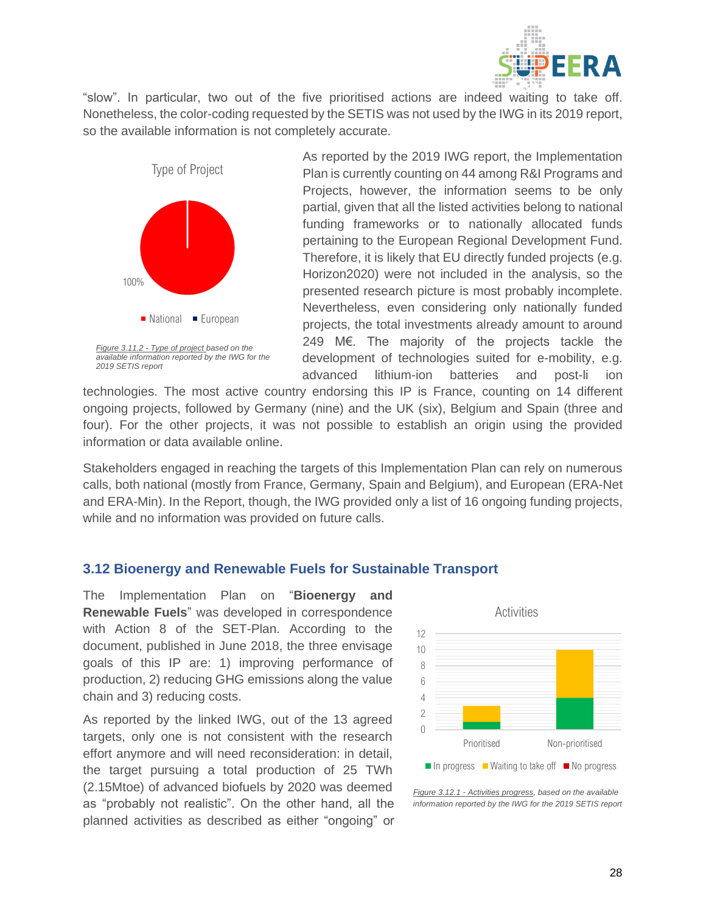

"slow". In particular, two out of the five prioritised actions are indeed waiting to take off. Nonetheless, the color-coding requested by the SETIS was not used by the IWG in its 2019 report, so the available information is not completely accurate.



As reported by the 2019 IWG report, the Implementation Plan is currently counting on 44 among R&I Programs and Projects, however, the information seems to be only partial, given that all the listed activities belong to national funding frameworks or to nationally allocated funds pertaining to the European Regional Development Fund. Therefore, it is likely that EU directly funded projects (e.g. Horizon2020) were not included in the analysis, so the presented research picture is most probably incomplete. Nevertheless, even considering only nationally funded projects, the total investments already amount to around 249 M€. The majority of the projects tackle the development of technologies suited for e-mobility, e.g. advanced lithium-ion batteries and post-li ion

technologies. The most active country endorsing this IP is France, counting on 14 different ongoing projects, followed by Germany (nine) and the UK (six), Belgium and Spain (three and four). For the other projects, it was not possible to establish an origin using the provided information or data available online.

Stakeholders engaged in reaching the targets of this Implementation Plan can rely on numerous calls, both national (mostly from France, Germany, Spain and Belgium), and European (ERA-Net and ERA-Min). In the Report, though, the IWG provided only a list of 16 ongoing funding projects, while and no information was provided on future calls.

#### <span id="page-28-0"></span>**3.12 Bioenergy and Renewable Fuels for Sustainable Transport**

The Implementation Plan on "**Bioenergy and Renewable Fuels**" was developed in correspondence with Action 8 of the SET-Plan. According to the document, published in June 2018, the three envisage goals of this IP are: 1) improving performance of production, 2) reducing GHG emissions along the value chain and 3) reducing costs.

As reported by the linked IWG, out of the 13 agreed targets, only one is not consistent with the research effort anymore and will need reconsideration: in detail, the target pursuing a total production of 25 TWh (2.15Mtoe) of advanced biofuels by 2020 was deemed as "probably not realistic". On the other hand, all the planned activities as described as either "ongoing" or



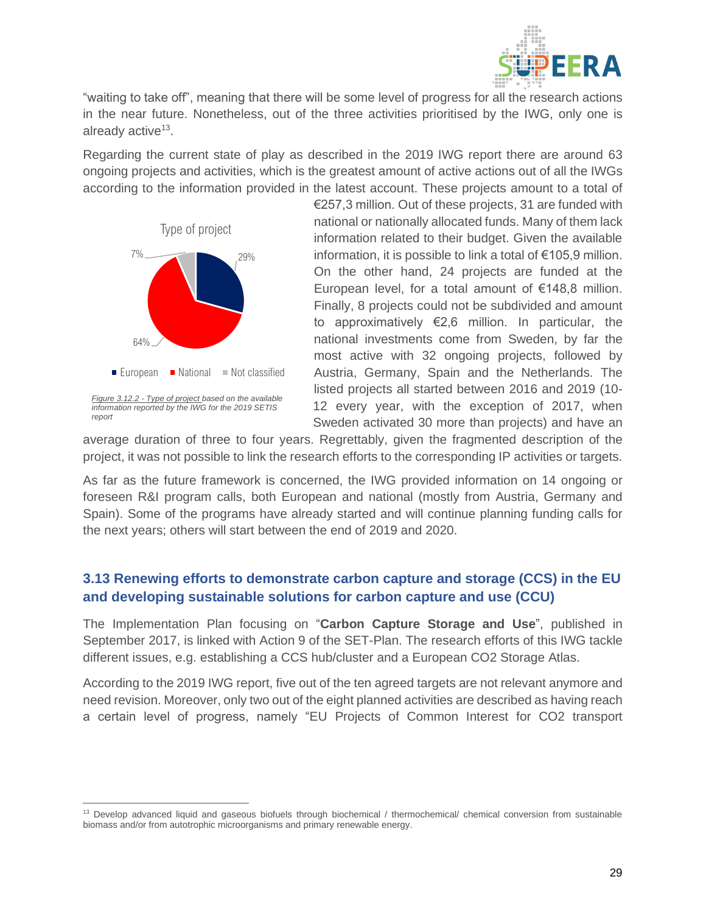

"waiting to take off", meaning that there will be some level of progress for all the research actions in the near future. Nonetheless, out of the three activities prioritised by the IWG, only one is already active<sup>13</sup>.

Regarding the current state of play as described in the 2019 IWG report there are around 63 ongoing projects and activities, which is the greatest amount of active actions out of all the IWGs according to the information provided in the latest account. These projects amount to a total of



€257,3 million. Out of these projects, 31 are funded with national or nationally allocated funds. Many of them lack information related to their budget. Given the available information, it is possible to link a total of €105,9 million. On the other hand, 24 projects are funded at the European level, for a total amount of €148,8 million. Finally, 8 projects could not be subdivided and amount to approximatively €2,6 million. In particular, the national investments come from Sweden, by far the most active with 32 ongoing projects, followed by Austria, Germany, Spain and the Netherlands. The listed projects all started between 2016 and 2019 (10- 12 every year, with the exception of 2017, when Sweden activated 30 more than projects) and have an

average duration of three to four years. Regrettably, given the fragmented description of the project, it was not possible to link the research efforts to the corresponding IP activities or targets.

As far as the future framework is concerned, the IWG provided information on 14 ongoing or foreseen R&I program calls, both European and national (mostly from Austria, Germany and Spain). Some of the programs have already started and will continue planning funding calls for the next years; others will start between the end of 2019 and 2020.

## <span id="page-29-0"></span>**3.13 Renewing efforts to demonstrate carbon capture and storage (CCS) in the EU and developing sustainable solutions for carbon capture and use (CCU)**

The Implementation Plan focusing on "**Carbon Capture Storage and Use**", published in September 2017, is linked with Action 9 of the SET-Plan. The research efforts of this IWG tackle different issues, e.g. establishing a CCS hub/cluster and a European CO2 Storage Atlas.

According to the 2019 IWG report, five out of the ten agreed targets are not relevant anymore and need revision. Moreover, only two out of the eight planned activities are described as having reach a certain level of progress, namely "EU Projects of Common Interest for CO2 transport

<sup>&</sup>lt;sup>13</sup> Develop advanced liquid and gaseous biofuels through biochemical / thermochemical/ chemical conversion from sustainable biomass and/or from autotrophic microorganisms and primary renewable energy.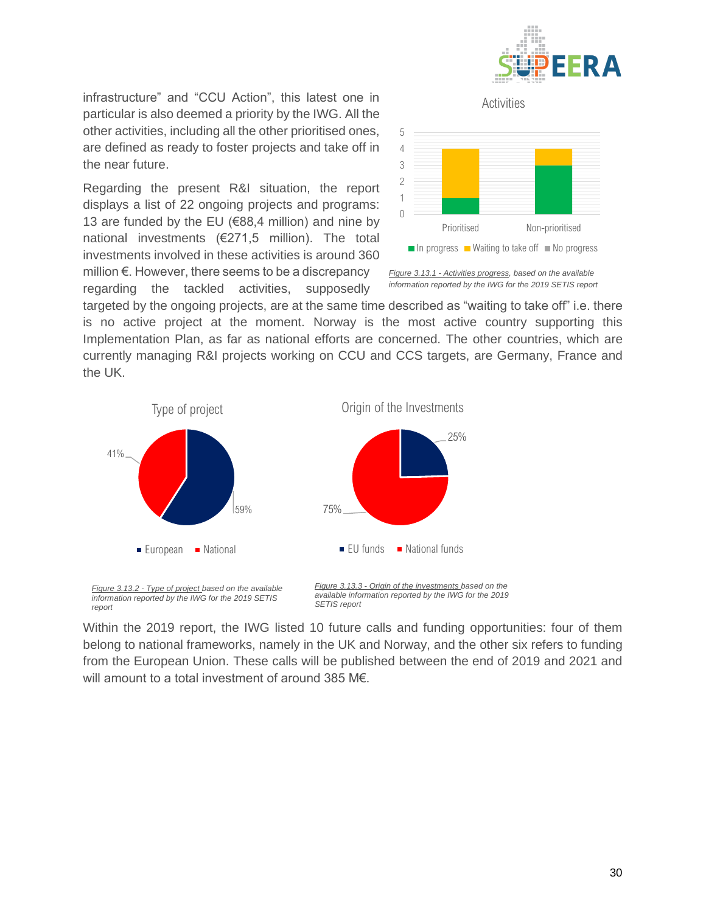

*infrastructure*" and "CCU Action", this latest one in particular is also deemed a priority by the IWG. All the other activities, including all the other prioritised ones, are defined as ready to foster projects and take off in the near future.

Regarding the present R&I situation, the report displays a list of 22 ongoing projects and programs: 13 are funded by the EU ( $€88,4$  million) and nine by national investments (€271,5 million). The total investments involved in these activities is around 360 million €. However, there seems to be a discrepancy regarding the tackled activities, supposedly



Activities

*Figure 3.13.1 - Activities progress, based on the available information reported by the IWG for the 2019 SETIS report*

targeted by the ongoing projects, are at the same time described as "waiting to take off" i.e. there is no active project at the moment. Norway is the most active country supporting this Implementation Plan, as far as national efforts are concerned. The other countries, which are currently managing R&I projects working on CCU and CCS targets, are Germany, France and the UK.



Within the 2019 report, the IWG listed 10 future calls and funding opportunities: four of them belong to national frameworks, namely in the UK and Norway, and the other six refers to funding from the European Union. These calls will be published between the end of 2019 and 2021 and will amount to a total investment of around 385 M€.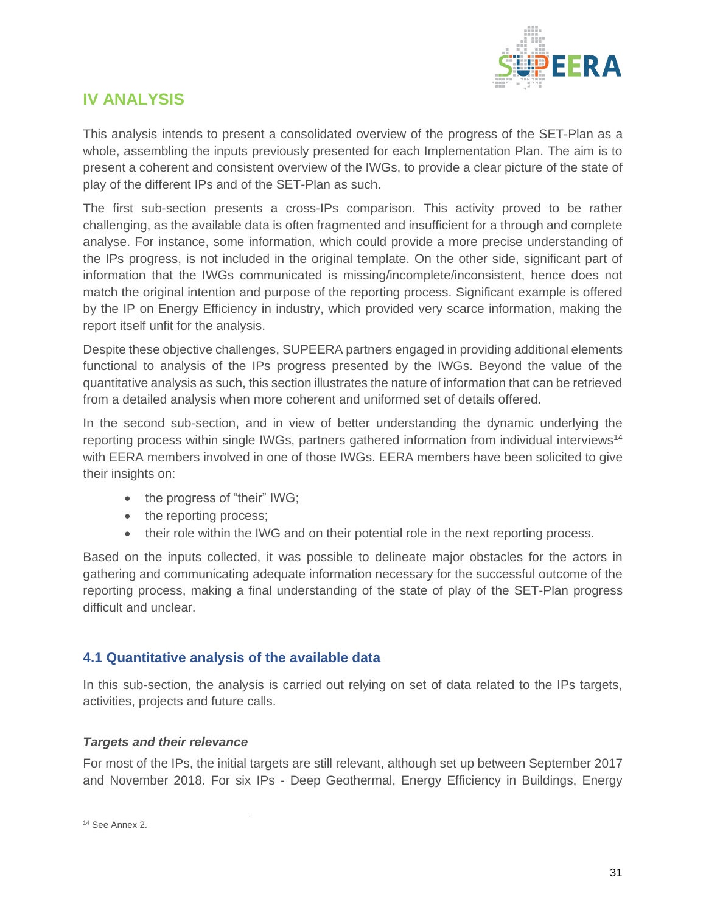

# <span id="page-31-0"></span>**IV ANALYSIS**

This analysis intends to present a consolidated overview of the progress of the SET-Plan as a whole, assembling the inputs previously presented for each Implementation Plan. The aim is to present a coherent and consistent overview of the IWGs, to provide a clear picture of the state of play of the different IPs and of the SET-Plan as such.

The first sub-section presents a cross-IPs comparison. This activity proved to be rather challenging, as the available data is often fragmented and insufficient for a through and complete analyse. For instance, some information, which could provide a more precise understanding of the IPs progress, is not included in the original template. On the other side, significant part of information that the IWGs communicated is missing/incomplete/inconsistent, hence does not match the original intention and purpose of the reporting process. Significant example is offered by the IP on Energy Efficiency in industry, which provided very scarce information, making the report itself unfit for the analysis.

Despite these objective challenges, SUPEERA partners engaged in providing additional elements functional to analysis of the IPs progress presented by the IWGs. Beyond the value of the quantitative analysis as such, this section illustrates the nature of information that can be retrieved from a detailed analysis when more coherent and uniformed set of details offered.

In the second sub-section, and in view of better understanding the dynamic underlying the reporting process within single IWGs, partners gathered information from individual interviews<sup>14</sup> with EERA members involved in one of those IWGs. EERA members have been solicited to give their insights on:

- the progress of "their" IWG;
- the reporting process;
- their role within the IWG and on their potential role in the next reporting process.

Based on the inputs collected, it was possible to delineate major obstacles for the actors in gathering and communicating adequate information necessary for the successful outcome of the reporting process, making a final understanding of the state of play of the SET-Plan progress difficult and unclear.

#### <span id="page-31-1"></span>**4.1 Quantitative analysis of the available data**

In this sub-section, the analysis is carried out relying on set of data related to the IPs targets, activities, projects and future calls.

#### *Targets and their relevance*

For most of the IPs, the initial targets are still relevant, although set up between September 2017 and November 2018. For six IPs - Deep Geothermal, Energy Efficiency in Buildings, Energy

<sup>&</sup>lt;sup>14</sup> See Annex 2.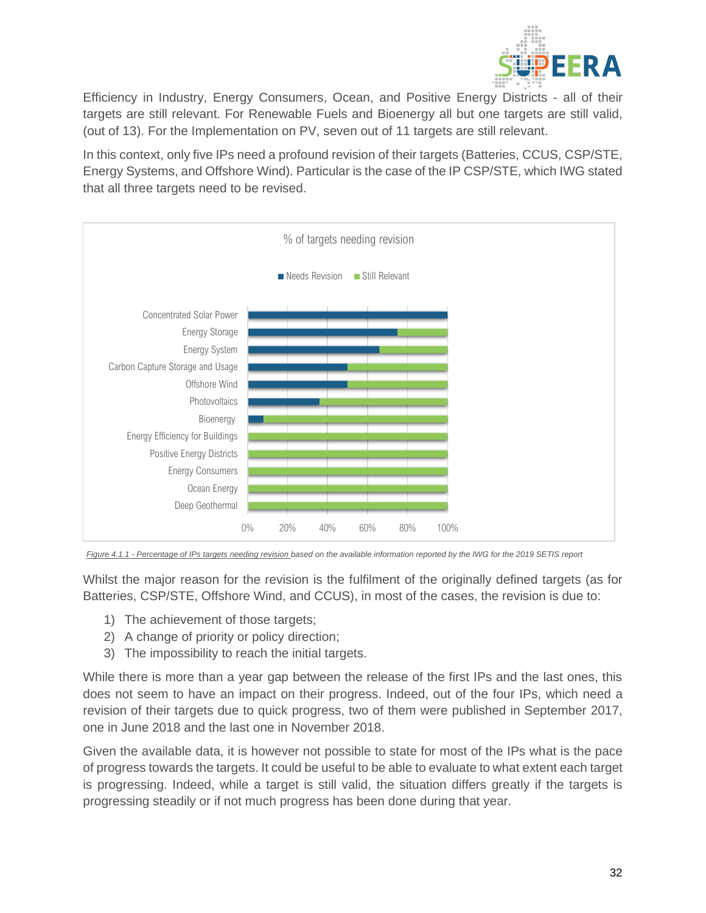

Efficiency in Industry, Energy Consumers, Ocean, and Positive Energy Districts - all of their targets are still relevant. For Renewable Fuels and Bioenergy all but one targets are still valid, (out of 13). For the Implementation on PV, seven out of 11 targets are still relevant.

In this context, only five IPs need a profound revision of their targets (Batteries, CCUS, CSP/STE, Energy Systems, and Offshore Wind). Particular is the case of the IP CSP/STE, which IWG stated that all three targets need to be revised.



*Figure 4.1.1 - Percentage of IPs targets needing revision based on the available information reported by the IWG for the 2019 SETIS report*

Whilst the major reason for the revision is the fulfilment of the originally defined targets (as for Batteries, CSP/STE, Offshore Wind, and CCUS), in most of the cases, the revision is due to:

- 1) The achievement of those targets;
- 2) A change of priority or policy direction;
- 3) The impossibility to reach the initial targets.

While there is more than a year gap between the release of the first IPs and the last ones, this does not seem to have an impact on their progress. Indeed, out of the four IPs, which need a revision of their targets due to quick progress, two of them were published in September 2017, one in June 2018 and the last one in November 2018.

Given the available data, it is however not possible to state for most of the IPs what is the pace of progress towards the targets. It could be useful to be able to evaluate to what extent each target is progressing. Indeed, while a target is still valid, the situation differs greatly if the targets is progressing steadily or if not much progress has been done during that year.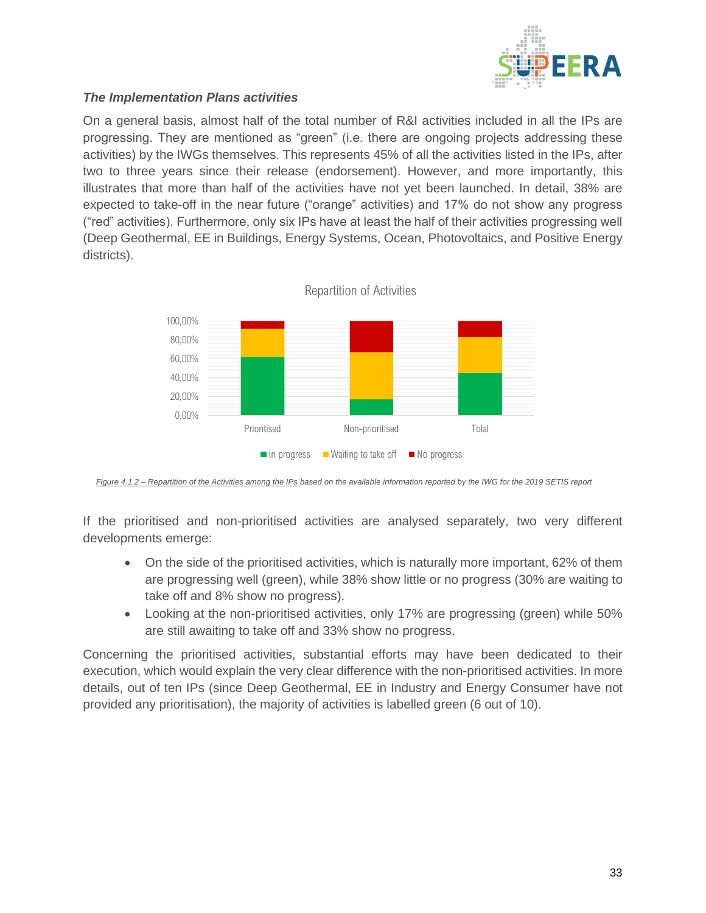

#### *The Implementation Plans activities*

On a general basis, almost half of the total number of R&I activities included in all the IPs are progressing. They are mentioned as "green" (i.e. there are ongoing projects addressing these activities) by the IWGs themselves. This represents 45% of all the activities listed in the IPs, after two to three years since their release (endorsement). However, and more importantly, this illustrates that more than half of the activities have not yet been launched. In detail, 38% are expected to take-off in the near future ("orange" activities) and 17% do not show any progress ("red" activities). Furthermore, only six IPs have at least the half of their activities progressing well (Deep Geothermal, EE in Buildings, Energy Systems, Ocean, Photovoltaics, and Positive Energy districts).



*Figure 4.1.2 – Repartition of the Activities among the IPs based on the available information reported by the IWG for the 2019 SETIS report*

If the prioritised and non-prioritised activities are analysed separately, two very different developments emerge:

- On the side of the prioritised activities, which is naturally more important, 62% of them are progressing well (green), while 38% show little or no progress (30% are waiting to take off and 8% show no progress).
- Looking at the non-prioritised activities, only 17% are progressing (green) while 50% are still awaiting to take off and 33% show no progress.

Concerning the prioritised activities, substantial efforts may have been dedicated to their execution, which would explain the very clear difference with the non-prioritised activities. In more details, out of ten IPs (since Deep Geothermal, EE in Industry and Energy Consumer have not provided any prioritisation), the majority of activities is labelled green (6 out of 10).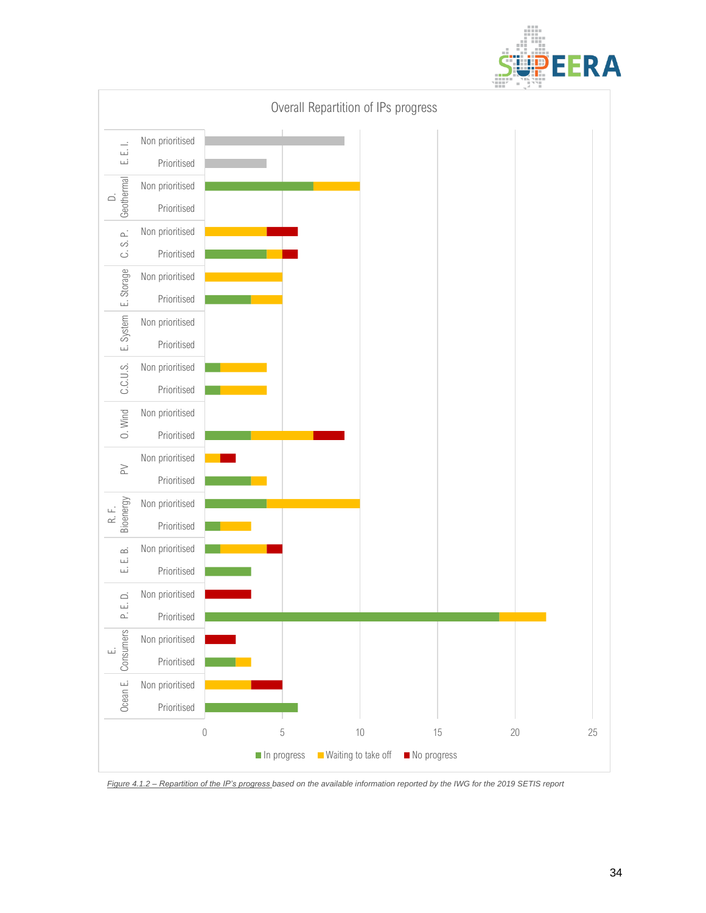



*Figure 4.1.2 – Repartition of the IP's progress based on the available information reported by the IWG for the 2019 SETIS report*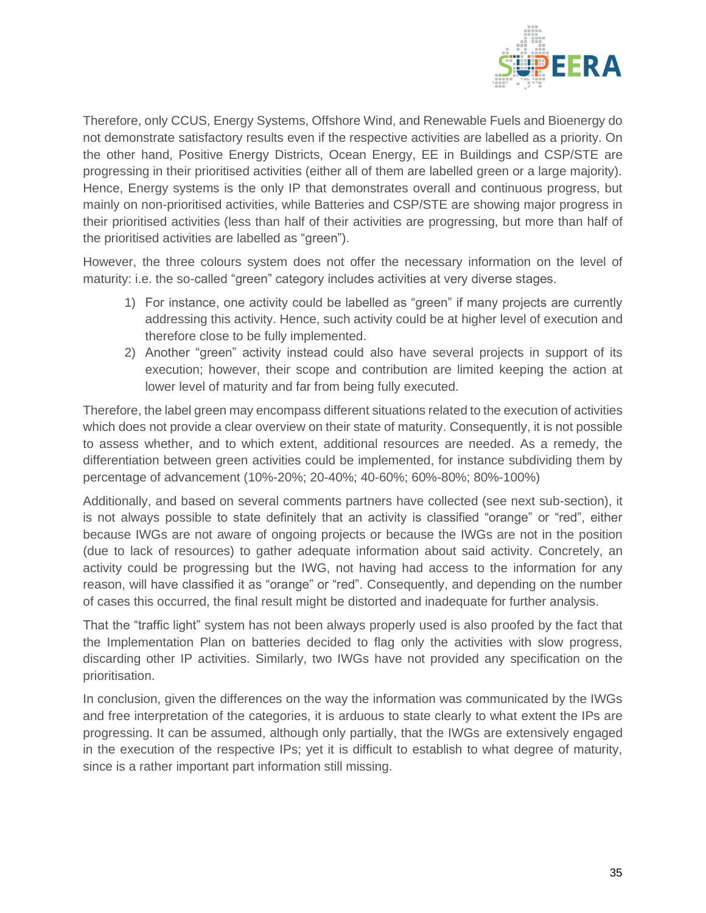

Therefore, only CCUS, Energy Systems, Offshore Wind, and Renewable Fuels and Bioenergy do not demonstrate satisfactory results even if the respective activities are labelled as a priority. On the other hand, Positive Energy Districts, Ocean Energy, EE in Buildings and CSP/STE are progressing in their prioritised activities (either all of them are labelled green or a large majority). Hence, Energy systems is the only IP that demonstrates overall and continuous progress, but mainly on non-prioritised activities, while Batteries and CSP/STE are showing major progress in their prioritised activities (less than half of their activities are progressing, but more than half of the prioritised activities are labelled as "green").

However, the three colours system does not offer the necessary information on the level of maturity: i.e. the so-called "green" category includes activities at very diverse stages.

- 1) For instance, one activity could be labelled as "green" if many projects are currently addressing this activity. Hence, such activity could be at higher level of execution and therefore close to be fully implemented.
- 2) Another "green" activity instead could also have several projects in support of its execution; however, their scope and contribution are limited keeping the action at lower level of maturity and far from being fully executed.

Therefore, the label green may encompass different situations related to the execution of activities which does not provide a clear overview on their state of maturity. Consequently, it is not possible to assess whether, and to which extent, additional resources are needed. As a remedy, the differentiation between green activities could be implemented, for instance subdividing them by percentage of advancement (10%-20%; 20-40%; 40-60%; 60%-80%; 80%-100%)

Additionally, and based on several comments partners have collected (see next sub-section), it is not always possible to state definitely that an activity is classified "orange" or "red", either because IWGs are not aware of ongoing projects or because the IWGs are not in the position (due to lack of resources) to gather adequate information about said activity. Concretely, an activity could be progressing but the IWG, not having had access to the information for any reason, will have classified it as "orange" or "red". Consequently, and depending on the number of cases this occurred, the final result might be distorted and inadequate for further analysis.

That the "traffic light" system has not been always properly used is also proofed by the fact that the Implementation Plan on batteries decided to flag only the activities with slow progress, discarding other IP activities. Similarly, two IWGs have not provided any specification on the prioritisation.

In conclusion, given the differences on the way the information was communicated by the IWGs and free interpretation of the categories, it is arduous to state clearly to what extent the IPs are progressing. It can be assumed, although only partially, that the IWGs are extensively engaged in the execution of the respective IPs; yet it is difficult to establish to what degree of maturity, since is a rather important part information still missing.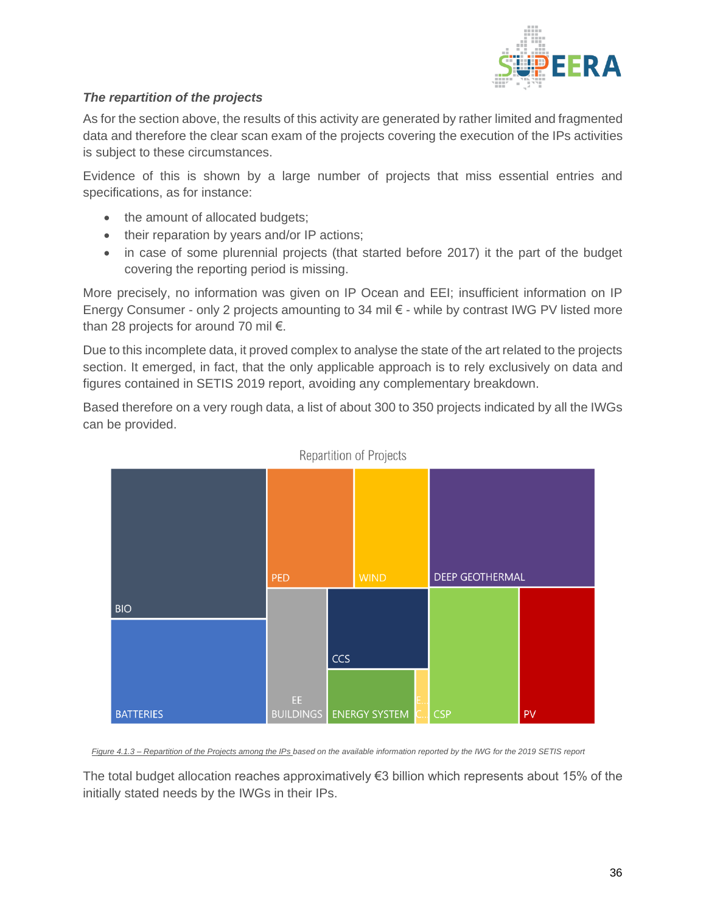

### *The repartition of the projects*

As for the section above, the results of this activity are generated by rather limited and fragmented data and therefore the clear scan exam of the projects covering the execution of the IPs activities is subject to these circumstances.

Evidence of this is shown by a large number of projects that miss essential entries and specifications, as for instance:

- the amount of allocated budgets;
- their reparation by years and/or IP actions;
- in case of some plurennial projects (that started before 2017) it the part of the budget covering the reporting period is missing.

More precisely, no information was given on IP Ocean and EEI; insufficient information on IP Energy Consumer - only 2 projects amounting to 34 mil € - while by contrast IWG PV listed more than 28 projects for around 70 mil €.

Due to this incomplete data, it proved complex to analyse the state of the art related to the projects section. It emerged, in fact, that the only applicable approach is to rely exclusively on data and figures contained in SETIS 2019 report, avoiding any complementary breakdown.

Based therefore on a very rough data, a list of about 300 to 350 projects indicated by all the IWGs can be provided.



Repartition of Projects

*Figure 4.1.3 – Repartition of the Projects among the IPs based on the available information reported by the IWG for the 2019 SETIS report*

The total budget allocation reaches approximatively €3 billion which represents about 15% of the initially stated needs by the IWGs in their IPs.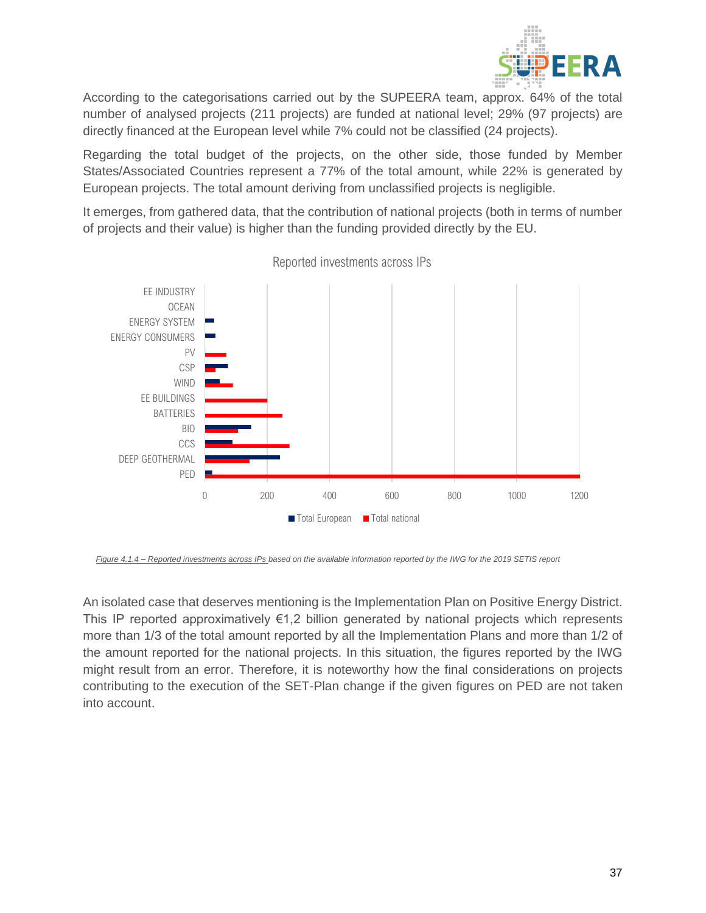

According to the categorisations carried out by the SUPEERA team, approx. 64% of the total number of analysed projects (211 projects) are funded at national level; 29% (97 projects) are directly financed at the European level while 7% could not be classified (24 projects).

Regarding the total budget of the projects, on the other side, those funded by Member States/Associated Countries represent a 77% of the total amount, while 22% is generated by European projects. The total amount deriving from unclassified projects is negligible.

It emerges, from gathered data, that the contribution of national projects (both in terms of number of projects and their value) is higher than the funding provided directly by the EU.



Reported investments across IPs

*Figure 4.1.4 – Reported investments across IPs based on the available information reported by the IWG for the 2019 SETIS report*

An isolated case that deserves mentioning is the Implementation Plan on Positive Energy District. This IP reported approximatively  $\epsilon$ 1,2 billion generated by national projects which represents more than 1/3 of the total amount reported by all the Implementation Plans and more than 1/2 of the amount reported for the national projects. In this situation, the figures reported by the IWG might result from an error. Therefore, it is noteworthy how the final considerations on projects contributing to the execution of the SET-Plan change if the given figures on PED are not taken into account.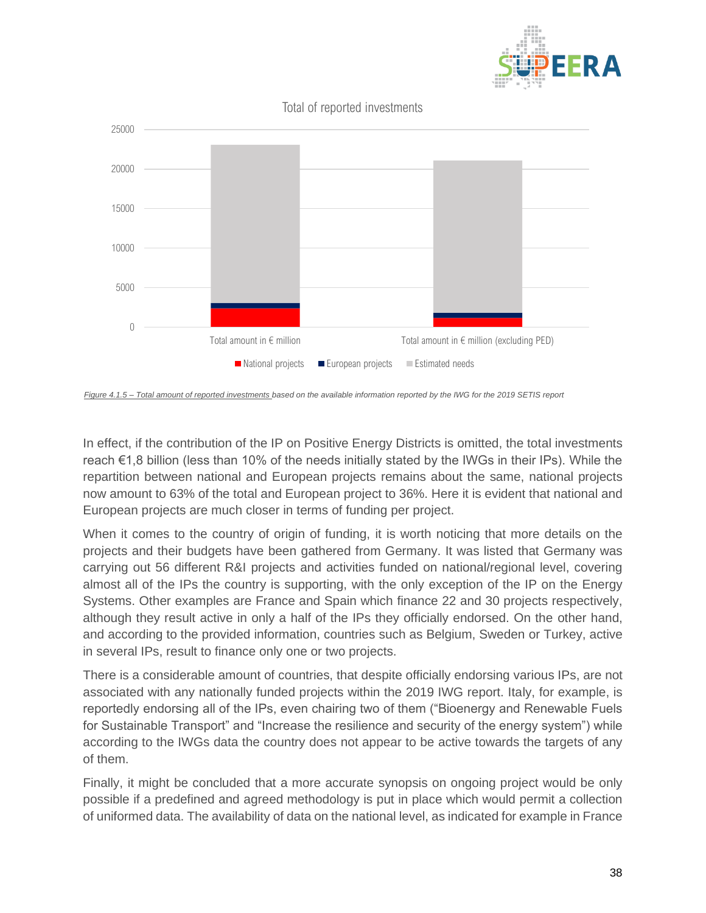

Total of reported investments



*Figure 4.1.5 – Total amount of reported investments based on the available information reported by the IWG for the 2019 SETIS report*

In effect, if the contribution of the IP on Positive Energy Districts is omitted, the total investments reach €1,8 billion (less than 10% of the needs initially stated by the IWGs in their IPs). While the repartition between national and European projects remains about the same, national projects now amount to 63% of the total and European project to 36%. Here it is evident that national and European projects are much closer in terms of funding per project.

When it comes to the country of origin of funding, it is worth noticing that more details on the projects and their budgets have been gathered from Germany. It was listed that Germany was carrying out 56 different R&I projects and activities funded on national/regional level, covering almost all of the IPs the country is supporting, with the only exception of the IP on the Energy Systems. Other examples are France and Spain which finance 22 and 30 projects respectively, although they result active in only a half of the IPs they officially endorsed. On the other hand, and according to the provided information, countries such as Belgium, Sweden or Turkey, active in several IPs, result to finance only one or two projects.

There is a considerable amount of countries, that despite officially endorsing various IPs, are not associated with any nationally funded projects within the 2019 IWG report. Italy, for example, is reportedly endorsing all of the IPs, even chairing two of them ("Bioenergy and Renewable Fuels for Sustainable Transport" and "Increase the resilience and security of the energy system") while according to the IWGs data the country does not appear to be active towards the targets of any of them.

Finally, it might be concluded that a more accurate synopsis on ongoing project would be only possible if a predefined and agreed methodology is put in place which would permit a collection of uniformed data. The availability of data on the national level, as indicated for example in France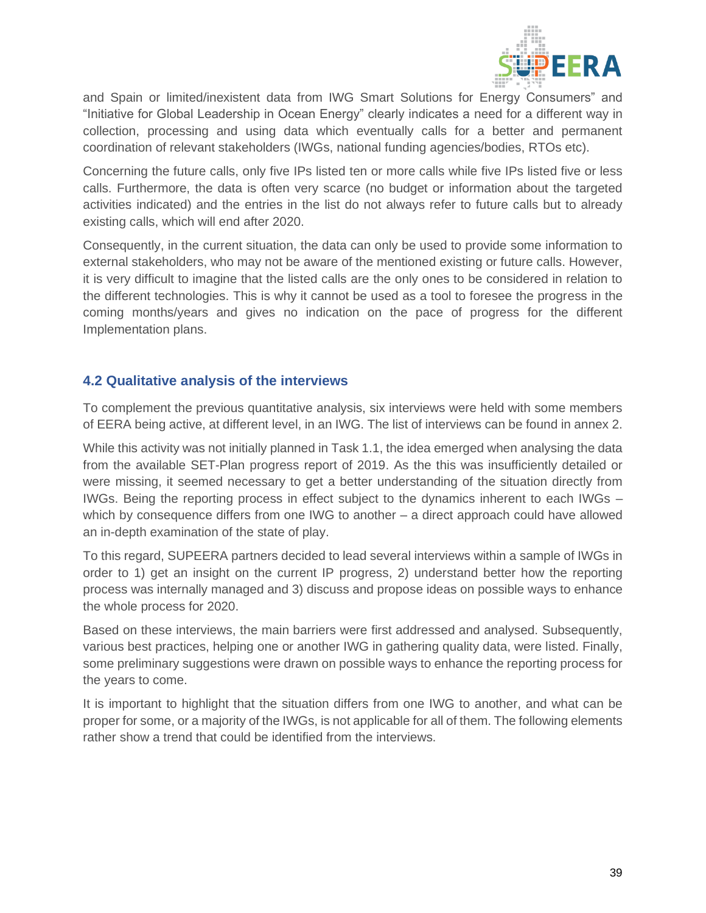

and Spain or limited/inexistent data from IWG Smart Solutions for Energy Consumers" and "Initiative for Global Leadership in Ocean Energy" clearly indicates a need for a different way in collection, processing and using data which eventually calls for a better and permanent coordination of relevant stakeholders (IWGs, national funding agencies/bodies, RTOs etc).

Concerning the future calls, only five IPs listed ten or more calls while five IPs listed five or less calls. Furthermore, the data is often very scarce (no budget or information about the targeted activities indicated) and the entries in the list do not always refer to future calls but to already existing calls, which will end after 2020.

Consequently, in the current situation, the data can only be used to provide some information to external stakeholders, who may not be aware of the mentioned existing or future calls. However, it is very difficult to imagine that the listed calls are the only ones to be considered in relation to the different technologies. This is why it cannot be used as a tool to foresee the progress in the coming months/years and gives no indication on the pace of progress for the different Implementation plans.

### <span id="page-39-0"></span>**4.2 Qualitative analysis of the interviews**

To complement the previous quantitative analysis, six interviews were held with some members of EERA being active, at different level, in an IWG. The list of interviews can be found in annex 2.

While this activity was not initially planned in Task 1.1, the idea emerged when analysing the data from the available SET-Plan progress report of 2019. As the this was insufficiently detailed or were missing, it seemed necessary to get a better understanding of the situation directly from IWGs. Being the reporting process in effect subject to the dynamics inherent to each IWGs – which by consequence differs from one IWG to another – a direct approach could have allowed an in-depth examination of the state of play.

To this regard, SUPEERA partners decided to lead several interviews within a sample of IWGs in order to 1) get an insight on the current IP progress, 2) understand better how the reporting process was internally managed and 3) discuss and propose ideas on possible ways to enhance the whole process for 2020.

Based on these interviews, the main barriers were first addressed and analysed. Subsequently, various best practices, helping one or another IWG in gathering quality data, were listed. Finally, some preliminary suggestions were drawn on possible ways to enhance the reporting process for the years to come.

It is important to highlight that the situation differs from one IWG to another, and what can be proper for some, or a majority of the IWGs, is not applicable for all of them. The following elements rather show a trend that could be identified from the interviews.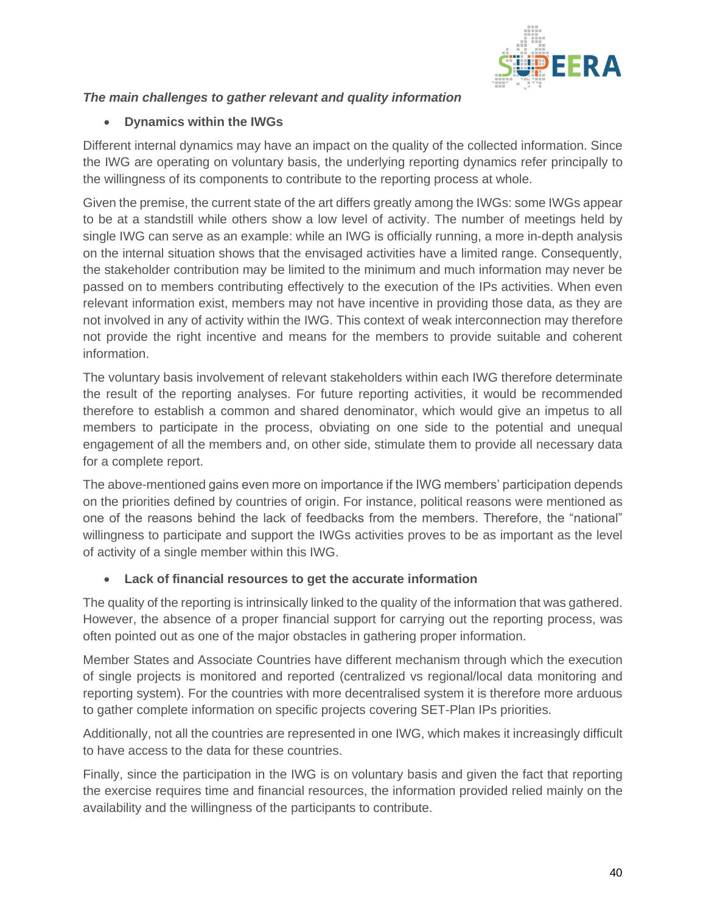

## *The main challenges to gather relevant and quality information*

## • **Dynamics within the IWGs**

Different internal dynamics may have an impact on the quality of the collected information. Since the IWG are operating on voluntary basis, the underlying reporting dynamics refer principally to the willingness of its components to contribute to the reporting process at whole.

Given the premise, the current state of the art differs greatly among the IWGs: some IWGs appear to be at a standstill while others show a low level of activity. The number of meetings held by single IWG can serve as an example: while an IWG is officially running, a more in-depth analysis on the internal situation shows that the envisaged activities have a limited range. Consequently, the stakeholder contribution may be limited to the minimum and much information may never be passed on to members contributing effectively to the execution of the IPs activities. When even relevant information exist, members may not have incentive in providing those data, as they are not involved in any of activity within the IWG. This context of weak interconnection may therefore not provide the right incentive and means for the members to provide suitable and coherent information.

The voluntary basis involvement of relevant stakeholders within each IWG therefore determinate the result of the reporting analyses. For future reporting activities, it would be recommended therefore to establish a common and shared denominator, which would give an impetus to all members to participate in the process, obviating on one side to the potential and unequal engagement of all the members and, on other side, stimulate them to provide all necessary data for a complete report.

The above-mentioned gains even more on importance if the IWG members' participation depends on the priorities defined by countries of origin. For instance, political reasons were mentioned as one of the reasons behind the lack of feedbacks from the members. Therefore, the "national" willingness to participate and support the IWGs activities proves to be as important as the level of activity of a single member within this IWG.

#### • **Lack of financial resources to get the accurate information**

The quality of the reporting is intrinsically linked to the quality of the information that was gathered. However, the absence of a proper financial support for carrying out the reporting process, was often pointed out as one of the major obstacles in gathering proper information.

Member States and Associate Countries have different mechanism through which the execution of single projects is monitored and reported (centralized vs regional/local data monitoring and reporting system). For the countries with more decentralised system it is therefore more arduous to gather complete information on specific projects covering SET-Plan IPs priorities.

Additionally, not all the countries are represented in one IWG, which makes it increasingly difficult to have access to the data for these countries.

Finally, since the participation in the IWG is on voluntary basis and given the fact that reporting the exercise requires time and financial resources, the information provided relied mainly on the availability and the willingness of the participants to contribute.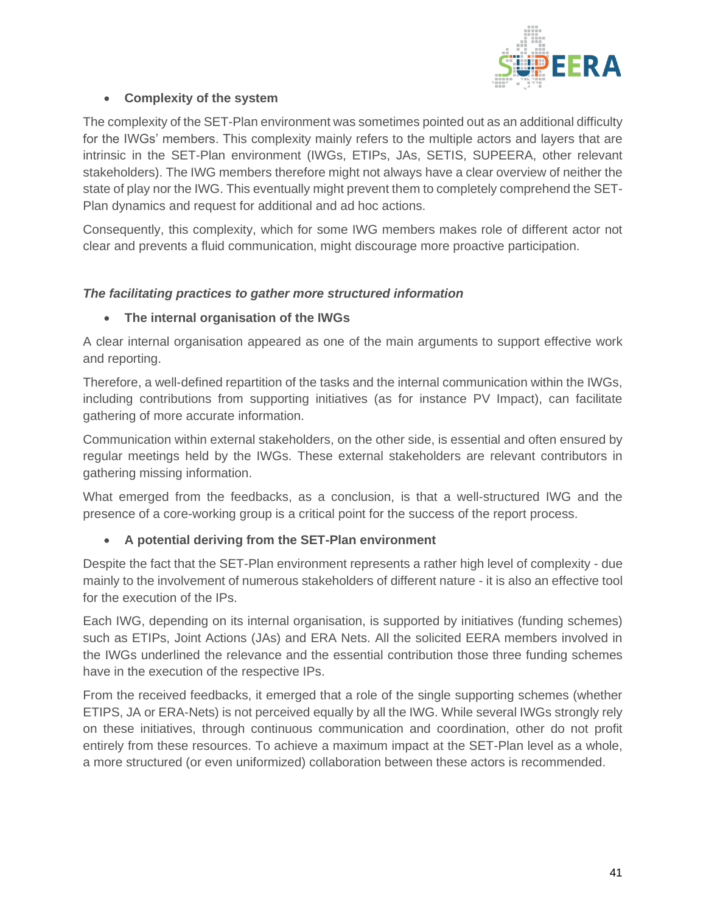

#### • **Complexity of the system**

The complexity of the SET-Plan environment was sometimes pointed out as an additional difficulty for the IWGs' members. This complexity mainly refers to the multiple actors and layers that are intrinsic in the SET-Plan environment (IWGs, ETIPs, JAs, SETIS, SUPEERA, other relevant stakeholders). The IWG members therefore might not always have a clear overview of neither the state of play nor the IWG. This eventually might prevent them to completely comprehend the SET-Plan dynamics and request for additional and ad hoc actions.

Consequently, this complexity, which for some IWG members makes role of different actor not clear and prevents a fluid communication, might discourage more proactive participation.

#### *The facilitating practices to gather more structured information*

#### • **The internal organisation of the IWGs**

A clear internal organisation appeared as one of the main arguments to support effective work and reporting.

Therefore, a well-defined repartition of the tasks and the internal communication within the IWGs, including contributions from supporting initiatives (as for instance PV Impact), can facilitate gathering of more accurate information.

Communication within external stakeholders, on the other side, is essential and often ensured by regular meetings held by the IWGs. These external stakeholders are relevant contributors in gathering missing information.

What emerged from the feedbacks, as a conclusion, is that a well-structured IWG and the presence of a core-working group is a critical point for the success of the report process.

#### • **A potential deriving from the SET-Plan environment**

Despite the fact that the SET-Plan environment represents a rather high level of complexity - due mainly to the involvement of numerous stakeholders of different nature - it is also an effective tool for the execution of the IPs.

Each IWG, depending on its internal organisation, is supported by initiatives (funding schemes) such as ETIPs, Joint Actions (JAs) and ERA Nets. All the solicited EERA members involved in the IWGs underlined the relevance and the essential contribution those three funding schemes have in the execution of the respective IPs.

From the received feedbacks, it emerged that a role of the single supporting schemes (whether ETIPS, JA or ERA-Nets) is not perceived equally by all the IWG. While several IWGs strongly rely on these initiatives, through continuous communication and coordination, other do not profit entirely from these resources. To achieve a maximum impact at the SET-Plan level as a whole, a more structured (or even uniformized) collaboration between these actors is recommended.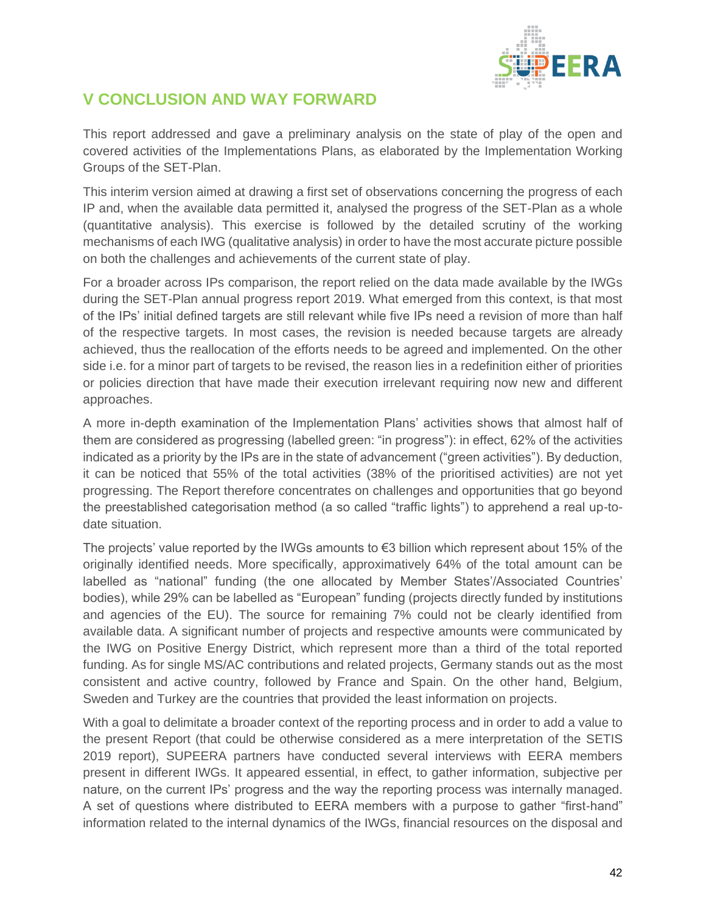

# <span id="page-42-0"></span>**V CONCLUSION AND WAY FORWARD**

This report addressed and gave a preliminary analysis on the state of play of the open and covered activities of the Implementations Plans, as elaborated by the Implementation Working Groups of the SET-Plan.

This interim version aimed at drawing a first set of observations concerning the progress of each IP and, when the available data permitted it, analysed the progress of the SET-Plan as a whole (quantitative analysis). This exercise is followed by the detailed scrutiny of the working mechanisms of each IWG (qualitative analysis) in order to have the most accurate picture possible on both the challenges and achievements of the current state of play.

For a broader across IPs comparison, the report relied on the data made available by the IWGs during the SET-Plan annual progress report 2019. What emerged from this context, is that most of the IPs' initial defined targets are still relevant while five IPs need a revision of more than half of the respective targets. In most cases, the revision is needed because targets are already achieved, thus the reallocation of the efforts needs to be agreed and implemented. On the other side i.e. for a minor part of targets to be revised, the reason lies in a redefinition either of priorities or policies direction that have made their execution irrelevant requiring now new and different approaches.

A more in-depth examination of the Implementation Plans' activities shows that almost half of them are considered as progressing (labelled green: "in progress"): in effect, 62% of the activities indicated as a priority by the IPs are in the state of advancement ("green activities"). By deduction, it can be noticed that 55% of the total activities (38% of the prioritised activities) are not yet progressing. The Report therefore concentrates on challenges and opportunities that go beyond the preestablished categorisation method (a so called "traffic lights") to apprehend a real up-todate situation.

The projects' value reported by the IWGs amounts to  $\epsilon$ 3 billion which represent about 15% of the originally identified needs. More specifically, approximatively 64% of the total amount can be labelled as "national" funding (the one allocated by Member States'/Associated Countries' bodies), while 29% can be labelled as "European" funding (projects directly funded by institutions and agencies of the EU). The source for remaining 7% could not be clearly identified from available data. A significant number of projects and respective amounts were communicated by the IWG on Positive Energy District, which represent more than a third of the total reported funding. As for single MS/AC contributions and related projects, Germany stands out as the most consistent and active country, followed by France and Spain. On the other hand, Belgium, Sweden and Turkey are the countries that provided the least information on projects.

With a goal to delimitate a broader context of the reporting process and in order to add a value to the present Report (that could be otherwise considered as a mere interpretation of the SETIS 2019 report), SUPEERA partners have conducted several interviews with EERA members present in different IWGs. It appeared essential, in effect, to gather information, subjective per nature, on the current IPs' progress and the way the reporting process was internally managed. A set of questions where distributed to EERA members with a purpose to gather "first-hand" information related to the internal dynamics of the IWGs, financial resources on the disposal and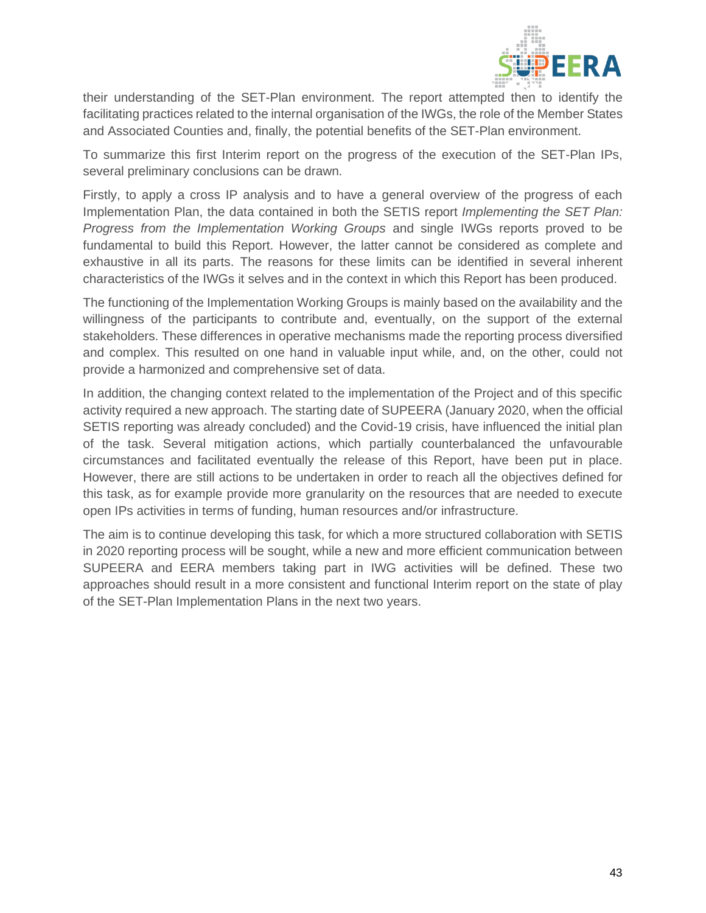

their understanding of the SET-Plan environment. The report attempted then to identify the facilitating practices related to the internal organisation of the IWGs, the role of the Member States and Associated Counties and, finally, the potential benefits of the SET-Plan environment.

To summarize this first Interim report on the progress of the execution of the SET-Plan IPs, several preliminary conclusions can be drawn.

Firstly, to apply a cross IP analysis and to have a general overview of the progress of each Implementation Plan, the data contained in both the SETIS report *Implementing the SET Plan: Progress from the Implementation Working Groups* and single IWGs reports proved to be fundamental to build this Report. However, the latter cannot be considered as complete and exhaustive in all its parts. The reasons for these limits can be identified in several inherent characteristics of the IWGs it selves and in the context in which this Report has been produced.

The functioning of the Implementation Working Groups is mainly based on the availability and the willingness of the participants to contribute and, eventually, on the support of the external stakeholders. These differences in operative mechanisms made the reporting process diversified and complex. This resulted on one hand in valuable input while, and, on the other, could not provide a harmonized and comprehensive set of data.

In addition, the changing context related to the implementation of the Project and of this specific activity required a new approach. The starting date of SUPEERA (January 2020, when the official SETIS reporting was already concluded) and the Covid-19 crisis, have influenced the initial plan of the task. Several mitigation actions, which partially counterbalanced the unfavourable circumstances and facilitated eventually the release of this Report, have been put in place. However, there are still actions to be undertaken in order to reach all the objectives defined for this task, as for example provide more granularity on the resources that are needed to execute open IPs activities in terms of funding, human resources and/or infrastructure.

The aim is to continue developing this task, for which a more structured collaboration with SETIS in 2020 reporting process will be sought, while a new and more efficient communication between SUPEERA and EERA members taking part in IWG activities will be defined. These two approaches should result in a more consistent and functional Interim report on the state of play of the SET-Plan Implementation Plans in the next two years.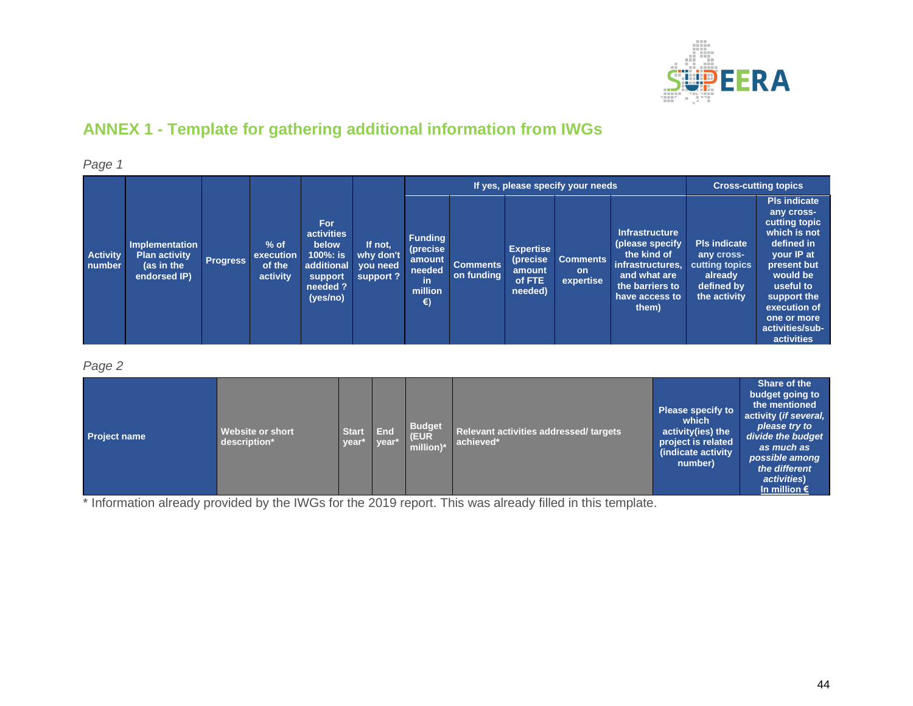

# **ANNEX 1 - Template for gathering additional information from IWGs**

*Page 1* **Activity number Implementation Plan activity (as in the endorsed IP) Progress % of execution of the activity For activities below 100%: is additional support needed ? (yes/no) If not, why don't you need support ? If yes, please specify your needs Cross-cutting topics Funding (precise amount needed in million €) Comments on funding Expertise (precise amount of FTE needed) Comments on expertise Infrastructure (please specify the kind of infrastructures, and what are the barriers to have access to them) Pls indicate any crosscutting topics already defined by the activity Pls indicate any crosscutting topic which is not defined in your IP at present but would be useful to support the execution of one or more activities/subactivities**

#### <span id="page-44-0"></span>*Page 2*

| <b>Project name</b> | <b>Start</b><br><b>Website or short</b><br>description*<br>year <sup>*</sup> | End<br>vear* | <b>Budget</b><br>(EUR<br>million) <sup>*</sup> | Relevant activities addressed/ targets<br>achieved* | <b>Please specify to</b><br>which<br>activity(ies) the<br>project is related<br>(indicate activity)<br>number) | Share of the<br>budget going to<br>the mentioned<br>activity (if several,<br>please try to<br>divide the budget<br>as much as<br>possible among<br>the different<br>activities)<br>In million $\epsilon$ |
|---------------------|------------------------------------------------------------------------------|--------------|------------------------------------------------|-----------------------------------------------------|----------------------------------------------------------------------------------------------------------------|----------------------------------------------------------------------------------------------------------------------------------------------------------------------------------------------------------|
|---------------------|------------------------------------------------------------------------------|--------------|------------------------------------------------|-----------------------------------------------------|----------------------------------------------------------------------------------------------------------------|----------------------------------------------------------------------------------------------------------------------------------------------------------------------------------------------------------|

\* Information already provided by the IWGs for the 2019 report. This was already filled in this template.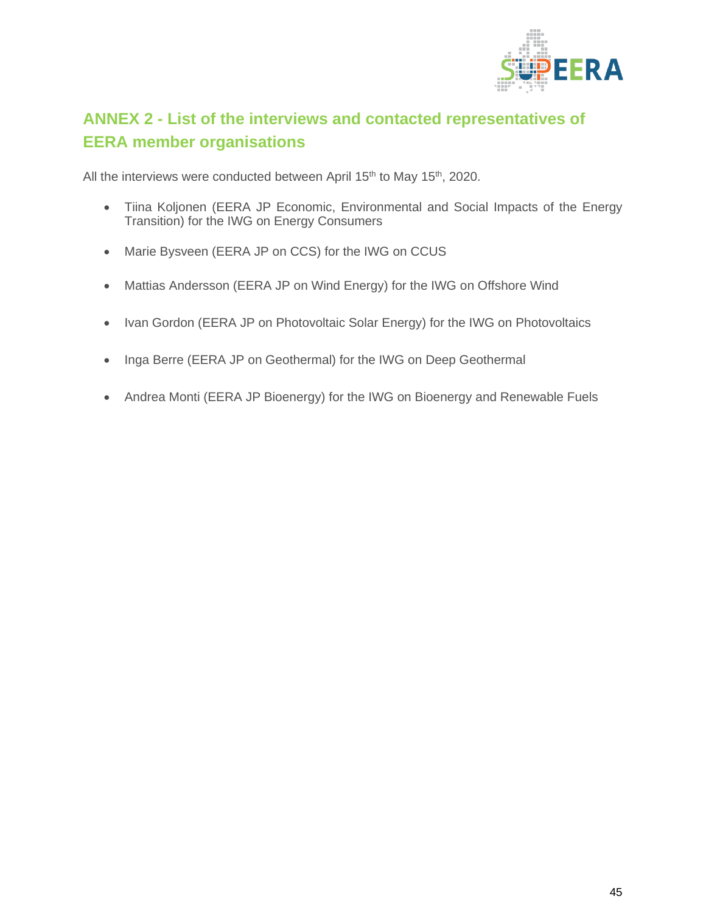

# <span id="page-45-0"></span>**ANNEX 2 - List of the interviews and contacted representatives of EERA member organisations**

All the interviews were conducted between April 15<sup>th</sup> to May 15<sup>th</sup>, 2020.

- Tiina Koljonen (EERA JP Economic, Environmental and Social Impacts of the Energy Transition) for the IWG on Energy Consumers
- Marie Bysveen (EERA JP on CCS) for the IWG on CCUS
- Mattias Andersson (EERA JP on Wind Energy) for the IWG on Offshore Wind
- Ivan Gordon (EERA JP on Photovoltaic Solar Energy) for the IWG on Photovoltaics
- Inga Berre (EERA JP on Geothermal) for the IWG on Deep Geothermal
- Andrea Monti (EERA JP Bioenergy) for the IWG on Bioenergy and Renewable Fuels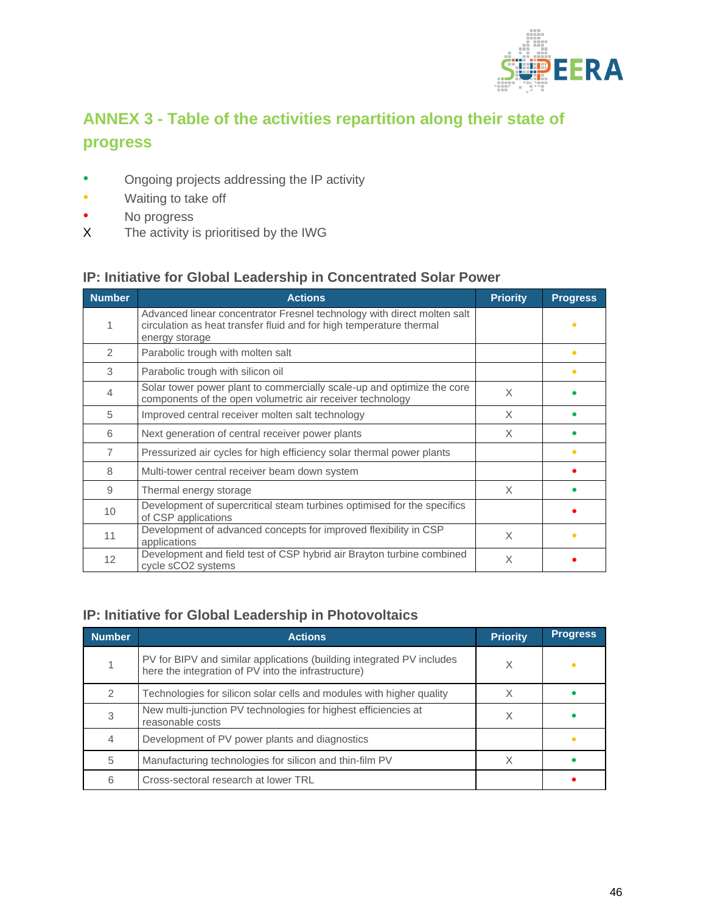

# <span id="page-46-0"></span>**ANNEX 3 - Table of the activities repartition along their state of progress**

- Ongoing projects addressing the IP activity
- Waiting to take off
- No progress<br>
X The activity is
- The activity is prioritised by the IWG

### **IP: Initiative for Global Leadership in Concentrated Solar Power**

| <b>Number</b> | <b>Actions</b>                                                                                                                                                   | <b>Priority</b> | <b>Progress</b> |
|---------------|------------------------------------------------------------------------------------------------------------------------------------------------------------------|-----------------|-----------------|
|               | Advanced linear concentrator Fresnel technology with direct molten salt<br>circulation as heat transfer fluid and for high temperature thermal<br>energy storage |                 |                 |
| 2             | Parabolic trough with molten salt                                                                                                                                |                 | ٠               |
| 3             | Parabolic trough with silicon oil                                                                                                                                |                 | ٠               |
| 4             | Solar tower power plant to commercially scale-up and optimize the core<br>components of the open volumetric air receiver technology                              | X               |                 |
| 5             | Improved central receiver molten salt technology                                                                                                                 | X               |                 |
| 6             | Next generation of central receiver power plants                                                                                                                 | X               |                 |
| 7             | Pressurized air cycles for high efficiency solar thermal power plants                                                                                            |                 | ٠               |
| 8             | Multi-tower central receiver beam down system                                                                                                                    |                 |                 |
| 9             | Thermal energy storage                                                                                                                                           | X               |                 |
| 10            | Development of supercritical steam turbines optimised for the specifics<br>of CSP applications                                                                   |                 |                 |
| 11            | Development of advanced concepts for improved flexibility in CSP<br>applications                                                                                 | X               |                 |
| 12            | Development and field test of CSP hybrid air Brayton turbine combined<br>cycle sCO2 systems                                                                      | X               |                 |

## **IP: Initiative for Global Leadership in Photovoltaics**

| <b>Number</b> | <b>Actions</b>                                                                                                               | <b>Priority</b> | <b>Progress</b> |
|---------------|------------------------------------------------------------------------------------------------------------------------------|-----------------|-----------------|
|               | PV for BIPV and similar applications (building integrated PV includes<br>here the integration of PV into the infrastructure) | Χ               |                 |
|               | Technologies for silicon solar cells and modules with higher quality                                                         |                 |                 |
|               | New multi-junction PV technologies for highest efficiencies at<br>reasonable costs                                           |                 |                 |
|               | Development of PV power plants and diagnostics                                                                               |                 |                 |
| 5             | Manufacturing technologies for silicon and thin-film PV                                                                      |                 |                 |
| 6             | Cross-sectoral research at lower TRL                                                                                         |                 |                 |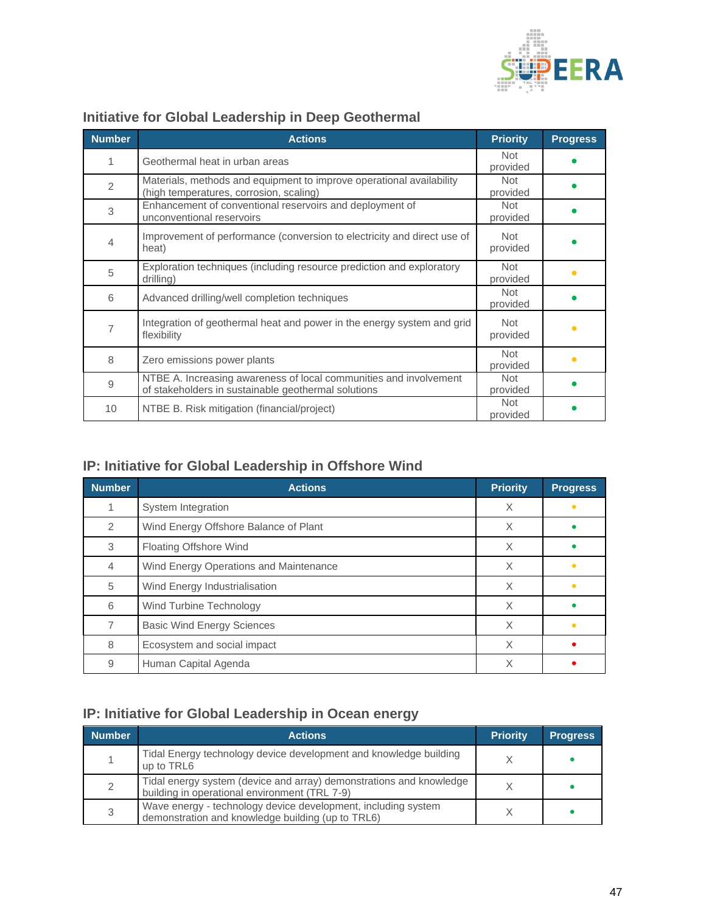

| <b>Number</b> | <b>Actions</b>                                                                                                           | <b>Priority</b>        | <b>Progress</b> |
|---------------|--------------------------------------------------------------------------------------------------------------------------|------------------------|-----------------|
| 1             | Geothermal heat in urban areas                                                                                           | <b>Not</b><br>provided |                 |
| 2             | Materials, methods and equipment to improve operational availability<br>(high temperatures, corrosion, scaling)          | Not<br>provided        |                 |
| 3             | Enhancement of conventional reservoirs and deployment of<br>unconventional reservoirs                                    | <b>Not</b><br>provided |                 |
| 4             | Improvement of performance (conversion to electricity and direct use of<br>heat)                                         | Not<br>provided        |                 |
| 5             | Exploration techniques (including resource prediction and exploratory<br>drilling)                                       | Not<br>provided        |                 |
| 6             | Advanced drilling/well completion techniques                                                                             | <b>Not</b><br>provided |                 |
| 7             | Integration of geothermal heat and power in the energy system and grid<br>flexibility                                    | Not<br>provided        |                 |
| 8             | Zero emissions power plants                                                                                              | Not<br>provided        |                 |
| 9             | NTBE A. Increasing awareness of local communities and involvement<br>of stakeholders in sustainable geothermal solutions | <b>Not</b><br>provided |                 |
| 10            | NTBE B. Risk mitigation (financial/project)                                                                              | <b>Not</b><br>provided |                 |

# **Initiative for Global Leadership in Deep Geothermal**

# **IP: Initiative for Global Leadership in Offshore Wind**

| <b>Number</b> | <b>Actions</b>                         | <b>Priority</b> | <b>Progress</b> |
|---------------|----------------------------------------|-----------------|-----------------|
|               | System Integration                     | X               | $\bullet$       |
| $\mathcal{P}$ | Wind Energy Offshore Balance of Plant  | X               |                 |
| 3             | Floating Offshore Wind                 | X               |                 |
| 4             | Wind Energy Operations and Maintenance | X               |                 |
| 5             | Wind Energy Industrialisation          | X               | $\bullet$       |
| 6             | Wind Turbine Technology                | X               |                 |
|               | <b>Basic Wind Energy Sciences</b>      | X               | ٠               |
| 8             | Ecosystem and social impact            | X               |                 |
| 9             | Human Capital Agenda                   | X               |                 |

# **IP: Initiative for Global Leadership in Ocean energy**

| <b>Number</b> | <b>Actions</b>                                                                                                       | <b>Priority</b> | <b>Progress</b> |
|---------------|----------------------------------------------------------------------------------------------------------------------|-----------------|-----------------|
|               | Tidal Energy technology device development and knowledge building<br>up to TRL6                                      |                 |                 |
|               | Tidal energy system (device and array) demonstrations and knowledge<br>building in operational environment (TRL 7-9) |                 |                 |
|               | Wave energy - technology device development, including system<br>demonstration and knowledge building (up to TRL6)   |                 |                 |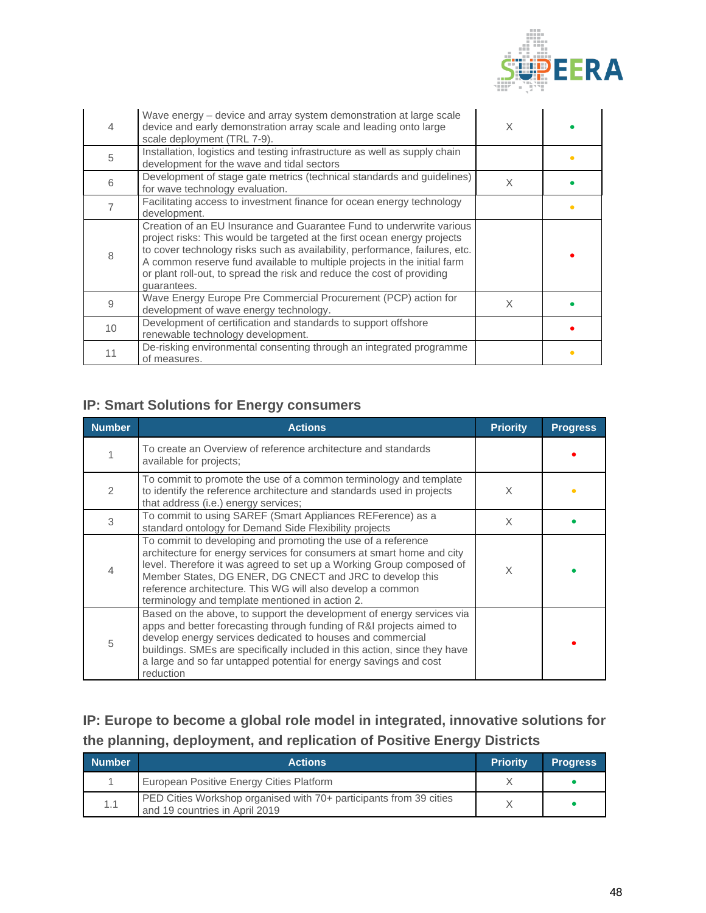

| 4  | Wave energy – device and array system demonstration at large scale<br>device and early demonstration array scale and leading onto large<br>scale deployment (TRL 7-9).                                                                                                                                                                                                                               | X |           |
|----|------------------------------------------------------------------------------------------------------------------------------------------------------------------------------------------------------------------------------------------------------------------------------------------------------------------------------------------------------------------------------------------------------|---|-----------|
| 5  | Installation, logistics and testing infrastructure as well as supply chain<br>development for the wave and tidal sectors                                                                                                                                                                                                                                                                             |   | $\bullet$ |
| 6  | Development of stage gate metrics (technical standards and guidelines)<br>for wave technology evaluation.                                                                                                                                                                                                                                                                                            | X |           |
|    | Facilitating access to investment finance for ocean energy technology<br>development.                                                                                                                                                                                                                                                                                                                |   | ٠         |
| 8  | Creation of an EU Insurance and Guarantee Fund to underwrite various<br>project risks: This would be targeted at the first ocean energy projects<br>to cover technology risks such as availability, performance, failures, etc.<br>A common reserve fund available to multiple projects in the initial farm<br>or plant roll-out, to spread the risk and reduce the cost of providing<br>guarantees. |   |           |
| 9  | Wave Energy Europe Pre Commercial Procurement (PCP) action for<br>development of wave energy technology.                                                                                                                                                                                                                                                                                             | X |           |
| 10 | Development of certification and standards to support offshore<br>renewable technology development.                                                                                                                                                                                                                                                                                                  |   |           |
| 11 | De-risking environmental consenting through an integrated programme<br>of measures.                                                                                                                                                                                                                                                                                                                  |   | ٠         |

## **IP: Smart Solutions for Energy consumers**

| <b>Number</b> | <b>Actions</b>                                                                                                                                                                                                                                                                                                                                                                             | <b>Priority</b> | <b>Progress</b> |
|---------------|--------------------------------------------------------------------------------------------------------------------------------------------------------------------------------------------------------------------------------------------------------------------------------------------------------------------------------------------------------------------------------------------|-----------------|-----------------|
|               | To create an Overview of reference architecture and standards<br>available for projects;                                                                                                                                                                                                                                                                                                   |                 |                 |
|               | To commit to promote the use of a common terminology and template<br>to identify the reference architecture and standards used in projects<br>that address (i.e.) energy services;                                                                                                                                                                                                         | X               |                 |
| 3             | To commit to using SAREF (Smart Appliances REFerence) as a<br>standard ontology for Demand Side Flexibility projects                                                                                                                                                                                                                                                                       | X               |                 |
|               | To commit to developing and promoting the use of a reference<br>architecture for energy services for consumers at smart home and city<br>level. Therefore it was agreed to set up a Working Group composed of<br>Member States, DG ENER, DG CNECT and JRC to develop this<br>reference architecture. This WG will also develop a common<br>terminology and template mentioned in action 2. | X               |                 |
| 5             | Based on the above, to support the development of energy services via<br>apps and better forecasting through funding of R&I projects aimed to<br>develop energy services dedicated to houses and commercial<br>buildings. SMEs are specifically included in this action, since they have<br>a large and so far untapped potential for energy savings and cost<br>reduction                 |                 |                 |

## **IP: Europe to become a global role model in integrated, innovative solutions for the planning, deployment, and replication of Positive Energy Districts**

| <b>Number</b> | <b>Actions</b>                                                                                       | <b>Priority</b> | <b>Progress</b> |
|---------------|------------------------------------------------------------------------------------------------------|-----------------|-----------------|
|               | European Positive Energy Cities Platform                                                             |                 |                 |
| 1.1           | PED Cities Workshop organised with 70+ participants from 39 cities<br>and 19 countries in April 2019 |                 |                 |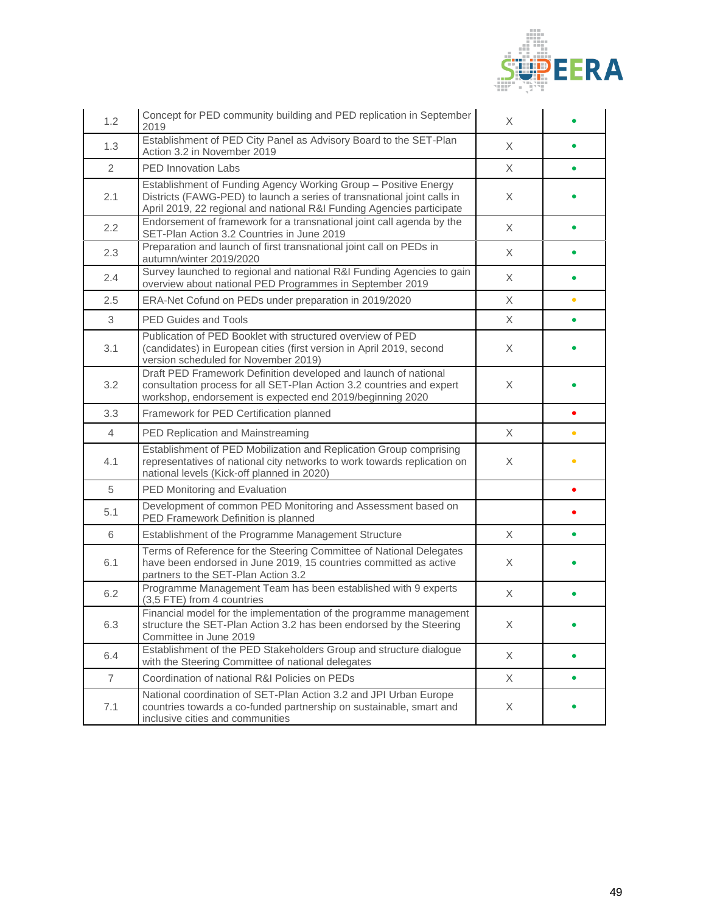

| 1.2            | Concept for PED community building and PED replication in September<br>2019                                                                                                                                         | X        |           |
|----------------|---------------------------------------------------------------------------------------------------------------------------------------------------------------------------------------------------------------------|----------|-----------|
| 1.3            | Establishment of PED City Panel as Advisory Board to the SET-Plan<br>Action 3.2 in November 2019                                                                                                                    | X        |           |
| $\overline{2}$ | <b>PED Innovation Labs</b>                                                                                                                                                                                          | $\times$ | $\bullet$ |
| 2.1            | Establishment of Funding Agency Working Group - Positive Energy<br>Districts (FAWG-PED) to launch a series of transnational joint calls in<br>April 2019, 22 regional and national R&I Funding Agencies participate | X.       |           |
| 2.2            | Endorsement of framework for a transnational joint call agenda by the<br>SET-Plan Action 3.2 Countries in June 2019                                                                                                 | X        |           |
| 2.3            | Preparation and launch of first transnational joint call on PEDs in<br>autumn/winter 2019/2020                                                                                                                      | $\times$ |           |
| 2.4            | Survey launched to regional and national R&I Funding Agencies to gain<br>overview about national PED Programmes in September 2019                                                                                   | X        |           |
| 2.5            | ERA-Net Cofund on PEDs under preparation in 2019/2020                                                                                                                                                               | X        | $\bullet$ |
| 3              | <b>PED Guides and Tools</b>                                                                                                                                                                                         | $\times$ | $\bullet$ |
| 3.1            | Publication of PED Booklet with structured overview of PED<br>(candidates) in European cities (first version in April 2019, second<br>version scheduled for November 2019)                                          | X        |           |
| 3.2            | Draft PED Framework Definition developed and launch of national<br>consultation process for all SET-Plan Action 3.2 countries and expert<br>workshop, endorsement is expected end 2019/beginning 2020               | X        |           |
| 3.3            | Framework for PED Certification planned                                                                                                                                                                             |          | $\bullet$ |
| $\overline{4}$ | PED Replication and Mainstreaming                                                                                                                                                                                   | X        | $\bullet$ |
| 4.1            | Establishment of PED Mobilization and Replication Group comprising<br>representatives of national city networks to work towards replication on<br>national levels (Kick-off planned in 2020)                        | X        | $\bullet$ |
| 5              | PED Monitoring and Evaluation                                                                                                                                                                                       |          |           |
| 5.1            | Development of common PED Monitoring and Assessment based on<br>PED Framework Definition is planned                                                                                                                 |          |           |
| 6              | Establishment of the Programme Management Structure                                                                                                                                                                 | $\times$ |           |
| 6.1            | Terms of Reference for the Steering Committee of National Delegates<br>have been endorsed in June 2019, 15 countries committed as active<br>partners to the SET-Plan Action 3.2                                     | X        |           |
| 6.2            | Programme Management Team has been established with 9 experts<br>(3,5 FTE) from 4 countries                                                                                                                         | X        |           |
| 6.3            | Financial model for the implementation of the programme management<br>structure the SET-Plan Action 3.2 has been endorsed by the Steering<br>Committee in June 2019                                                 | Χ        |           |
| 6.4            | Establishment of the PED Stakeholders Group and structure dialogue<br>with the Steering Committee of national delegates                                                                                             | X        | $\bullet$ |
| $\overline{7}$ | Coordination of national R&I Policies on PEDs                                                                                                                                                                       | X        | $\bullet$ |
| 7.1            | National coordination of SET-Plan Action 3.2 and JPI Urban Europe<br>countries towards a co-funded partnership on sustainable, smart and<br>inclusive cities and communities                                        | X        |           |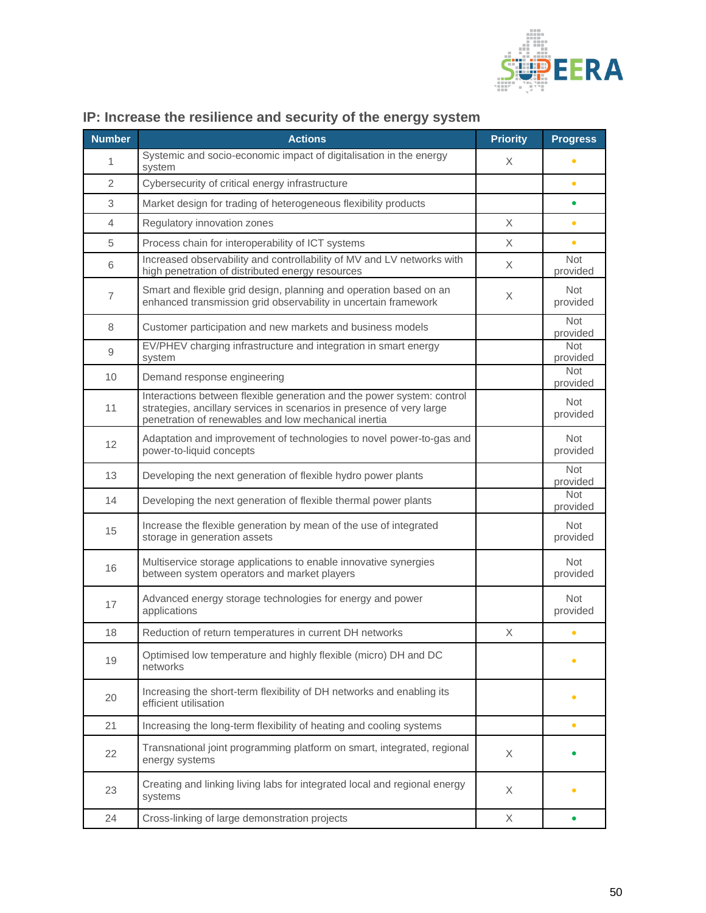

| <b>Number</b>  | <b>Actions</b>                                                                                                                                                                                          | <b>Priority</b> | <b>Progress</b>        |
|----------------|---------------------------------------------------------------------------------------------------------------------------------------------------------------------------------------------------------|-----------------|------------------------|
| 1              | Systemic and socio-economic impact of digitalisation in the energy<br>system                                                                                                                            | X               |                        |
| $\overline{2}$ | Cybersecurity of critical energy infrastructure                                                                                                                                                         |                 | $\bullet$              |
| 3              | Market design for trading of heterogeneous flexibility products                                                                                                                                         |                 | $\bullet$              |
| 4              | Regulatory innovation zones                                                                                                                                                                             | X               | $\bullet$              |
| 5              | Process chain for interoperability of ICT systems                                                                                                                                                       | X               | $\bullet$              |
| 6              | Increased observability and controllability of MV and LV networks with<br>high penetration of distributed energy resources                                                                              | X               | <b>Not</b><br>provided |
| $\overline{7}$ | Smart and flexible grid design, planning and operation based on an<br>enhanced transmission grid observability in uncertain framework                                                                   | X.              | <b>Not</b><br>provided |
| 8              | Customer participation and new markets and business models                                                                                                                                              |                 | <b>Not</b><br>provided |
| 9              | EV/PHEV charging infrastructure and integration in smart energy<br>system                                                                                                                               |                 | <b>Not</b><br>provided |
| 10             | Demand response engineering                                                                                                                                                                             |                 | <b>Not</b><br>provided |
| 11             | Interactions between flexible generation and the power system: control<br>strategies, ancillary services in scenarios in presence of very large<br>penetration of renewables and low mechanical inertia |                 | Not<br>provided        |
| 12             | Adaptation and improvement of technologies to novel power-to-gas and<br>power-to-liquid concepts                                                                                                        |                 | <b>Not</b><br>provided |
| 13             | Developing the next generation of flexible hydro power plants                                                                                                                                           |                 | <b>Not</b><br>provided |
| 14             | Developing the next generation of flexible thermal power plants                                                                                                                                         |                 | <b>Not</b><br>provided |
| 15             | Increase the flexible generation by mean of the use of integrated<br>storage in generation assets                                                                                                       |                 | <b>Not</b><br>provided |
| 16             | Multiservice storage applications to enable innovative synergies<br>between system operators and market players                                                                                         |                 | <b>Not</b><br>provided |
| 17             | Advanced energy storage technologies for energy and power<br>applications                                                                                                                               |                 | <b>Not</b><br>provided |
| 18             | Reduction of return temperatures in current DH networks                                                                                                                                                 | $\times$        | $\bullet$              |
| 19             | Optimised low temperature and highly flexible (micro) DH and DC<br>networks                                                                                                                             |                 |                        |
| 20             | Increasing the short-term flexibility of DH networks and enabling its<br>efficient utilisation                                                                                                          |                 |                        |
| 21             | Increasing the long-term flexibility of heating and cooling systems                                                                                                                                     |                 | $\bullet$              |
| 22             | Transnational joint programming platform on smart, integrated, regional<br>energy systems                                                                                                               | X               |                        |
| 23             | Creating and linking living labs for integrated local and regional energy<br>systems                                                                                                                    | X               |                        |
| 24             | Cross-linking of large demonstration projects                                                                                                                                                           | X               | $\bullet$              |

# **IP: Increase the resilience and security of the energy system**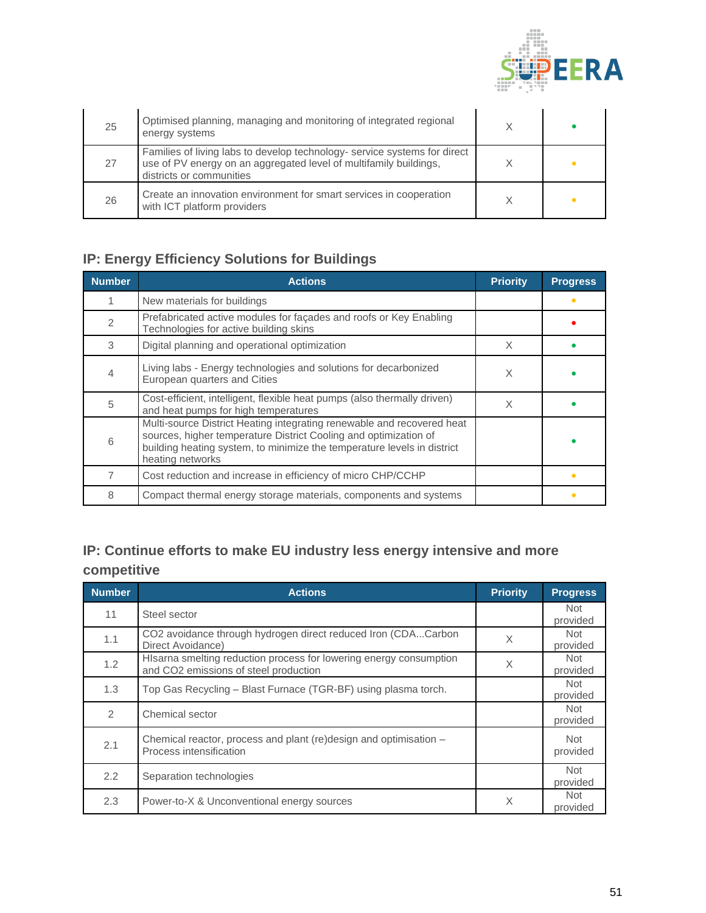

| 25 | Optimised planning, managing and monitoring of integrated regional<br>energy systems                                                                                       |  |
|----|----------------------------------------------------------------------------------------------------------------------------------------------------------------------------|--|
| 27 | Families of living labs to develop technology- service systems for direct<br>use of PV energy on an aggregated level of multifamily buildings,<br>districts or communities |  |
| 26 | Create an innovation environment for smart services in cooperation<br>with ICT platform providers                                                                          |  |

# **IP: Energy Efficiency Solutions for Buildings**

| <b>Number</b> | <b>Actions</b>                                                                                                                                                                                                                            | <b>Priority</b> | <b>Progress</b> |
|---------------|-------------------------------------------------------------------------------------------------------------------------------------------------------------------------------------------------------------------------------------------|-----------------|-----------------|
|               | New materials for buildings                                                                                                                                                                                                               |                 |                 |
|               | Prefabricated active modules for façades and roofs or Key Enabling<br>Technologies for active building skins                                                                                                                              |                 |                 |
| 3             | Digital planning and operational optimization                                                                                                                                                                                             | X               |                 |
|               | Living labs - Energy technologies and solutions for decarbonized<br>European quarters and Cities                                                                                                                                          | X               |                 |
| 5             | Cost-efficient, intelligent, flexible heat pumps (also thermally driven)<br>and heat pumps for high temperatures                                                                                                                          | X               |                 |
| 6             | Multi-source District Heating integrating renewable and recovered heat<br>sources, higher temperature District Cooling and optimization of<br>building heating system, to minimize the temperature levels in district<br>heating networks |                 |                 |
|               | Cost reduction and increase in efficiency of micro CHP/CCHP                                                                                                                                                                               |                 |                 |
| 8             | Compact thermal energy storage materials, components and systems                                                                                                                                                                          |                 |                 |

# **IP: Continue efforts to make EU industry less energy intensive and more competitive**

| <b>Number</b> | <b>Actions</b>                                                                                              | <b>Priority</b> | <b>Progress</b>        |
|---------------|-------------------------------------------------------------------------------------------------------------|-----------------|------------------------|
| 11            | Steel sector                                                                                                |                 | <b>Not</b><br>provided |
| 1.1           | CO2 avoidance through hydrogen direct reduced Iron (CDACarbon<br>Direct Avoidance)                          | X               | <b>Not</b><br>provided |
| 1.2           | HIsarna smelting reduction process for lowering energy consumption<br>and CO2 emissions of steel production | X               | Not.<br>provided       |
| 1.3           | Top Gas Recycling - Blast Furnace (TGR-BF) using plasma torch.                                              |                 | <b>Not</b><br>provided |
| $\mathcal{P}$ | Chemical sector                                                                                             |                 | <b>Not</b><br>provided |
| 2.1           | Chemical reactor, process and plant (re)design and optimisation -<br>Process intensification                |                 | Not<br>provided        |
| $2.2^{\circ}$ | Separation technologies                                                                                     |                 | <b>Not</b><br>provided |
| 2.3           | Power-to-X & Unconventional energy sources                                                                  | X               | Not.<br>provided       |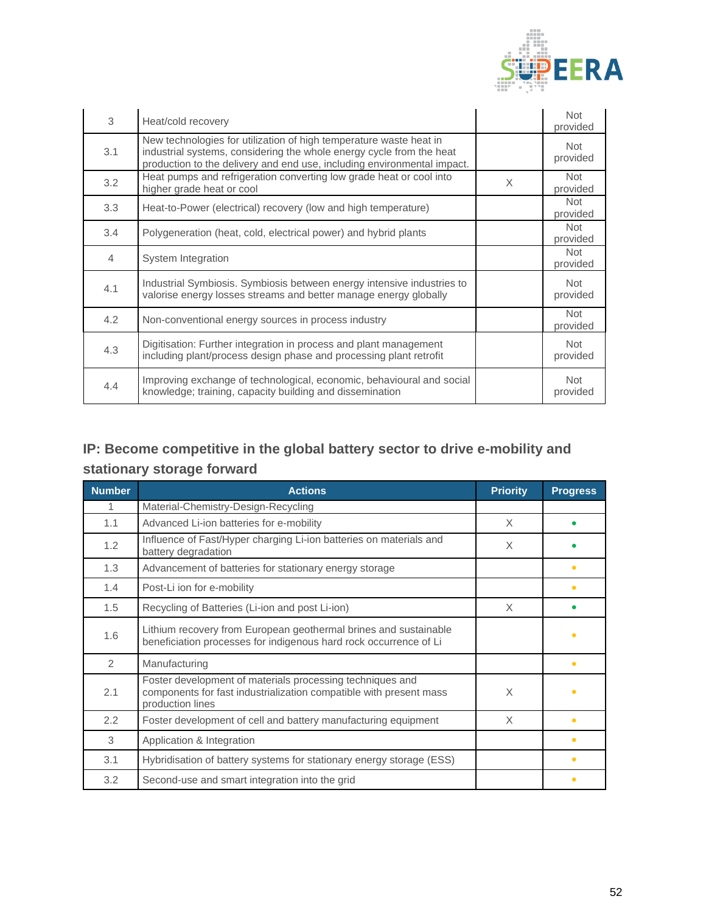

| 3   | Heat/cold recovery                                                                                                                                                                                                    |   | <b>Not</b><br>provided |
|-----|-----------------------------------------------------------------------------------------------------------------------------------------------------------------------------------------------------------------------|---|------------------------|
| 3.1 | New technologies for utilization of high temperature waste heat in<br>industrial systems, considering the whole energy cycle from the heat<br>production to the delivery and end use, including environmental impact. |   | Not<br>provided        |
| 3.2 | Heat pumps and refrigeration converting low grade heat or cool into<br>higher grade heat or cool                                                                                                                      | X | Not<br>provided        |
| 3.3 | Heat-to-Power (electrical) recovery (low and high temperature)                                                                                                                                                        |   | <b>Not</b><br>provided |
| 3.4 | Polygeneration (heat, cold, electrical power) and hybrid plants                                                                                                                                                       |   | <b>Not</b><br>provided |
| 4   | System Integration                                                                                                                                                                                                    |   | Not<br>provided        |
| 4.1 | Industrial Symbiosis. Symbiosis between energy intensive industries to<br>valorise energy losses streams and better manage energy globally                                                                            |   | <b>Not</b><br>provided |
| 4.2 | Non-conventional energy sources in process industry                                                                                                                                                                   |   | Not<br>provided        |
| 4.3 | Digitisation: Further integration in process and plant management<br>including plant/process design phase and processing plant retrofit                                                                               |   | <b>Not</b><br>provided |
| 4.4 | Improving exchange of technological, economic, behavioural and social<br>knowledge; training, capacity building and dissemination                                                                                     |   | <b>Not</b><br>provided |

# **IP: Become competitive in the global battery sector to drive e-mobility and stationary storage forward**

| <b>Number</b> | <b>Actions</b>                                                                                                                                      | <b>Priority</b> | <b>Progress</b> |
|---------------|-----------------------------------------------------------------------------------------------------------------------------------------------------|-----------------|-----------------|
| 1.            | Material-Chemistry-Design-Recycling                                                                                                                 |                 |                 |
| 1.1           | Advanced Li-ion batteries for e-mobility                                                                                                            | $\times$        |                 |
| 1.2           | Influence of Fast/Hyper charging Li-ion batteries on materials and<br>battery degradation                                                           | $\times$        |                 |
| 1.3           | Advancement of batteries for stationary energy storage                                                                                              |                 | $\bullet$       |
| 1.4           | Post-Li ion for e-mobility                                                                                                                          |                 | $\bullet$       |
| 1.5           | Recycling of Batteries (Li-ion and post Li-ion)                                                                                                     | X               |                 |
| 1.6           | Lithium recovery from European geothermal brines and sustainable<br>beneficiation processes for indigenous hard rock occurrence of Li               |                 | $\bullet$       |
| 2             | Manufacturing                                                                                                                                       |                 | $\bullet$       |
| 2.1           | Foster development of materials processing techniques and<br>components for fast industrialization compatible with present mass<br>production lines | X               | $\bullet$       |
| 2.2           | Foster development of cell and battery manufacturing equipment                                                                                      | $\times$        | $\bullet$       |
| 3             | Application & Integration                                                                                                                           |                 | $\bullet$       |
| 3.1           | Hybridisation of battery systems for stationary energy storage (ESS)                                                                                |                 | $\bullet$       |
| 3.2           | Second-use and smart integration into the grid                                                                                                      |                 | ٠               |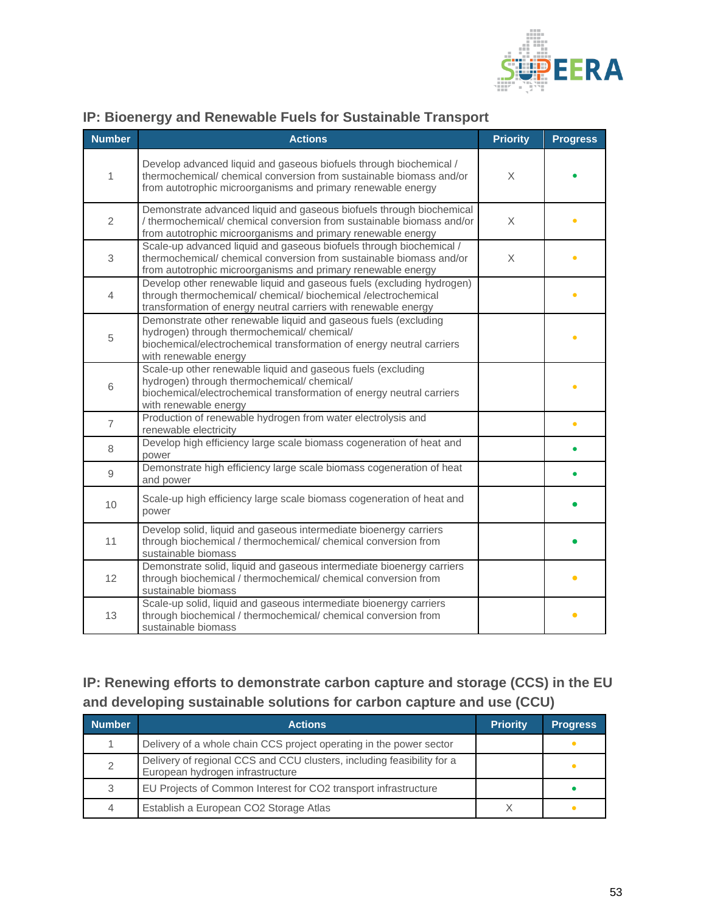

| <b>Number</b>  | <b>Actions</b>                                                                                                                                                                                                   | <b>Priority</b> | <b>Progress</b> |
|----------------|------------------------------------------------------------------------------------------------------------------------------------------------------------------------------------------------------------------|-----------------|-----------------|
| 1              | Develop advanced liquid and gaseous biofuels through biochemical /<br>thermochemical/ chemical conversion from sustainable biomass and/or<br>from autotrophic microorganisms and primary renewable energy        | X               |                 |
| 2              | Demonstrate advanced liquid and gaseous biofuels through biochemical<br>/ thermochemical/ chemical conversion from sustainable biomass and/or<br>from autotrophic microorganisms and primary renewable energy    | X               |                 |
| 3              | Scale-up advanced liquid and gaseous biofuels through biochemical /<br>thermochemical/ chemical conversion from sustainable biomass and/or<br>from autotrophic microorganisms and primary renewable energy       | X               |                 |
| 4              | Develop other renewable liquid and gaseous fuels (excluding hydrogen)<br>through thermochemical/ chemical/ biochemical /electrochemical<br>transformation of energy neutral carriers with renewable energy       |                 |                 |
| 5              | Demonstrate other renewable liquid and gaseous fuels (excluding<br>hydrogen) through thermochemical/ chemical/<br>biochemical/electrochemical transformation of energy neutral carriers<br>with renewable energy |                 |                 |
| 6              | Scale-up other renewable liquid and gaseous fuels (excluding<br>hydrogen) through thermochemical/ chemical/<br>biochemical/electrochemical transformation of energy neutral carriers<br>with renewable energy    |                 |                 |
| $\overline{7}$ | Production of renewable hydrogen from water electrolysis and<br>renewable electricity                                                                                                                            |                 | $\bullet$       |
| 8              | Develop high efficiency large scale biomass cogeneration of heat and<br>power                                                                                                                                    |                 |                 |
| 9              | Demonstrate high efficiency large scale biomass cogeneration of heat<br>and power                                                                                                                                |                 |                 |
| 10             | Scale-up high efficiency large scale biomass cogeneration of heat and<br>power                                                                                                                                   |                 |                 |
| 11             | Develop solid, liquid and gaseous intermediate bioenergy carriers<br>through biochemical / thermochemical/ chemical conversion from<br>sustainable biomass                                                       |                 |                 |
| 12             | Demonstrate solid, liquid and gaseous intermediate bioenergy carriers<br>through biochemical / thermochemical/ chemical conversion from<br>sustainable biomass                                                   |                 |                 |
| 13             | Scale-up solid, liquid and gaseous intermediate bioenergy carriers<br>through biochemical / thermochemical/ chemical conversion from<br>sustainable biomass                                                      |                 |                 |

### **IP: Bioenergy and Renewable Fuels for Sustainable Transport**

# **IP: Renewing efforts to demonstrate carbon capture and storage (CCS) in the EU and developing sustainable solutions for carbon capture and use (CCU)**

| <b>Number</b> | <b>Actions</b>                                                                                             | <b>Priority</b> | <b>Progress</b> |
|---------------|------------------------------------------------------------------------------------------------------------|-----------------|-----------------|
|               | Delivery of a whole chain CCS project operating in the power sector                                        |                 |                 |
|               | Delivery of regional CCS and CCU clusters, including feasibility for a<br>European hydrogen infrastructure |                 |                 |
|               | EU Projects of Common Interest for CO2 transport infrastructure                                            |                 |                 |
|               | Establish a European CO2 Storage Atlas                                                                     |                 |                 |